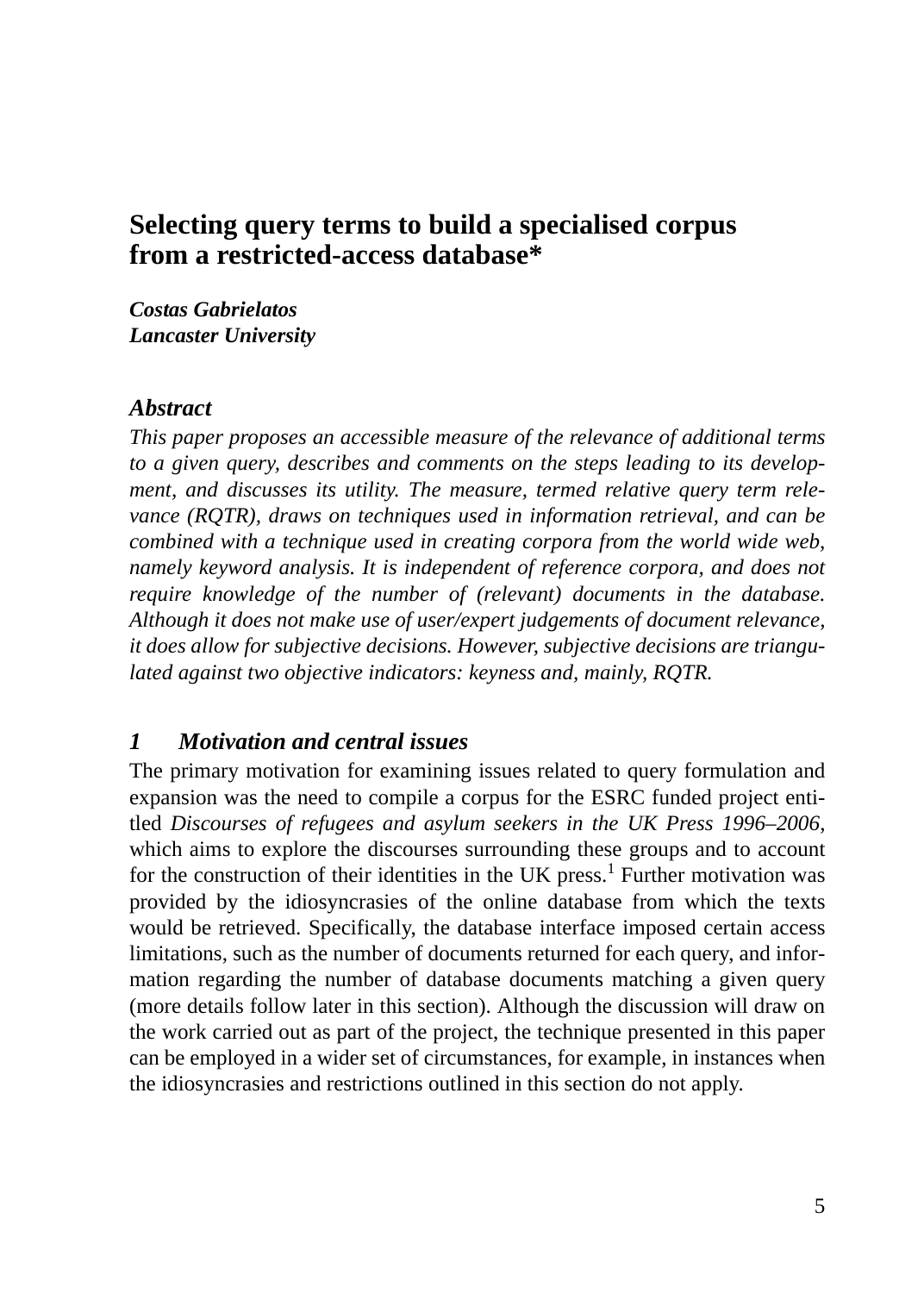## **Selecting query terms to build a specialised corpus from a restricted-access database\***

*Costas Gabrielatos Lancaster University*

#### *Abstract*

*This paper proposes an accessible measure of the relevance of additional terms to a given query, describes and comments on the steps leading to its development, and discusses its utility. The measure, termed relative query term relevance (RQTR), draws on techniques used in information retrieval, and can be combined with a technique used in creating corpora from the world wide web, namely keyword analysis. It is independent of reference corpora, and does not require knowledge of the number of (relevant) documents in the database. Although it does not make use of user/expert judgements of document relevance, it does allow for subjective decisions. However, subjective decisions are triangulated against two objective indicators: keyness and, mainly, RQTR.*

#### *1 Motivation and central issues*

The primary motivation for examining issues related to query formulation and expansion was the need to compile a corpus for the ESRC funded project entitled *Discourses of refugees and asylum seekers in the UK Press 1996–2006*, which aims to explore the discourses surrounding these groups and to account for the construction of their identities in the UK press.<sup>1</sup> Further motivation was provided by the idiosyncrasies of the online database from which the texts would be retrieved. Specifically, the database interface imposed certain access limitations, such as the number of documents returned for each query, and information regarding the number of database documents matching a given query (more details follow later in this section). Although the discussion will draw on the work carried out as part of the project, the technique presented in this paper can be employed in a wider set of circumstances, for example, in instances when the idiosyncrasies and restrictions outlined in this section do not apply.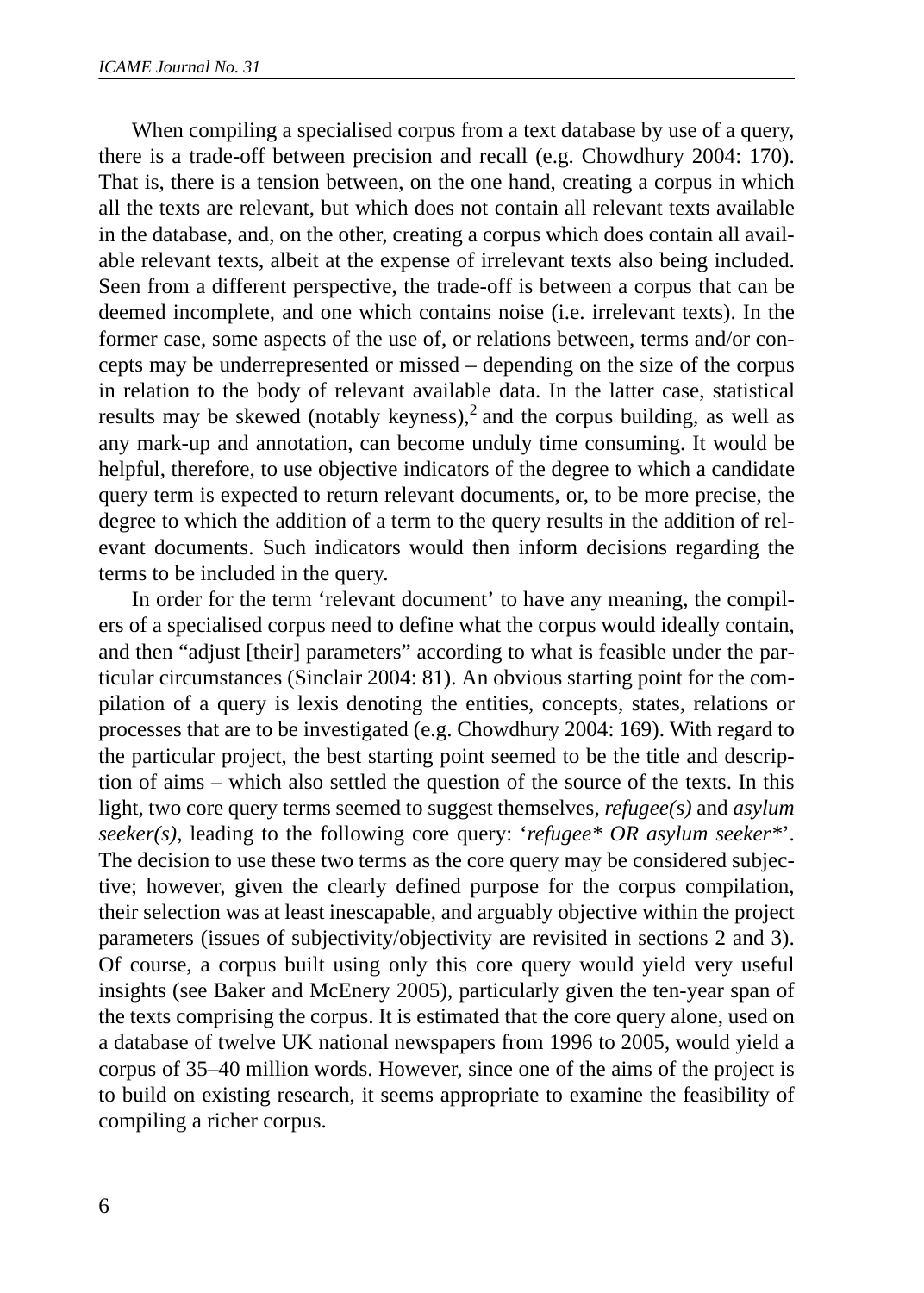When compiling a specialised corpus from a text database by use of a query, there is a trade-off between precision and recall (e.g. Chowdhury 2004: 170). That is, there is a tension between, on the one hand, creating a corpus in which all the texts are relevant, but which does not contain all relevant texts available in the database, and, on the other, creating a corpus which does contain all available relevant texts, albeit at the expense of irrelevant texts also being included. Seen from a different perspective, the trade-off is between a corpus that can be deemed incomplete, and one which contains noise (i.e. irrelevant texts). In the former case, some aspects of the use of, or relations between, terms and/or concepts may be underrepresented or missed – depending on the size of the corpus in relation to the body of relevant available data. In the latter case, statistical results may be skewed (notably keyness),<sup>2</sup> and the corpus building, as well as any mark-up and annotation, can become unduly time consuming. It would be helpful, therefore, to use objective indicators of the degree to which a candidate query term is expected to return relevant documents, or, to be more precise, the degree to which the addition of a term to the query results in the addition of relevant documents. Such indicators would then inform decisions regarding the terms to be included in the query.

In order for the term 'relevant document' to have any meaning, the compilers of a specialised corpus need to define what the corpus would ideally contain, and then "adjust [their] parameters" according to what is feasible under the particular circumstances (Sinclair 2004: 81). An obvious starting point for the compilation of a query is lexis denoting the entities, concepts, states, relations or processes that are to be investigated (e.g. Chowdhury 2004: 169). With regard to the particular project, the best starting point seemed to be the title and description of aims – which also settled the question of the source of the texts. In this light, two core query terms seemed to suggest themselves, *refugee(s)* and *asylum seeker(s)*, leading to the following core query: '*refugee\* OR asylum seeker\**'. The decision to use these two terms as the core query may be considered subjective; however, given the clearly defined purpose for the corpus compilation, their selection was at least inescapable, and arguably objective within the project parameters (issues of subjectivity/objectivity are revisited in sections 2 and 3). Of course, a corpus built using only this core query would yield very useful insights (see Baker and McEnery 2005), particularly given the ten-year span of the texts comprising the corpus. It is estimated that the core query alone, used on a database of twelve UK national newspapers from 1996 to 2005, would yield a corpus of 35–40 million words. However, since one of the aims of the project is to build on existing research, it seems appropriate to examine the feasibility of compiling a richer corpus.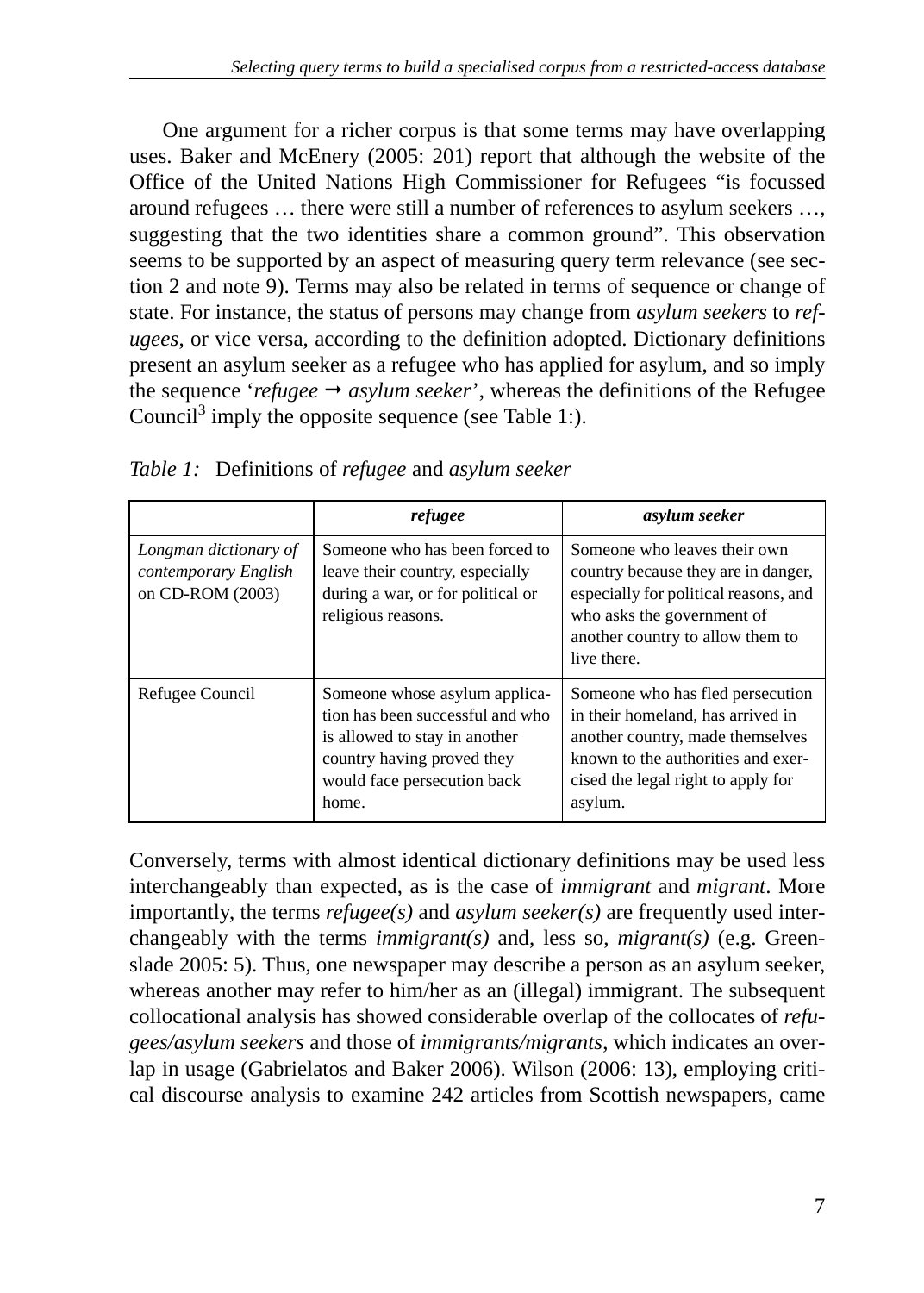One argument for a richer corpus is that some terms may have overlapping uses. Baker and McEnery (2005: 201) report that although the website of the Office of the United Nations High Commissioner for Refugees "is focussed around refugees … there were still a number of references to asylum seekers …, suggesting that the two identities share a common ground". This observation seems to be supported by an aspect of measuring query term relevance (see section 2 and note 9). Terms may also be related in terms of sequence or change of state. For instance, the status of persons may change from *asylum seekers* to *refugees*, or vice versa, according to the definition adopted. Dictionary definitions present an asylum seeker as a refugee who has applied for asylum, and so imply the sequence '*refugee*  $\rightarrow$  *asylum seeker*', whereas the definitions of the Refugee Council<sup>3</sup> imply the opposite sequence (see Table 1:).

|                                                                   | refugee                                                                                                                                                                  | asylum seeker                                                                                                                                                                                    |
|-------------------------------------------------------------------|--------------------------------------------------------------------------------------------------------------------------------------------------------------------------|--------------------------------------------------------------------------------------------------------------------------------------------------------------------------------------------------|
| Longman dictionary of<br>contemporary English<br>on CD-ROM (2003) | Someone who has been forced to<br>leave their country, especially<br>during a war, or for political or<br>religious reasons.                                             | Someone who leaves their own<br>country because they are in danger,<br>especially for political reasons, and<br>who asks the government of<br>another country to allow them to<br>live there.    |
| Refugee Council                                                   | Someone whose asylum applica-<br>tion has been successful and who<br>is allowed to stay in another<br>country having proved they<br>would face persecution back<br>home. | Someone who has fled persecution<br>in their homeland, has arrived in<br>another country, made themselves<br>known to the authorities and exer-<br>cised the legal right to apply for<br>asylum. |

*Table 1:* Definitions of *refugee* and *asylum seeker*

Conversely, terms with almost identical dictionary definitions may be used less interchangeably than expected, as is the case of *immigrant* and *migrant*. More importantly, the terms *refugee(s)* and *asylum seeker(s)* are frequently used interchangeably with the terms *immigrant(s)* and, less so, *migrant(s)* (e.g. Greenslade 2005: 5). Thus, one newspaper may describe a person as an asylum seeker, whereas another may refer to him/her as an (illegal) immigrant. The subsequent collocational analysis has showed considerable overlap of the collocates of *refugees/asylum seekers* and those of *immigrants/migrants*, which indicates an overlap in usage (Gabrielatos and Baker 2006). Wilson (2006: 13), employing critical discourse analysis to examine 242 articles from Scottish newspapers, came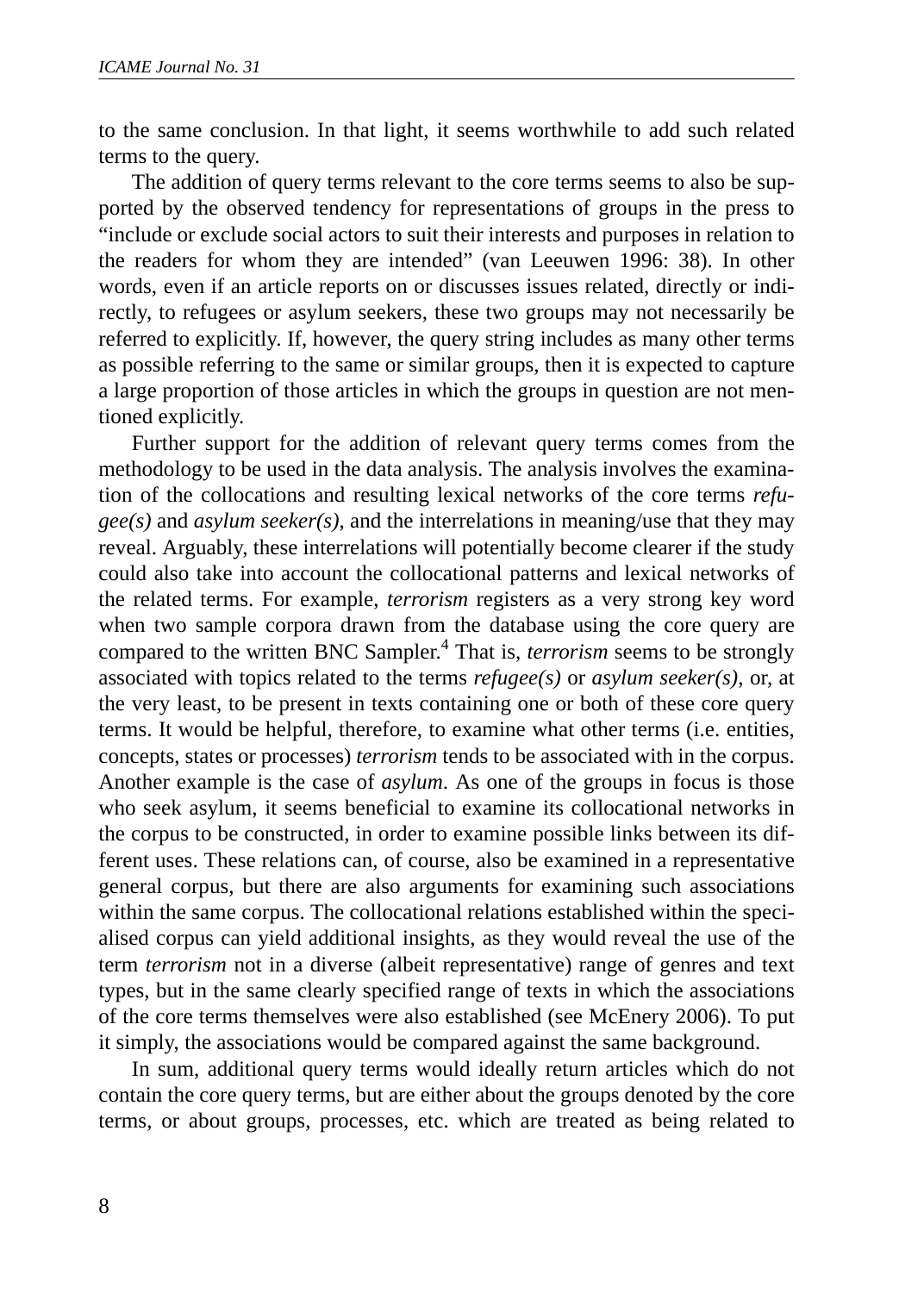to the same conclusion. In that light, it seems worthwhile to add such related terms to the query.

The addition of query terms relevant to the core terms seems to also be supported by the observed tendency for representations of groups in the press to "include or exclude social actors to suit their interests and purposes in relation to the readers for whom they are intended" (van Leeuwen 1996: 38). In other words, even if an article reports on or discusses issues related, directly or indirectly, to refugees or asylum seekers, these two groups may not necessarily be referred to explicitly. If, however, the query string includes as many other terms as possible referring to the same or similar groups, then it is expected to capture a large proportion of those articles in which the groups in question are not mentioned explicitly.

Further support for the addition of relevant query terms comes from the methodology to be used in the data analysis. The analysis involves the examination of the collocations and resulting lexical networks of the core terms *refugee(s)* and *asylum seeker(s)*, and the interrelations in meaning/use that they may reveal. Arguably, these interrelations will potentially become clearer if the study could also take into account the collocational patterns and lexical networks of the related terms. For example, *terrorism* registers as a very strong key word when two sample corpora drawn from the database using the core query are compared to the written BNC Sampler.4 That is, *terrorism* seems to be strongly associated with topics related to the terms *refugee(s)* or *asylum seeker(s)*, or, at the very least, to be present in texts containing one or both of these core query terms. It would be helpful, therefore, to examine what other terms (i.e. entities, concepts, states or processes) *terrorism* tends to be associated with in the corpus. Another example is the case of *asylum*. As one of the groups in focus is those who seek asylum, it seems beneficial to examine its collocational networks in the corpus to be constructed, in order to examine possible links between its different uses. These relations can, of course, also be examined in a representative general corpus, but there are also arguments for examining such associations within the same corpus. The collocational relations established within the specialised corpus can yield additional insights, as they would reveal the use of the term *terrorism* not in a diverse (albeit representative) range of genres and text types, but in the same clearly specified range of texts in which the associations of the core terms themselves were also established (see McEnery 2006). To put it simply, the associations would be compared against the same background.

In sum, additional query terms would ideally return articles which do not contain the core query terms, but are either about the groups denoted by the core terms, or about groups, processes, etc. which are treated as being related to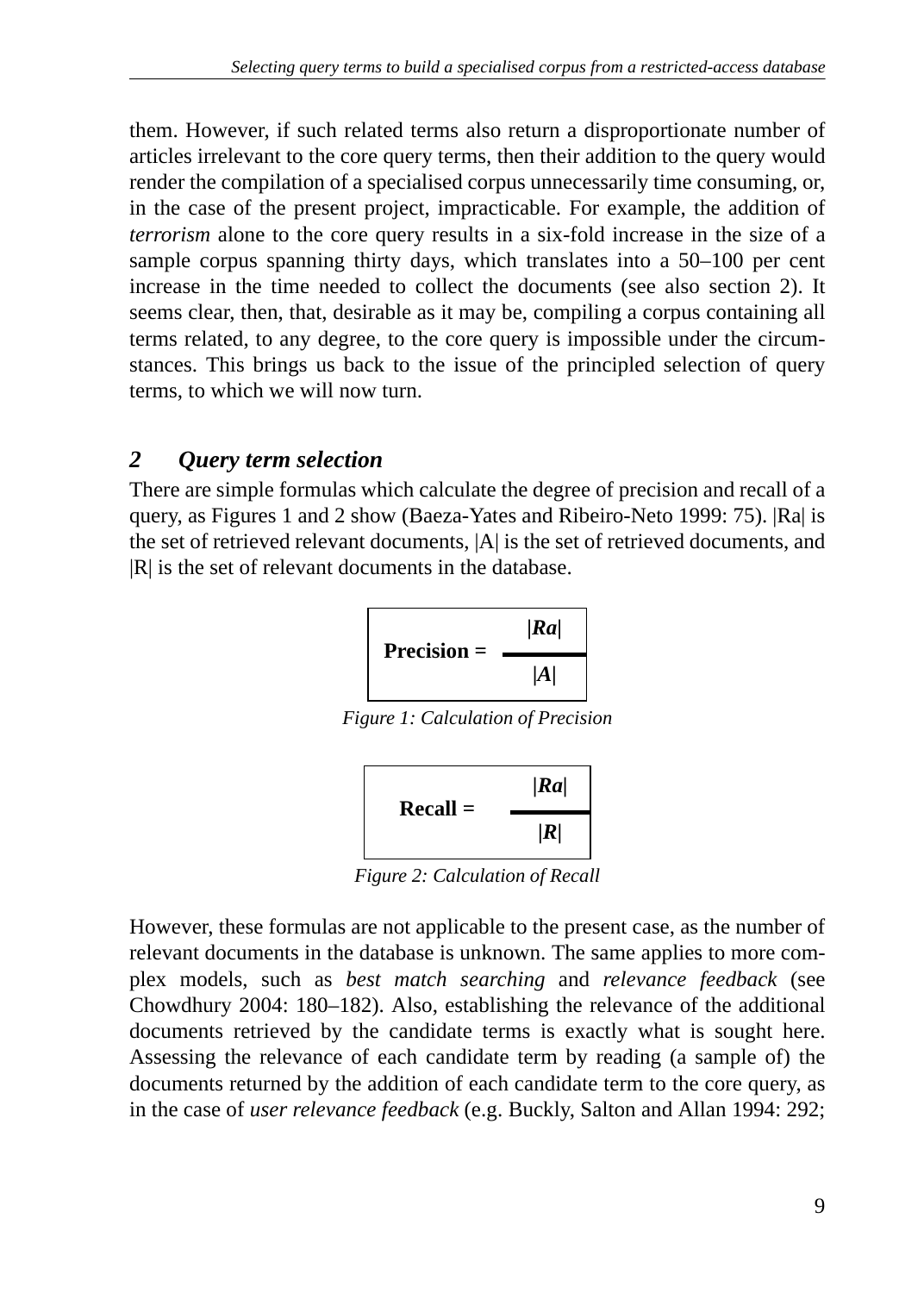them. However, if such related terms also return a disproportionate number of articles irrelevant to the core query terms, then their addition to the query would render the compilation of a specialised corpus unnecessarily time consuming, or, in the case of the present project, impracticable. For example, the addition of *terrorism* alone to the core query results in a six-fold increase in the size of a sample corpus spanning thirty days, which translates into a 50–100 per cent increase in the time needed to collect the documents (see also section 2). It seems clear, then, that, desirable as it may be, compiling a corpus containing all terms related, to any degree, to the core query is impossible under the circumstances. This brings us back to the issue of the principled selection of query terms, to which we will now turn.

### *2 Query term selection*

There are simple formulas which calculate the degree of precision and recall of a query, as Figures 1 and 2 show (Baeza-Yates and Ribeiro-Neto 1999: 75). |Ra| is the set of retrieved relevant documents, |A| is the set of retrieved documents, and |R| is the set of relevant documents in the database.

$$
Precision = \frac{|Ra|}{|A|}
$$

*Figure 1: Calculation of Precision*



*Figure 2: Calculation of Recall*

However, these formulas are not applicable to the present case, as the number of relevant documents in the database is unknown. The same applies to more complex models, such as *best match searching* and *relevance feedback* (see Chowdhury 2004: 180–182). Also, establishing the relevance of the additional documents retrieved by the candidate terms is exactly what is sought here. Assessing the relevance of each candidate term by reading (a sample of) the documents returned by the addition of each candidate term to the core query, as in the case of *user relevance feedback* (e.g. Buckly, Salton and Allan 1994: 292;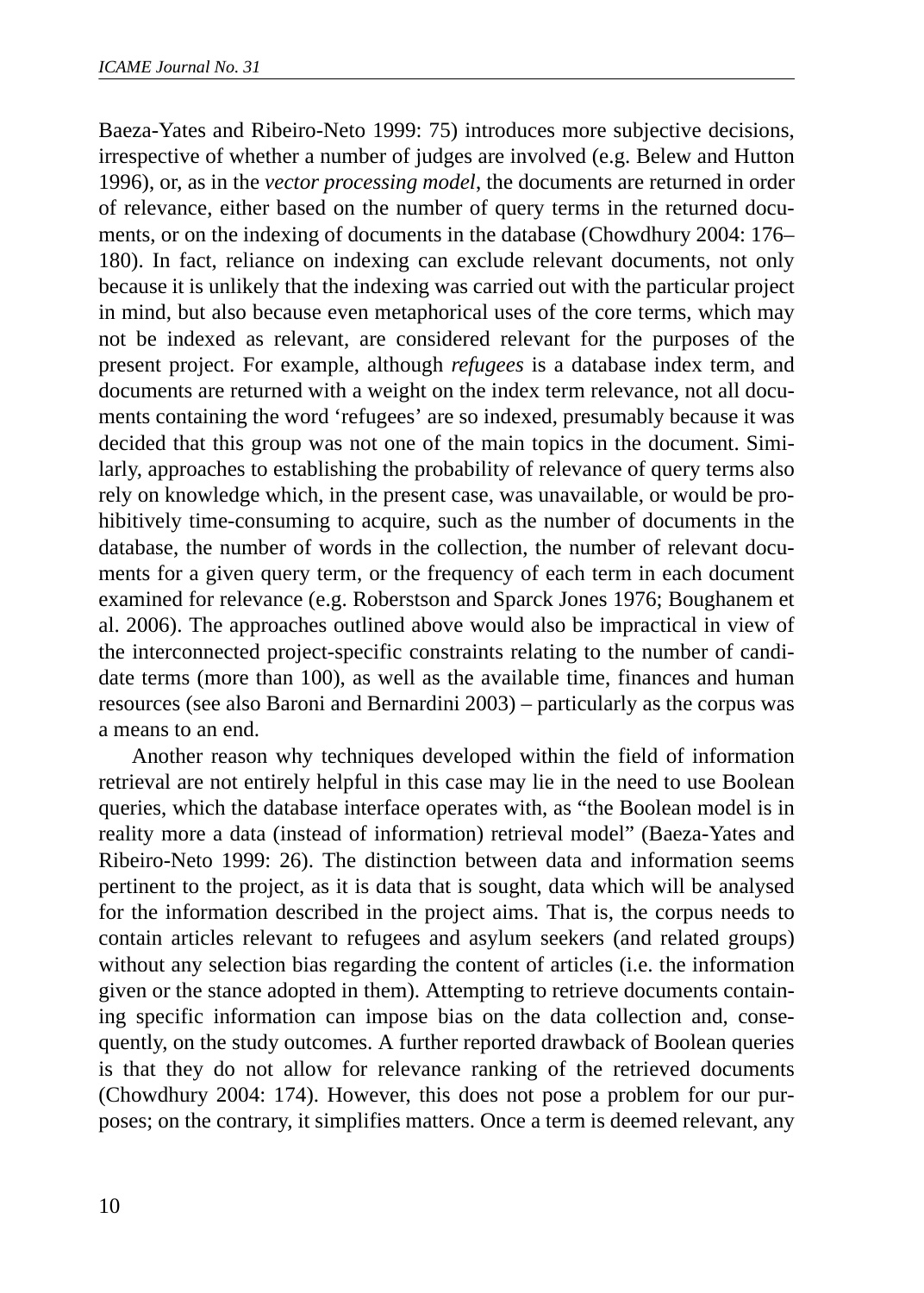Baeza-Yates and Ribeiro-Neto 1999: 75) introduces more subjective decisions, irrespective of whether a number of judges are involved (e.g. Belew and Hutton 1996), or, as in the *vector processing model*, the documents are returned in order of relevance, either based on the number of query terms in the returned documents, or on the indexing of documents in the database (Chowdhury 2004: 176– 180). In fact, reliance on indexing can exclude relevant documents, not only because it is unlikely that the indexing was carried out with the particular project in mind, but also because even metaphorical uses of the core terms, which may not be indexed as relevant, are considered relevant for the purposes of the present project. For example, although *refugees* is a database index term, and documents are returned with a weight on the index term relevance, not all documents containing the word 'refugees' are so indexed, presumably because it was decided that this group was not one of the main topics in the document. Similarly, approaches to establishing the probability of relevance of query terms also rely on knowledge which, in the present case, was unavailable, or would be prohibitively time-consuming to acquire, such as the number of documents in the database, the number of words in the collection, the number of relevant documents for a given query term, or the frequency of each term in each document examined for relevance (e.g. Roberstson and Sparck Jones 1976; Boughanem et al. 2006). The approaches outlined above would also be impractical in view of the interconnected project-specific constraints relating to the number of candidate terms (more than 100), as well as the available time, finances and human resources (see also Baroni and Bernardini 2003) – particularly as the corpus was a means to an end.

Another reason why techniques developed within the field of information retrieval are not entirely helpful in this case may lie in the need to use Boolean queries, which the database interface operates with, as "the Boolean model is in reality more a data (instead of information) retrieval model" (Baeza-Yates and Ribeiro-Neto 1999: 26). The distinction between data and information seems pertinent to the project, as it is data that is sought, data which will be analysed for the information described in the project aims. That is, the corpus needs to contain articles relevant to refugees and asylum seekers (and related groups) without any selection bias regarding the content of articles (i.e. the information given or the stance adopted in them). Attempting to retrieve documents containing specific information can impose bias on the data collection and, consequently, on the study outcomes. A further reported drawback of Boolean queries is that they do not allow for relevance ranking of the retrieved documents (Chowdhury 2004: 174). However, this does not pose a problem for our purposes; on the contrary, it simplifies matters. Once a term is deemed relevant, any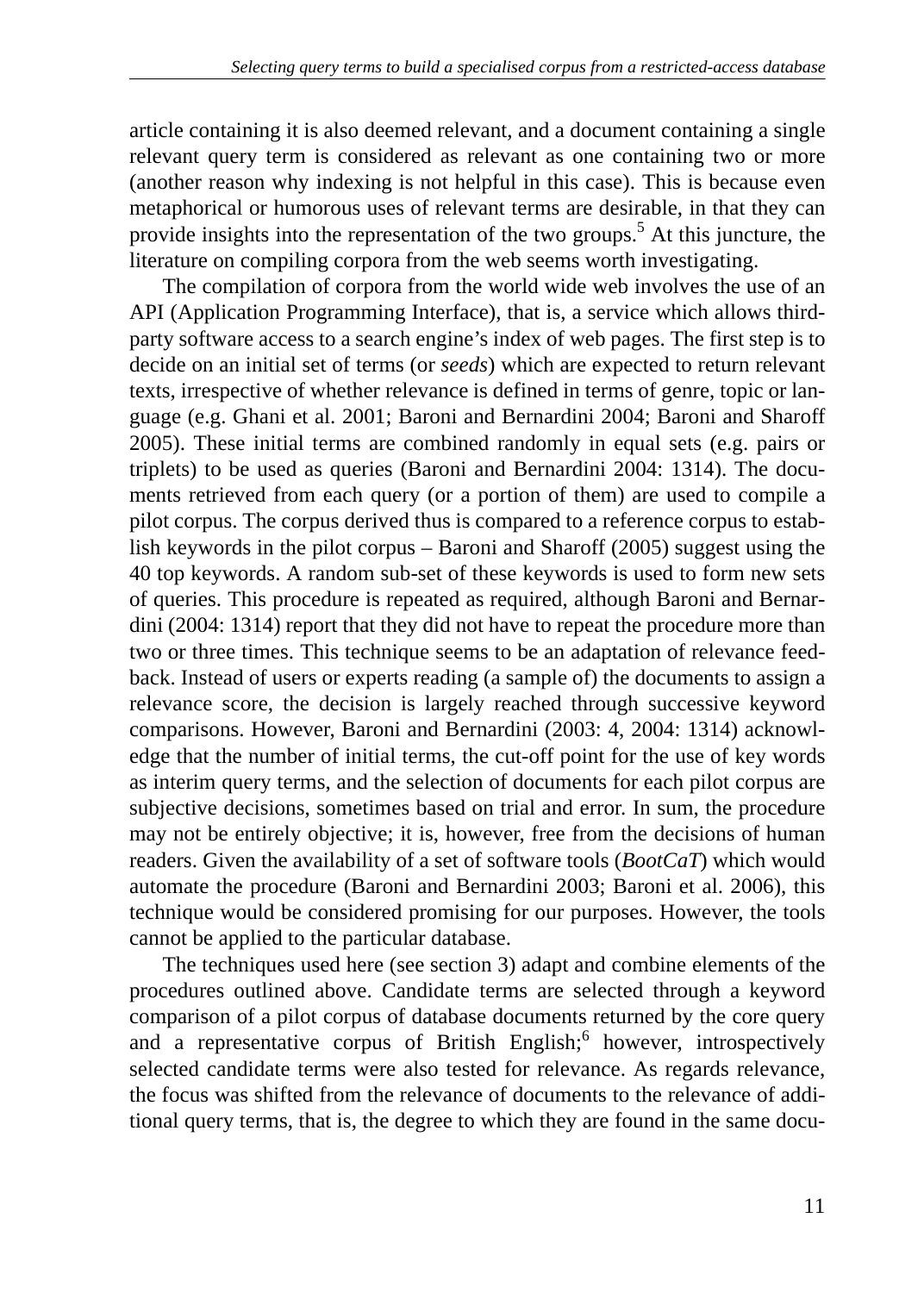article containing it is also deemed relevant, and a document containing a single relevant query term is considered as relevant as one containing two or more (another reason why indexing is not helpful in this case). This is because even metaphorical or humorous uses of relevant terms are desirable, in that they can provide insights into the representation of the two groups.<sup>5</sup> At this juncture, the literature on compiling corpora from the web seems worth investigating.

The compilation of corpora from the world wide web involves the use of an API (Application Programming Interface), that is, a service which allows thirdparty software access to a search engine's index of web pages. The first step is to decide on an initial set of terms (or *seeds*) which are expected to return relevant texts, irrespective of whether relevance is defined in terms of genre, topic or language (e.g. Ghani et al. 2001; Baroni and Bernardini 2004; Baroni and Sharoff 2005). These initial terms are combined randomly in equal sets (e.g. pairs or triplets) to be used as queries (Baroni and Bernardini 2004: 1314). The documents retrieved from each query (or a portion of them) are used to compile a pilot corpus. The corpus derived thus is compared to a reference corpus to establish keywords in the pilot corpus – Baroni and Sharoff (2005) suggest using the 40 top keywords. A random sub-set of these keywords is used to form new sets of queries. This procedure is repeated as required, although Baroni and Bernardini (2004: 1314) report that they did not have to repeat the procedure more than two or three times. This technique seems to be an adaptation of relevance feedback. Instead of users or experts reading (a sample of) the documents to assign a relevance score, the decision is largely reached through successive keyword comparisons. However, Baroni and Bernardini (2003: 4, 2004: 1314) acknowledge that the number of initial terms, the cut-off point for the use of key words as interim query terms, and the selection of documents for each pilot corpus are subjective decisions, sometimes based on trial and error. In sum, the procedure may not be entirely objective; it is, however, free from the decisions of human readers. Given the availability of a set of software tools (*BootCaT*) which would automate the procedure (Baroni and Bernardini 2003; Baroni et al. 2006), this technique would be considered promising for our purposes. However, the tools cannot be applied to the particular database.

The techniques used here (see section 3) adapt and combine elements of the procedures outlined above. Candidate terms are selected through a keyword comparison of a pilot corpus of database documents returned by the core query and a representative corpus of British English;<sup>6</sup> however, introspectively selected candidate terms were also tested for relevance. As regards relevance, the focus was shifted from the relevance of documents to the relevance of additional query terms, that is, the degree to which they are found in the same docu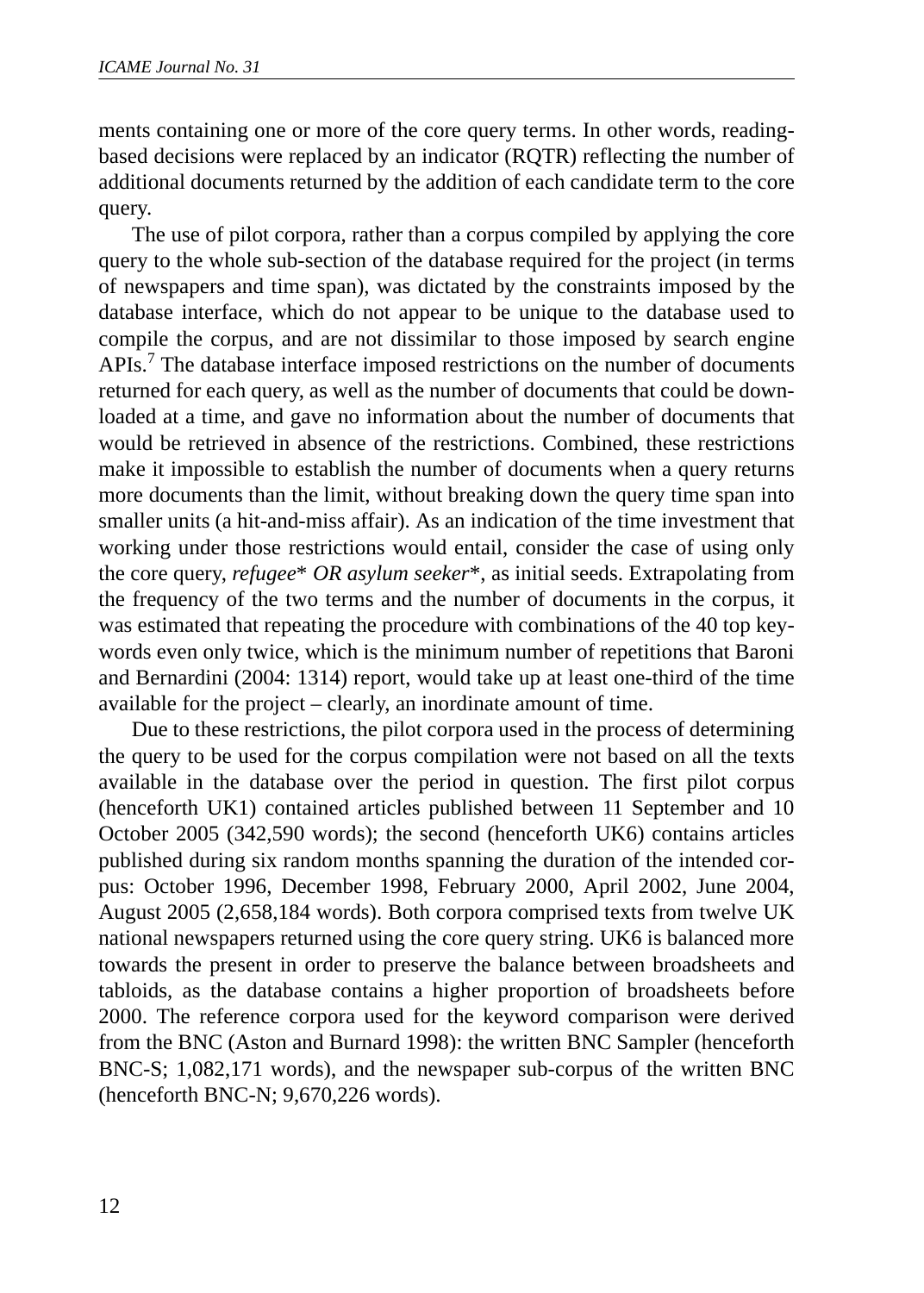ments containing one or more of the core query terms. In other words, readingbased decisions were replaced by an indicator (RQTR) reflecting the number of additional documents returned by the addition of each candidate term to the core query.

The use of pilot corpora, rather than a corpus compiled by applying the core query to the whole sub-section of the database required for the project (in terms of newspapers and time span), was dictated by the constraints imposed by the database interface, which do not appear to be unique to the database used to compile the corpus, and are not dissimilar to those imposed by search engine APIs.<sup>7</sup> The database interface imposed restrictions on the number of documents returned for each query, as well as the number of documents that could be downloaded at a time, and gave no information about the number of documents that would be retrieved in absence of the restrictions. Combined, these restrictions make it impossible to establish the number of documents when a query returns more documents than the limit, without breaking down the query time span into smaller units (a hit-and-miss affair). As an indication of the time investment that working under those restrictions would entail, consider the case of using only the core query, *refugee*\* *OR asylum seeker*\*, as initial seeds. Extrapolating from the frequency of the two terms and the number of documents in the corpus, it was estimated that repeating the procedure with combinations of the 40 top keywords even only twice, which is the minimum number of repetitions that Baroni and Bernardini (2004: 1314) report, would take up at least one-third of the time available for the project – clearly, an inordinate amount of time.

Due to these restrictions, the pilot corpora used in the process of determining the query to be used for the corpus compilation were not based on all the texts available in the database over the period in question. The first pilot corpus (henceforth UK1) contained articles published between 11 September and 10 October 2005 (342,590 words); the second (henceforth UK6) contains articles published during six random months spanning the duration of the intended corpus: October 1996, December 1998, February 2000, April 2002, June 2004, August 2005 (2,658,184 words). Both corpora comprised texts from twelve UK national newspapers returned using the core query string. UK6 is balanced more towards the present in order to preserve the balance between broadsheets and tabloids, as the database contains a higher proportion of broadsheets before 2000. The reference corpora used for the keyword comparison were derived from the BNC (Aston and Burnard 1998): the written BNC Sampler (henceforth BNC-S; 1,082,171 words), and the newspaper sub-corpus of the written BNC (henceforth BNC-N; 9,670,226 words).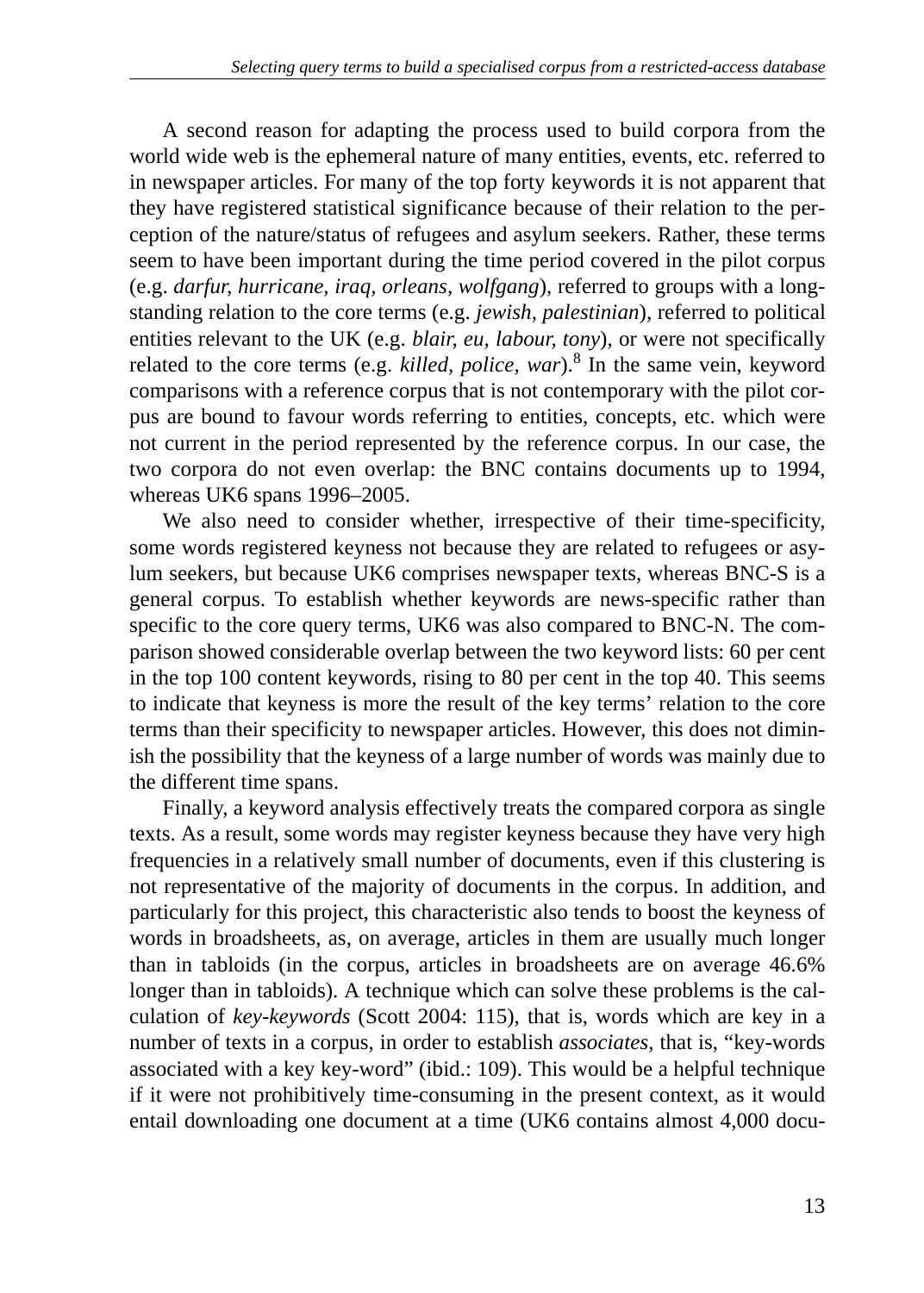A second reason for adapting the process used to build corpora from the world wide web is the ephemeral nature of many entities, events, etc. referred to in newspaper articles. For many of the top forty keywords it is not apparent that they have registered statistical significance because of their relation to the perception of the nature/status of refugees and asylum seekers. Rather, these terms seem to have been important during the time period covered in the pilot corpus (e.g. *darfur, hurricane, iraq, orleans, wolfgang*), referred to groups with a longstanding relation to the core terms (e.g. *jewish, palestinian*), referred to political entities relevant to the UK (e.g. *blair, eu, labour, tony*), or were not specifically related to the core terms (e.g. *killed, police, war*).<sup>8</sup> In the same vein, keyword comparisons with a reference corpus that is not contemporary with the pilot corpus are bound to favour words referring to entities, concepts, etc. which were not current in the period represented by the reference corpus. In our case, the two corpora do not even overlap: the BNC contains documents up to 1994, whereas UK6 spans 1996–2005.

We also need to consider whether, irrespective of their time-specificity, some words registered keyness not because they are related to refugees or asylum seekers, but because UK6 comprises newspaper texts, whereas BNC-S is a general corpus. To establish whether keywords are news-specific rather than specific to the core query terms, UK6 was also compared to BNC-N. The comparison showed considerable overlap between the two keyword lists: 60 per cent in the top 100 content keywords, rising to 80 per cent in the top 40. This seems to indicate that keyness is more the result of the key terms' relation to the core terms than their specificity to newspaper articles. However, this does not diminish the possibility that the keyness of a large number of words was mainly due to the different time spans.

Finally, a keyword analysis effectively treats the compared corpora as single texts. As a result, some words may register keyness because they have very high frequencies in a relatively small number of documents, even if this clustering is not representative of the majority of documents in the corpus. In addition, and particularly for this project, this characteristic also tends to boost the keyness of words in broadsheets, as, on average, articles in them are usually much longer than in tabloids (in the corpus, articles in broadsheets are on average 46.6% longer than in tabloids). A technique which can solve these problems is the calculation of *key-keywords* (Scott 2004: 115), that is, words which are key in a number of texts in a corpus, in order to establish *associates*, that is, "key-words associated with a key key-word" (ibid.: 109). This would be a helpful technique if it were not prohibitively time-consuming in the present context, as it would entail downloading one document at a time (UK6 contains almost 4,000 docu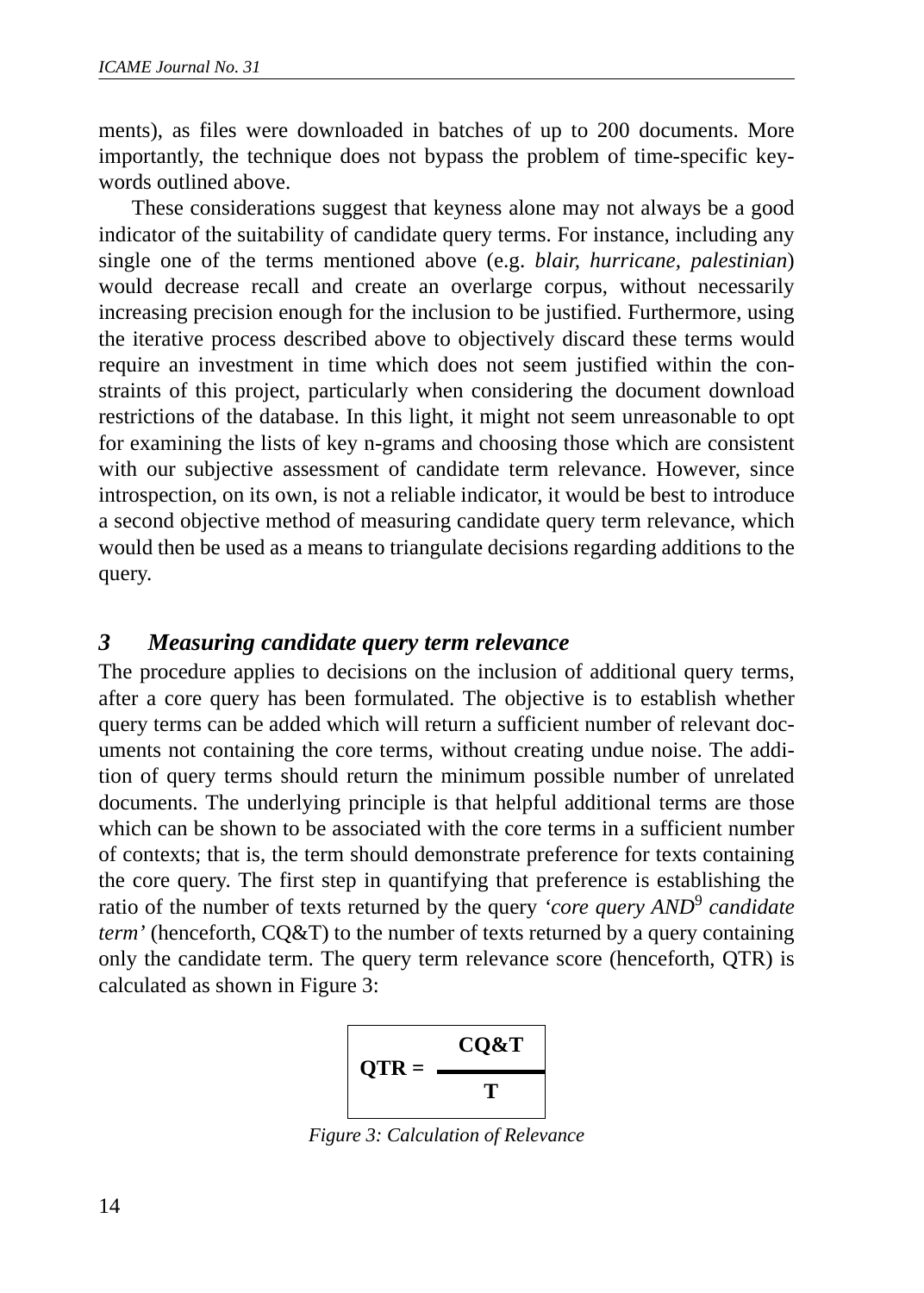ments), as files were downloaded in batches of up to 200 documents. More importantly, the technique does not bypass the problem of time-specific keywords outlined above.

These considerations suggest that keyness alone may not always be a good indicator of the suitability of candidate query terms. For instance, including any single one of the terms mentioned above (e.g. *blair, hurricane, palestinian*) would decrease recall and create an overlarge corpus, without necessarily increasing precision enough for the inclusion to be justified. Furthermore, using the iterative process described above to objectively discard these terms would require an investment in time which does not seem justified within the constraints of this project, particularly when considering the document download restrictions of the database. In this light, it might not seem unreasonable to opt for examining the lists of key n-grams and choosing those which are consistent with our subjective assessment of candidate term relevance. However, since introspection, on its own, is not a reliable indicator, it would be best to introduce a second objective method of measuring candidate query term relevance, which would then be used as a means to triangulate decisions regarding additions to the query.

#### *3 Measuring candidate query term relevance*

The procedure applies to decisions on the inclusion of additional query terms, after a core query has been formulated. The objective is to establish whether query terms can be added which will return a sufficient number of relevant documents not containing the core terms, without creating undue noise. The addition of query terms should return the minimum possible number of unrelated documents. The underlying principle is that helpful additional terms are those which can be shown to be associated with the core terms in a sufficient number of contexts; that is, the term should demonstrate preference for texts containing the core query. The first step in quantifying that preference is establishing the ratio of the number of texts returned by the query *'core query AND*<sup>9</sup>  *candidate term'* (henceforth, CQ&T) to the number of texts returned by a query containing only the candidate term. The query term relevance score (henceforth, QTR) is calculated as shown in Figure 3:



*Figure 3: Calculation of Relevance*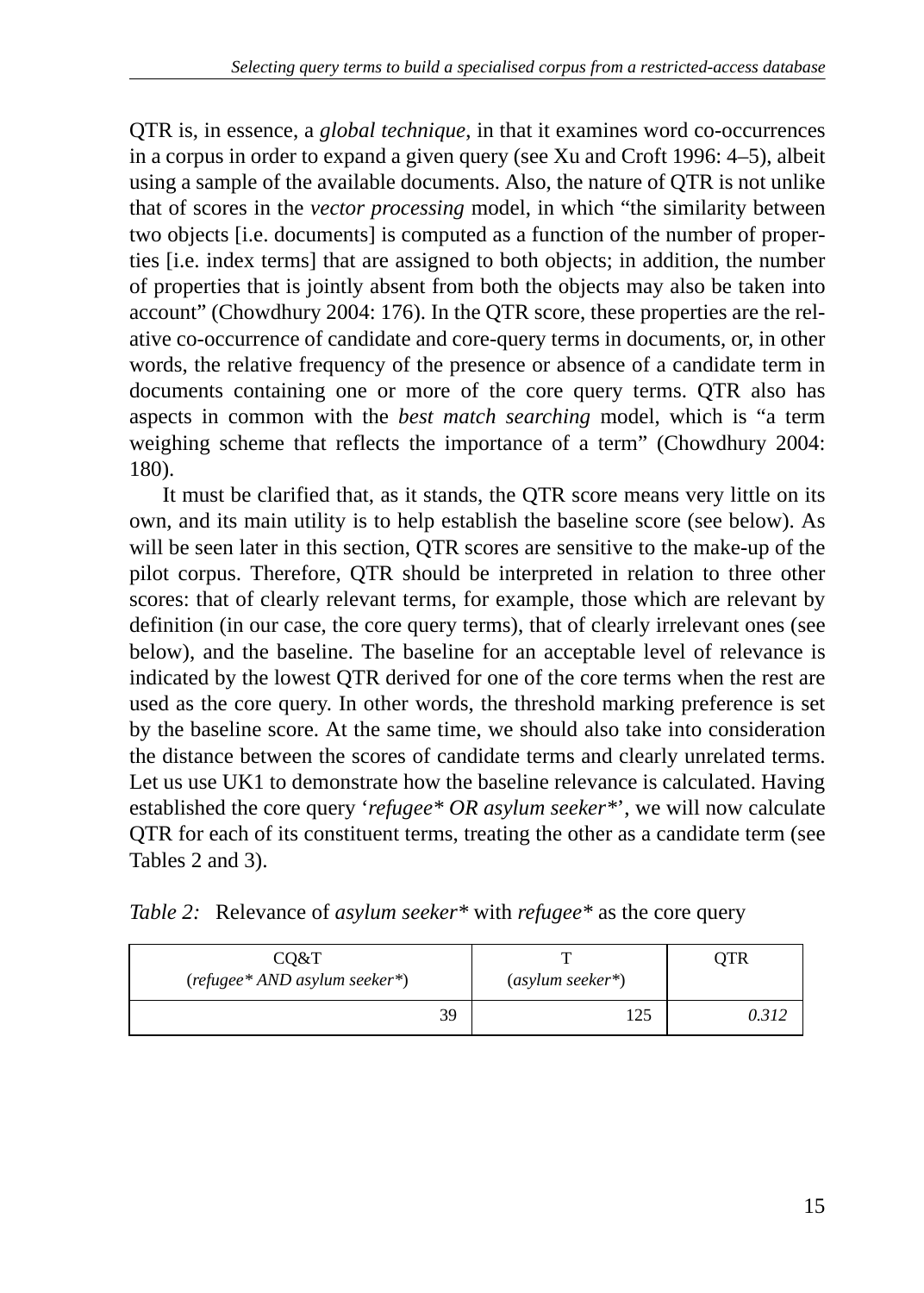QTR is, in essence, a *global technique*, in that it examines word co-occurrences in a corpus in order to expand a given query (see Xu and Croft 1996: 4–5), albeit using a sample of the available documents. Also, the nature of QTR is not unlike that of scores in the *vector processing* model, in which "the similarity between two objects [i.e. documents] is computed as a function of the number of properties [i.e. index terms] that are assigned to both objects; in addition, the number of properties that is jointly absent from both the objects may also be taken into account" (Chowdhury 2004: 176). In the QTR score, these properties are the relative co-occurrence of candidate and core-query terms in documents, or, in other words, the relative frequency of the presence or absence of a candidate term in documents containing one or more of the core query terms. QTR also has aspects in common with the *best match searching* model, which is "a term weighing scheme that reflects the importance of a term" (Chowdhury 2004: 180).

It must be clarified that, as it stands, the QTR score means very little on its own, and its main utility is to help establish the baseline score (see below). As will be seen later in this section, QTR scores are sensitive to the make-up of the pilot corpus. Therefore, QTR should be interpreted in relation to three other scores: that of clearly relevant terms, for example, those which are relevant by definition (in our case, the core query terms), that of clearly irrelevant ones (see below), and the baseline. The baseline for an acceptable level of relevance is indicated by the lowest QTR derived for one of the core terms when the rest are used as the core query. In other words, the threshold marking preference is set by the baseline score. At the same time, we should also take into consideration the distance between the scores of candidate terms and clearly unrelated terms. Let us use UK1 to demonstrate how the baseline relevance is calculated. Having established the core query '*refugee\* OR asylum seeker\**', we will now calculate QTR for each of its constituent terms, treating the other as a candidate term (see Tables 2 and 3).

| CO&T<br>(refugee* AND asylum seeker*) | $(asylum seeker*)$ |  |  |
|---------------------------------------|--------------------|--|--|
| ٦q                                    | ت که 1             |  |  |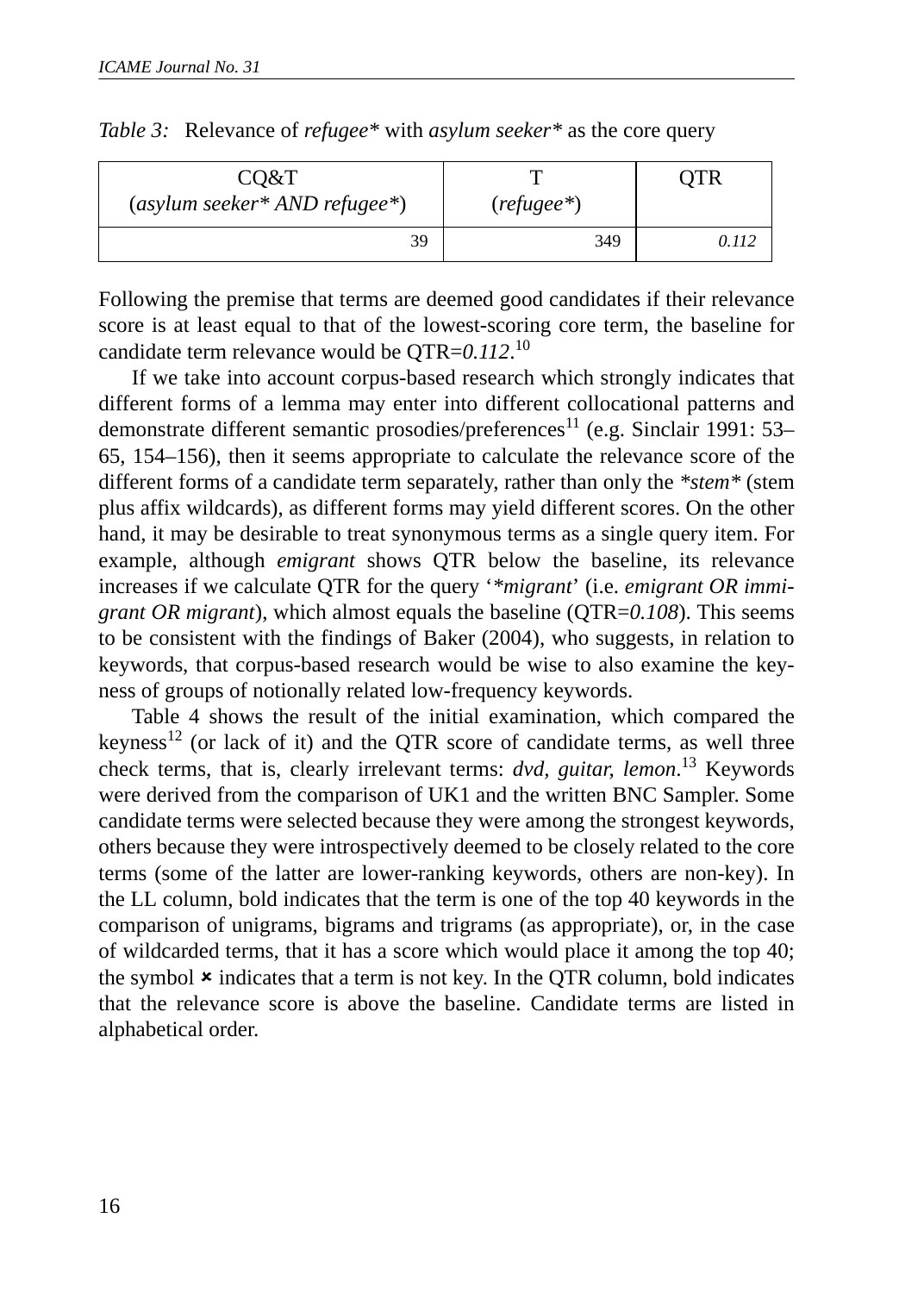| CO&T                            |             | TR    |
|---------------------------------|-------------|-------|
| $(asylum seeker* AND refugee*)$ | $(refuge*)$ |       |
| 39                              | 349         | I 112 |

| Table 3: Relevance of refugee* with asylum seeker* as the core query |  |  |  |
|----------------------------------------------------------------------|--|--|--|
|                                                                      |  |  |  |

Following the premise that terms are deemed good candidates if their relevance score is at least equal to that of the lowest-scoring core term, the baseline for candidate term relevance would be QTR=*0.112*. 10

If we take into account corpus-based research which strongly indicates that different forms of a lemma may enter into different collocational patterns and demonstrate different semantic prosodies/preferences<sup>11</sup> (e.g. Sinclair 1991: 53– 65, 154–156), then it seems appropriate to calculate the relevance score of the different forms of a candidate term separately, rather than only the *\*stem\** (stem plus affix wildcards), as different forms may yield different scores. On the other hand, it may be desirable to treat synonymous terms as a single query item. For example, although *emigrant* shows QTR below the baseline, its relevance increases if we calculate QTR for the query '*\*migrant*' (i.e. *emigrant OR immigrant OR migrant*), which almost equals the baseline (QTR=*0.108*). This seems to be consistent with the findings of Baker (2004), who suggests, in relation to keywords, that corpus-based research would be wise to also examine the keyness of groups of notionally related low-frequency keywords.

Table 4 shows the result of the initial examination, which compared the keyness<sup>12</sup> (or lack of it) and the QTR score of candidate terms, as well three check terms, that is, clearly irrelevant terms: *dvd, guitar, lemon*. 13 Keywords were derived from the comparison of UK1 and the written BNC Sampler. Some candidate terms were selected because they were among the strongest keywords, others because they were introspectively deemed to be closely related to the core terms (some of the latter are lower-ranking keywords, others are non-key). In the LL column, bold indicates that the term is one of the top 40 keywords in the comparison of unigrams, bigrams and trigrams (as appropriate), or, in the case of wildcarded terms, that it has a score which would place it among the top 40; the symbol  $\star$  indicates that a term is not key. In the QTR column, bold indicates that the relevance score is above the baseline. Candidate terms are listed in alphabetical order.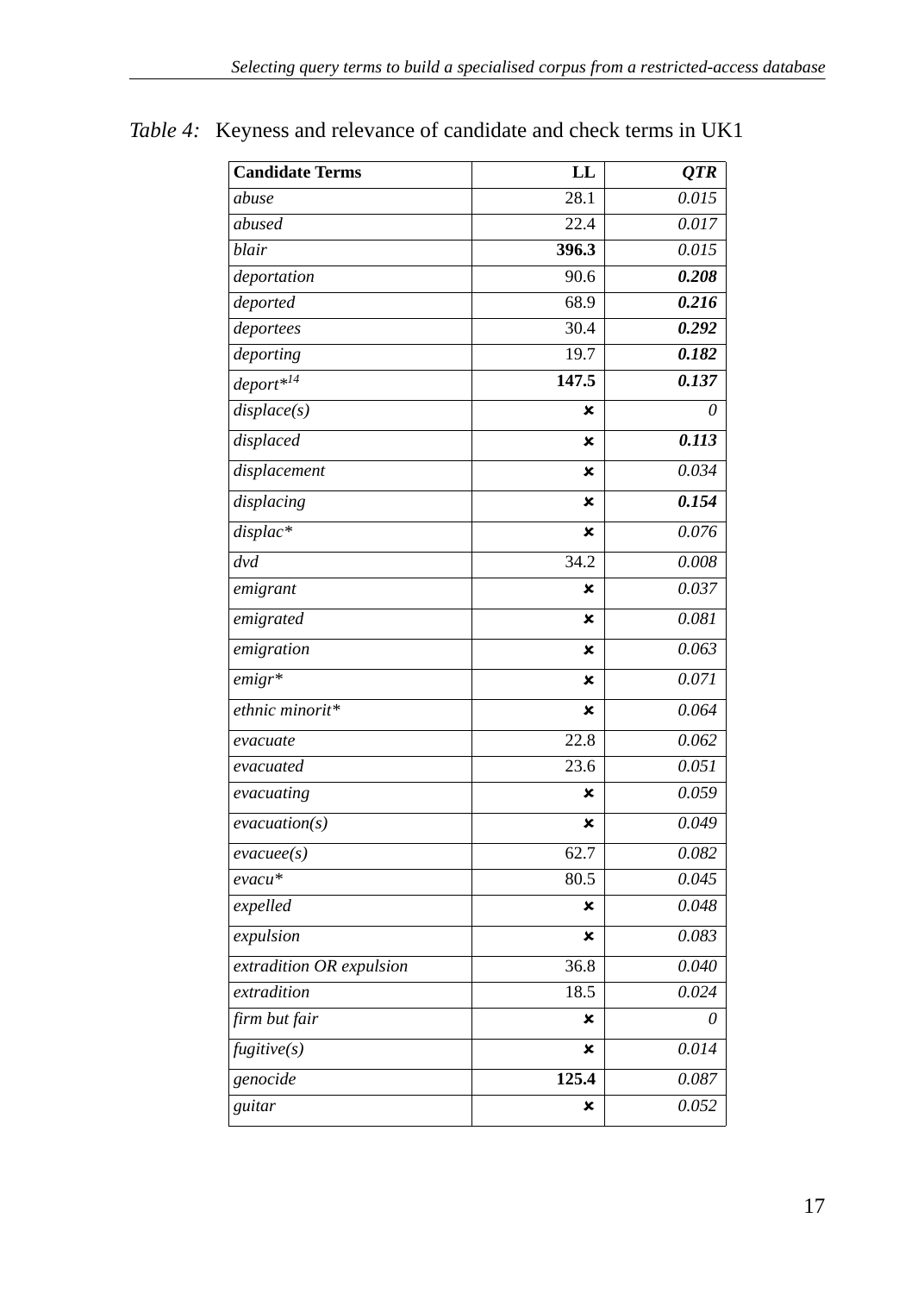| <b>Candidate Terms</b>   | LL    | <b>OTR</b> |
|--------------------------|-------|------------|
| abuse                    | 28.1  | 0.015      |
| abused                   | 22.4  | 0.017      |
| blair                    | 396.3 | 0.015      |
| deportation              | 90.6  | 0.208      |
| deported                 | 68.9  | 0.216      |
| deportees                | 30.4  | 0.292      |
| deporting                | 19.7  | 0.182      |
| deport* <sup>14</sup>    | 147.5 | 0.137      |
| displace(s)              | ×     | $\theta$   |
| displaced                | ×     | 0.113      |
| displacement             | ×     | 0.034      |
| displacing               | ×     | 0.154      |
| displac*                 | ×     | 0.076      |
| dvd                      | 34.2  | 0.008      |
| emigrant                 | ×     | 0.037      |
| emigrated                | ×     | 0.081      |
| emigration               | ×     | 0.063      |
| $emigr*$                 | ×     | 0.071      |
| ethnic minorit*          | ×     | 0.064      |
| evacuate                 | 22.8  | 0.062      |
| evacuated                | 23.6  | 0.051      |
| evacuating               | ×     | 0.059      |
| evacuation(s)            | ×     | 0.049      |
| $\mathit{evacuee}(s)$    | 62.7  | 0.082      |
| evacu*                   | 80.5  | 0.045      |
| expelled                 | ×     | 0.048      |
| expulsion                | ×     | 0.083      |
| extradition OR expulsion | 36.8  | 0.040      |
| extradition              | 18.5  | 0.024      |
| firm but fair            | ×     | 0          |
| fugitive(s)              | ×     | 0.014      |
| genocide                 | 125.4 | 0.087      |
| guitar                   | ×     | 0.052      |

*Table 4:* Keyness and relevance of candidate and check terms in UK1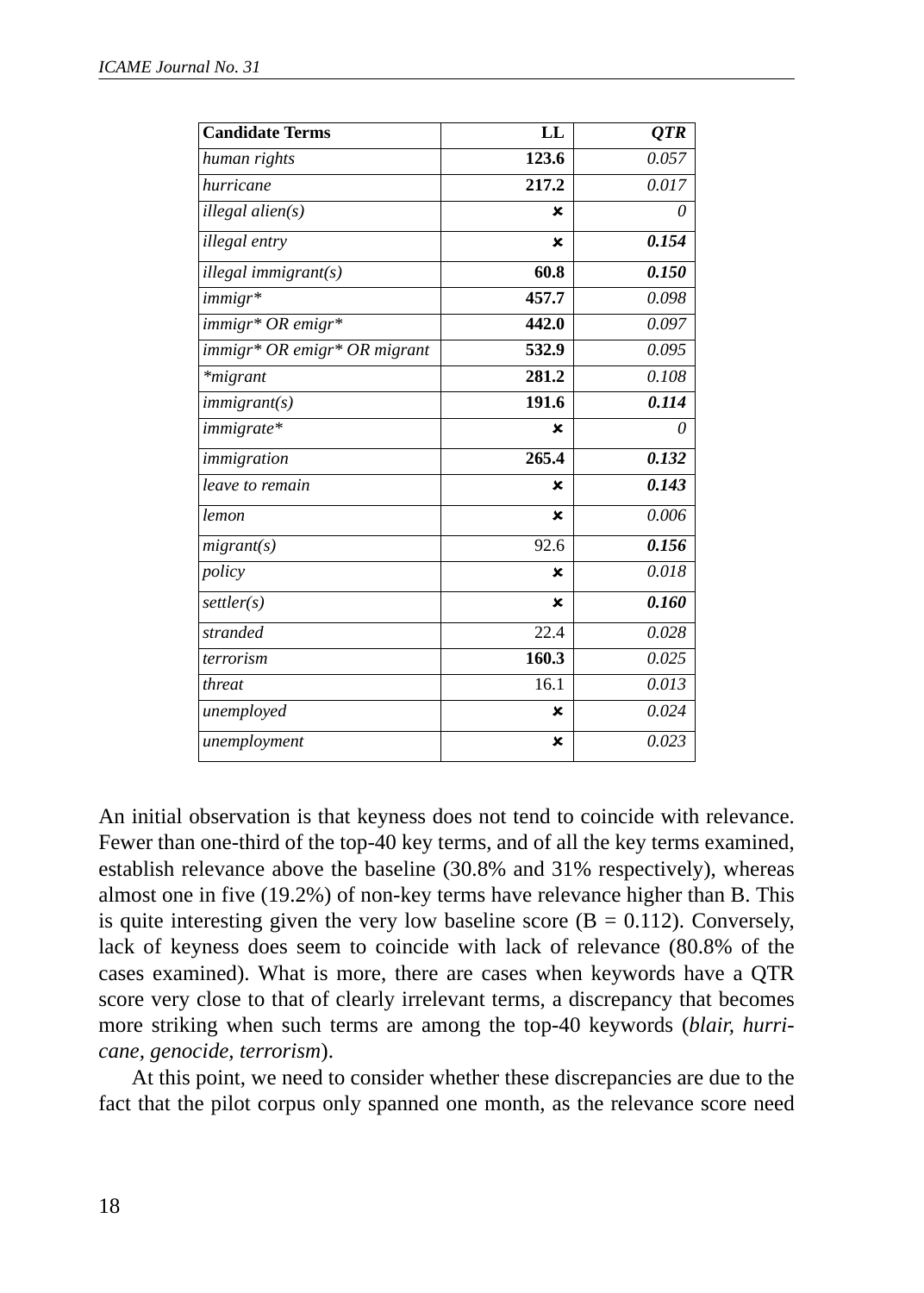| <b>Candidate Terms</b>       | LL          | <b>OTR</b> |
|------------------------------|-------------|------------|
| human rights                 | 123.6       | 0.057      |
| hurricane                    | 217.2       | 0.017      |
| illegal alien(s)             | ×           | 0          |
| illegal entry                | ×           | 0.154      |
| illegal immigrant(s)         | 60.8        | 0.150      |
| immigr*                      | 457.7       | 0.098      |
| immigr* OR emigr*            | 442.0       | 0.097      |
| immigr* OR emigr* OR migrant | 532.9       | 0.095      |
| *migrant                     | 281.2       | 0.108      |
| immigrant(s)                 | 191.6       | 0.114      |
| immigrate*                   | ×           | $\theta$   |
| immigration                  | 265.4       | 0.132      |
| leave to remain              | ×           | 0.143      |
| lemon                        | $\mathbf x$ | 0.006      |
| migrant(s)                   | 92.6        | 0.156      |
| policy                       | ×           | 0.018      |
| settler(s)                   | $\mathbf x$ | 0.160      |
| stranded                     | 22.4        | 0.028      |
| terrorism                    | 160.3       | 0.025      |
| threat                       | 16.1        | 0.013      |
| unemployed                   | ×           | 0.024      |
| unemployment                 | ×           | 0.023      |

An initial observation is that keyness does not tend to coincide with relevance. Fewer than one-third of the top-40 key terms, and of all the key terms examined, establish relevance above the baseline (30.8% and 31% respectively), whereas almost one in five (19.2%) of non-key terms have relevance higher than B. This is quite interesting given the very low baseline score  $(B = 0.112)$ . Conversely, lack of keyness does seem to coincide with lack of relevance (80.8% of the cases examined). What is more, there are cases when keywords have a QTR score very close to that of clearly irrelevant terms, a discrepancy that becomes more striking when such terms are among the top-40 keywords (*blair, hurricane, genocide, terrorism*).

At this point, we need to consider whether these discrepancies are due to the fact that the pilot corpus only spanned one month, as the relevance score need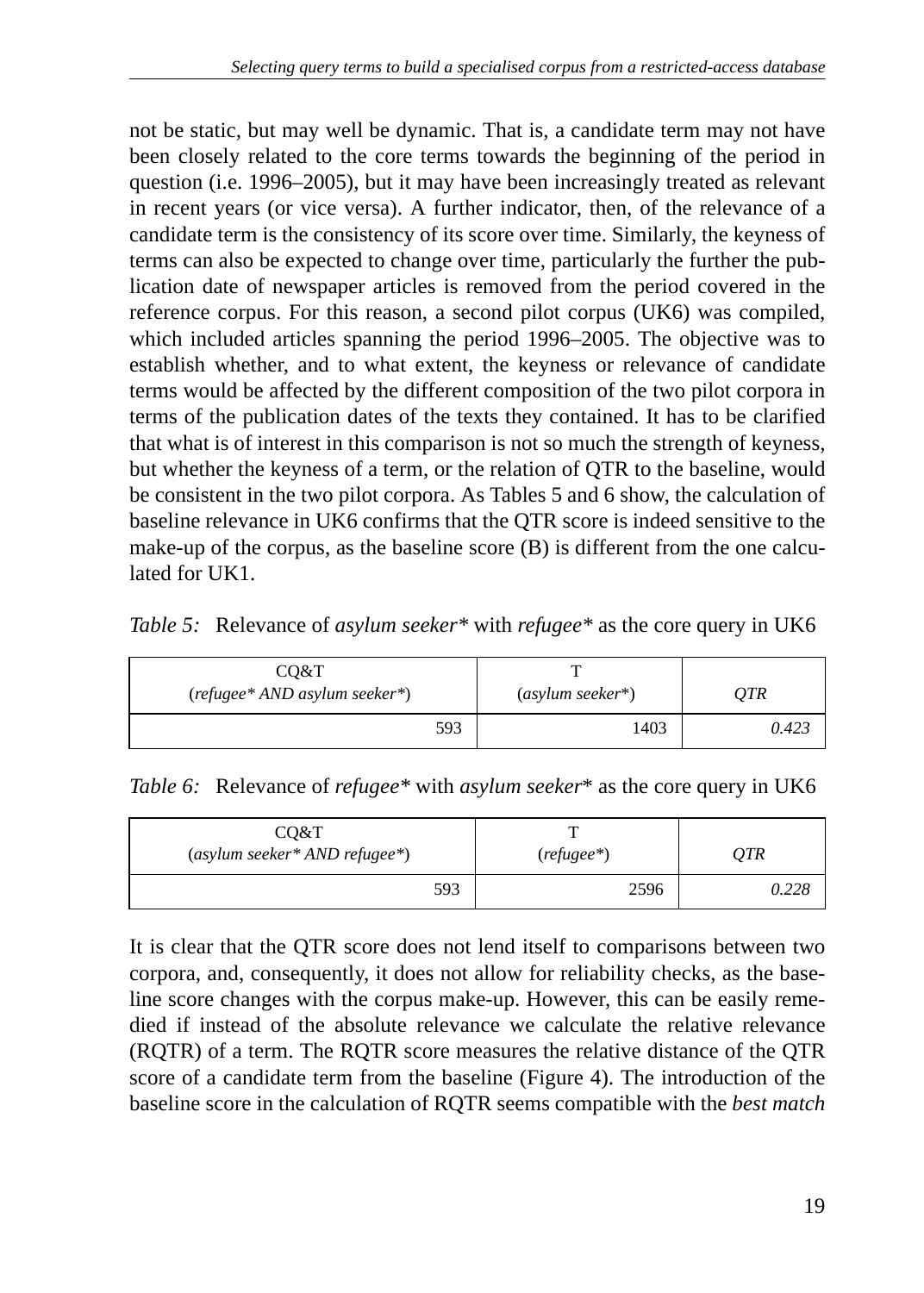not be static, but may well be dynamic. That is, a candidate term may not have been closely related to the core terms towards the beginning of the period in question (i.e. 1996–2005), but it may have been increasingly treated as relevant in recent years (or vice versa). A further indicator, then, of the relevance of a candidate term is the consistency of its score over time. Similarly, the keyness of terms can also be expected to change over time, particularly the further the publication date of newspaper articles is removed from the period covered in the reference corpus. For this reason, a second pilot corpus (UK6) was compiled, which included articles spanning the period 1996–2005. The objective was to establish whether, and to what extent, the keyness or relevance of candidate terms would be affected by the different composition of the two pilot corpora in terms of the publication dates of the texts they contained. It has to be clarified that what is of interest in this comparison is not so much the strength of keyness, but whether the keyness of a term, or the relation of QTR to the baseline, would be consistent in the two pilot corpora. As Tables 5 and 6 show, the calculation of baseline relevance in UK6 confirms that the QTR score is indeed sensitive to the make-up of the corpus, as the baseline score (B) is different from the one calculated for UK1.

*Table 5:* Relevance of *asylum seeker\** with *refugee\** as the core query in UK6

| CO&T<br>(refugee* AND asylum seeker*) | $(asylum seeker*)$ | OTR   |  |
|---------------------------------------|--------------------|-------|--|
| 593                                   | 1403               | 0.423 |  |

*Table 6:* Relevance of *refugee\** with *asylum seeker*\* as the core query in UK6

| CO&T<br>$(asylum seeker*ANDrefugee*)$ | $(refuge*)$ | QTR   |  |
|---------------------------------------|-------------|-------|--|
| 593                                   | 2596        | 0.228 |  |

It is clear that the QTR score does not lend itself to comparisons between two corpora, and, consequently, it does not allow for reliability checks, as the baseline score changes with the corpus make-up. However, this can be easily remedied if instead of the absolute relevance we calculate the relative relevance (RQTR) of a term. The RQTR score measures the relative distance of the QTR score of a candidate term from the baseline (Figure 4). The introduction of the baseline score in the calculation of RQTR seems compatible with the *best match*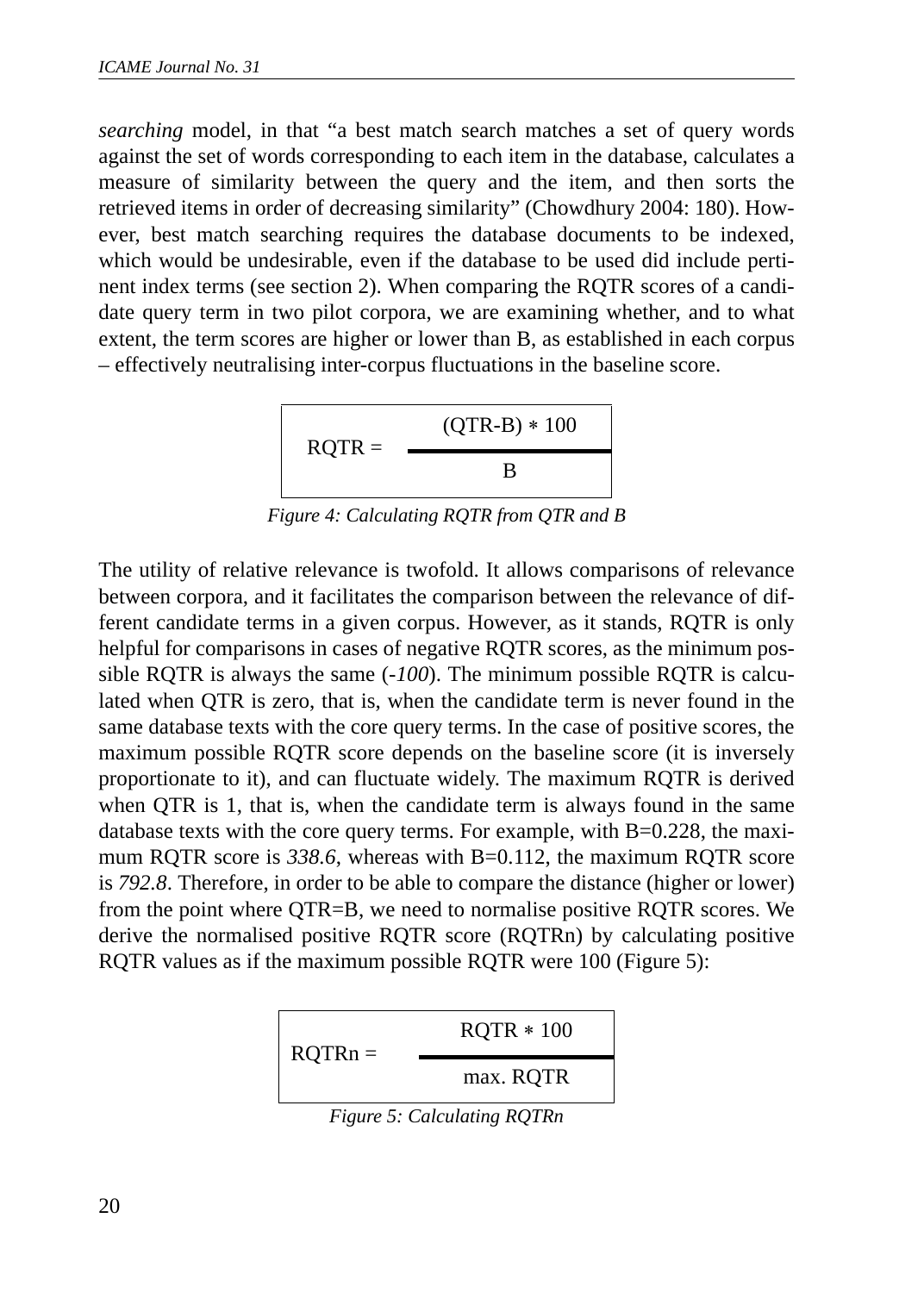*searching* model, in that "a best match search matches a set of query words against the set of words corresponding to each item in the database, calculates a measure of similarity between the query and the item, and then sorts the retrieved items in order of decreasing similarity" (Chowdhury 2004: 180). However, best match searching requires the database documents to be indexed, which would be undesirable, even if the database to be used did include pertinent index terms (see section 2). When comparing the RQTR scores of a candidate query term in two pilot corpora, we are examining whether, and to what extent, the term scores are higher or lower than B, as established in each corpus – effectively neutralising inter-corpus fluctuations in the baseline score.

$$
RQTR = \frac{(QTR-B) * 100}{B}
$$

*Figure 4: Calculating RQTR from QTR and B*

The utility of relative relevance is twofold. It allows comparisons of relevance between corpora, and it facilitates the comparison between the relevance of different candidate terms in a given corpus. However, as it stands, RQTR is only helpful for comparisons in cases of negative RQTR scores, as the minimum possible RQTR is always the same (*-100*). The minimum possible RQTR is calculated when QTR is zero, that is, when the candidate term is never found in the same database texts with the core query terms. In the case of positive scores, the maximum possible RQTR score depends on the baseline score (it is inversely proportionate to it), and can fluctuate widely. The maximum RQTR is derived when QTR is 1, that is, when the candidate term is always found in the same database texts with the core query terms. For example, with  $B=0.228$ , the maximum RQTR score is 338.6, whereas with B=0.112, the maximum RQTR score is *792.8*. Therefore, in order to be able to compare the distance (higher or lower) from the point where QTR=B, we need to normalise positive RQTR scores. We derive the normalised positive RQTR score (RQTRn) by calculating positive RQTR values as if the maximum possible RQTR were 100 (Figure 5):



*Figure 5: Calculating RQTRn*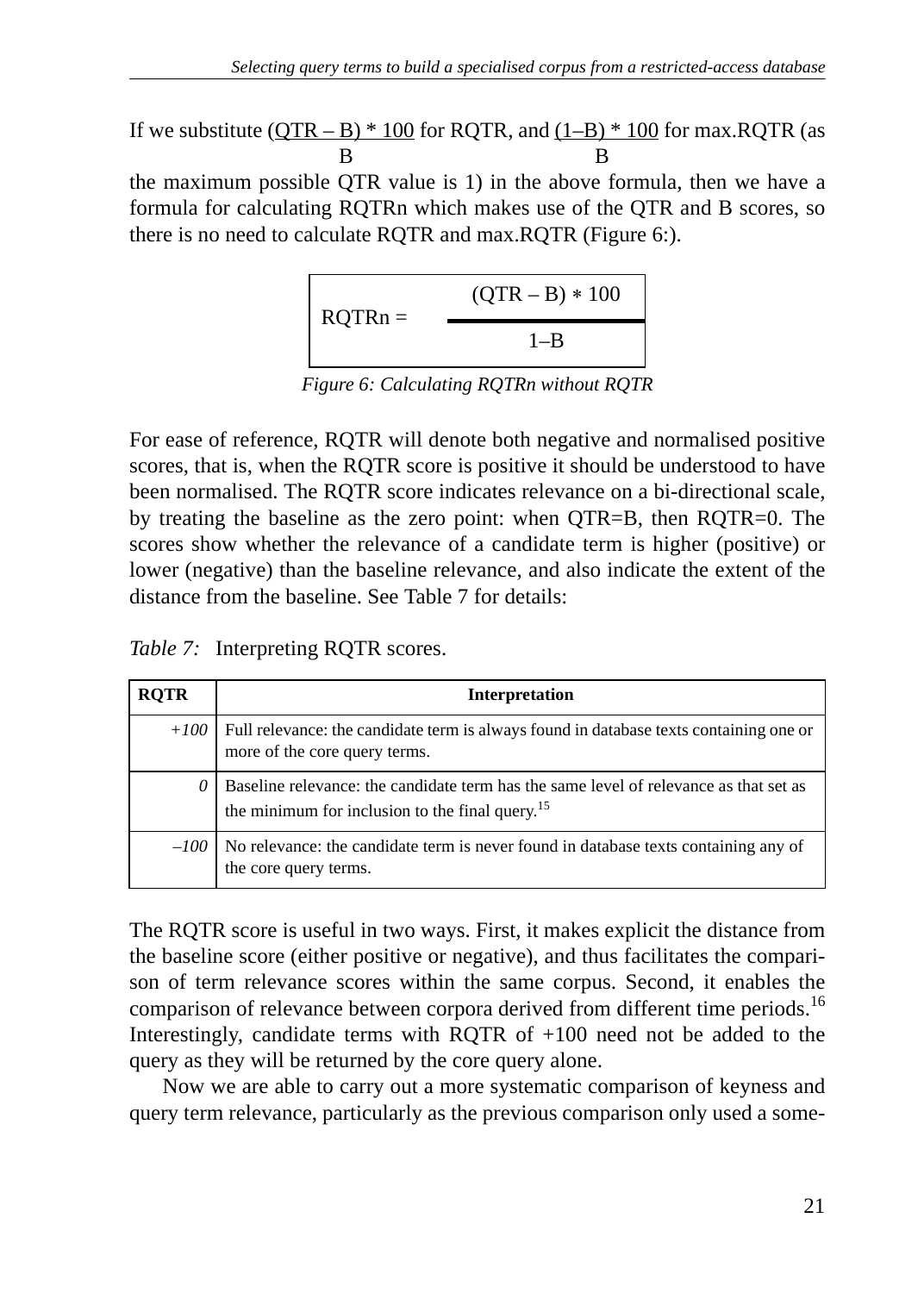If we substitute  $(QTR - B) * 100$  for RQTR, and  $(1-B) * 100$  for max.RQTR (as B B

the maximum possible QTR value is 1) in the above formula, then we have a formula for calculating RQTRn which makes use of the QTR and B scores, so there is no need to calculate RQTR and max.RQTR (Figure 6:).

$$
RQTRn = \frac{(QTR - B) * 100}{1 - B}
$$

*Figure 6: Calculating RQTRn without RQTR*

For ease of reference, RQTR will denote both negative and normalised positive scores, that is, when the RQTR score is positive it should be understood to have been normalised. The RQTR score indicates relevance on a bi-directional scale, by treating the baseline as the zero point: when QTR=B, then RQTR=0. The scores show whether the relevance of a candidate term is higher (positive) or lower (negative) than the baseline relevance, and also indicate the extent of the distance from the baseline. See Table 7 for details:

*Table 7:* Interpreting RQTR scores.

| <b>ROTR</b> | Interpretation                                                                                                                                       |
|-------------|------------------------------------------------------------------------------------------------------------------------------------------------------|
|             | $+100$ Full relevance: the candidate term is always found in database texts containing one or<br>more of the core query terms.                       |
| 0           | Baseline relevance: the candidate term has the same level of relevance as that set as<br>the minimum for inclusion to the final query. <sup>15</sup> |
|             | $-100$   No relevance: the candidate term is never found in database texts containing any of<br>the core query terms.                                |

The RQTR score is useful in two ways. First, it makes explicit the distance from the baseline score (either positive or negative), and thus facilitates the comparison of term relevance scores within the same corpus. Second, it enables the comparison of relevance between corpora derived from different time periods.<sup>16</sup> Interestingly, candidate terms with RQTR of +100 need not be added to the query as they will be returned by the core query alone.

Now we are able to carry out a more systematic comparison of keyness and query term relevance, particularly as the previous comparison only used a some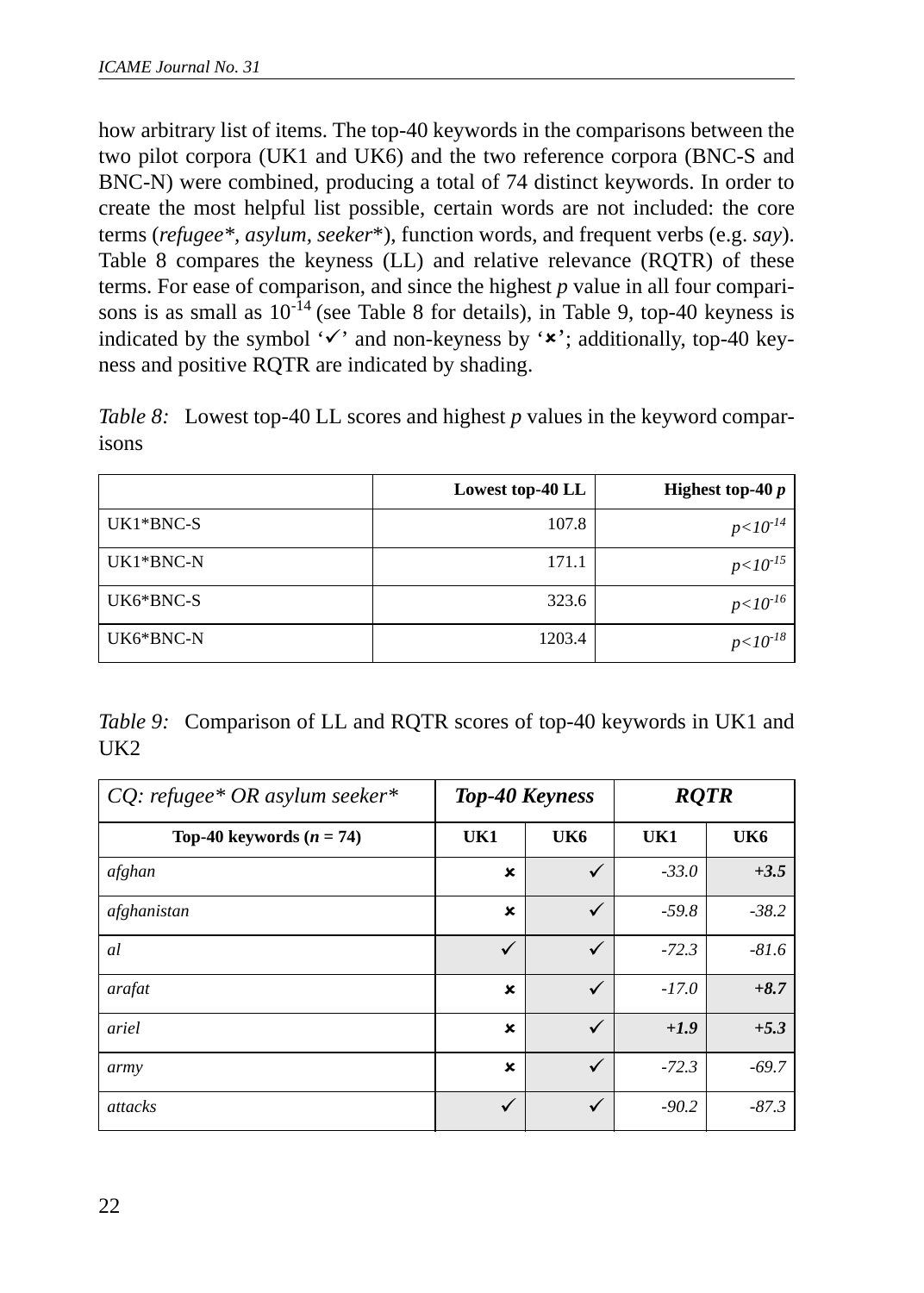how arbitrary list of items. The top-40 keywords in the comparisons between the two pilot corpora (UK1 and UK6) and the two reference corpora (BNC-S and BNC-N) were combined, producing a total of 74 distinct keywords. In order to create the most helpful list possible, certain words are not included: the core terms (*refugee\*, asylum, seeker*\*), function words, and frequent verbs (e.g. *say*). Table 8 compares the keyness (LL) and relative relevance (RQTR) of these terms. For ease of comparison, and since the highest *p* value in all four comparisons is as small as  $10^{-14}$  (see Table 8 for details), in Table 9, top-40 keyness is indicated by the symbol ' $\checkmark$ ' and non-keyness by ' $\checkmark$ '; additionally, top-40 keyness and positive RQTR are indicated by shading.

*Table 8:* Lowest top-40 LL scores and highest *p* values in the keyword comparisons

|           | Lowest top-40 LL | Highest top-40 $p$ |
|-----------|------------------|--------------------|
| UK1*BNC-S | 107.8            | $p<10^{-14}$       |
| UK1*BNC-N | 171.1            | $p<10^{-15}$       |
| UK6*BNC-S | 323.6            | $p<10^{-16}$       |
| UK6*BNC-N | 1203.4           | $p < 10^{-18}$     |

*Table 9:* Comparison of LL and RQTR scores of top-40 keywords in UK1 and UK2

| $CQ$ : refugee* OR asylum seeker* | <b>Top-40 Keyness</b>     |     | <b>RQTR</b> |         |
|-----------------------------------|---------------------------|-----|-------------|---------|
| Top-40 keywords $(n = 74)$        | UK1                       | UK6 | UK1         | UK6     |
| afghan                            | ×                         | ✓   | $-33.0$     | $+3.5$  |
| afghanistan                       | ×                         | ✓   | $-59.8$     | $-38.2$ |
| al                                | ✓                         | ✓   | $-72.3$     | $-81.6$ |
| arafat                            | $\boldsymbol{\mathsf{x}}$ | ✓   | $-17.0$     | $+8.7$  |
| ariel                             | ×                         | ✓   | $+1.9$      | $+5.3$  |
| army                              | ×                         | ✓   | $-72.3$     | $-69.7$ |
| attacks                           | ✓                         | ✓   | $-90.2$     | $-87.3$ |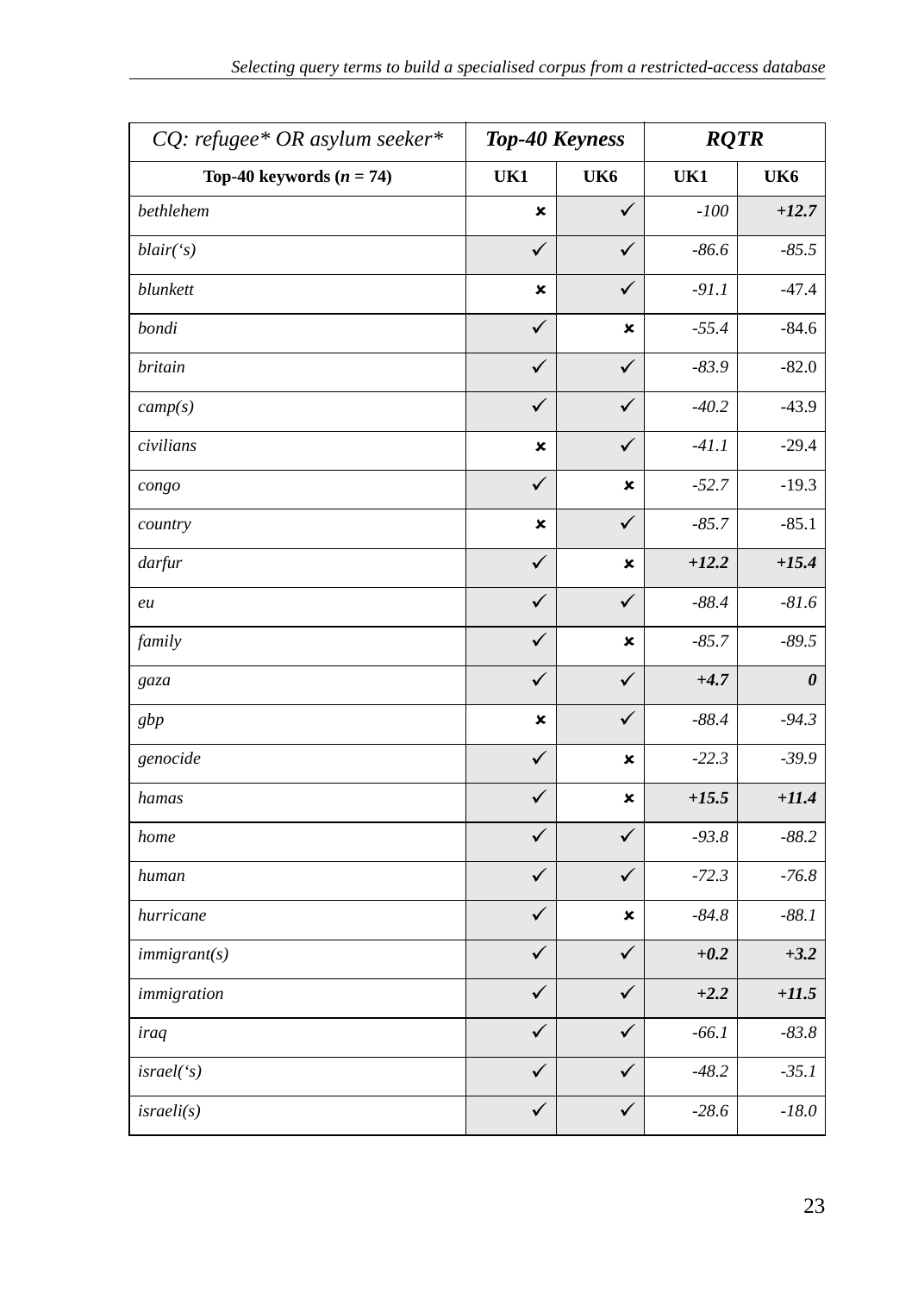| CQ: refugee* OR asylum seeker* | Top-40 Keyness            |              | <b>RQTR</b> |                       |
|--------------------------------|---------------------------|--------------|-------------|-----------------------|
| Top-40 keywords $(n = 74)$     | UK1                       | UK6          | UK1         | UK6                   |
| bethlehem                      | ×                         | $\checkmark$ | $-100$      | $+12.7$               |
| blair('s)                      | ✓                         | ✓            | $-86.6$     | $-85.5$               |
| blunkett                       | $\mathbf x$               | ✓            | $-91.1$     | $-47.4$               |
| bondi                          | ✓                         | ×            | $-55.4$     | $-84.6$               |
| britain                        | ✓                         | ✓            | $-83.9$     | $-82.0$               |
| camp(s)                        | ✓                         | ✓            | $-40.2$     | $-43.9$               |
| civilians                      | $\boldsymbol{\mathsf{x}}$ | ✓            | $-41.1$     | $-29.4$               |
| congo                          | ✓                         | ×            | $-52.7$     | $-19.3$               |
| country                        | $\boldsymbol{\mathsf{x}}$ | $\checkmark$ | $-85.7$     | $-85.1$               |
| darfur                         | ✓                         | ×            | $+12.2$     | $+15.4$               |
| eu                             | ✓                         | $\checkmark$ | $-88.4$     | $-81.6$               |
| family                         | ✓                         | ×            | $-85.7$     | $-89.5$               |
| gaza                           | ✓                         | ✓            | $+4.7$      | $\boldsymbol{\theta}$ |
| gbp                            | ×                         | ✓            | $-88.4$     | $-94.3$               |
| genocide                       | ✓                         | ×            | $-22.3$     | $-39.9$               |
| hamas                          | ✓                         | ×            | $+15.5$     | $+11.4$               |
| home                           | ✓                         | $\checkmark$ | $-93.8$     | $-88.2$               |
| human                          | ✓                         | $\checkmark$ | $-72.3$     | $-76.8$               |
| hurricane                      | ✓                         | ×            | $-84.8$     | $-88.1$               |
| immigrant(s)                   | ✓                         | ✓            | $+0.2$      | $+3.2$                |
| immigration                    | ✓                         | ✓            | $+2.2$      | $+11.5$               |
| iraq                           | ✓                         | ✓            | $-66.1$     | $-83.8$               |
| israel('s)                     | ✓                         | ✓            | $-48.2$     | $-35.1$               |
| israeli(s)                     | ✓                         | ✓            | $-28.6$     | $-18.0$               |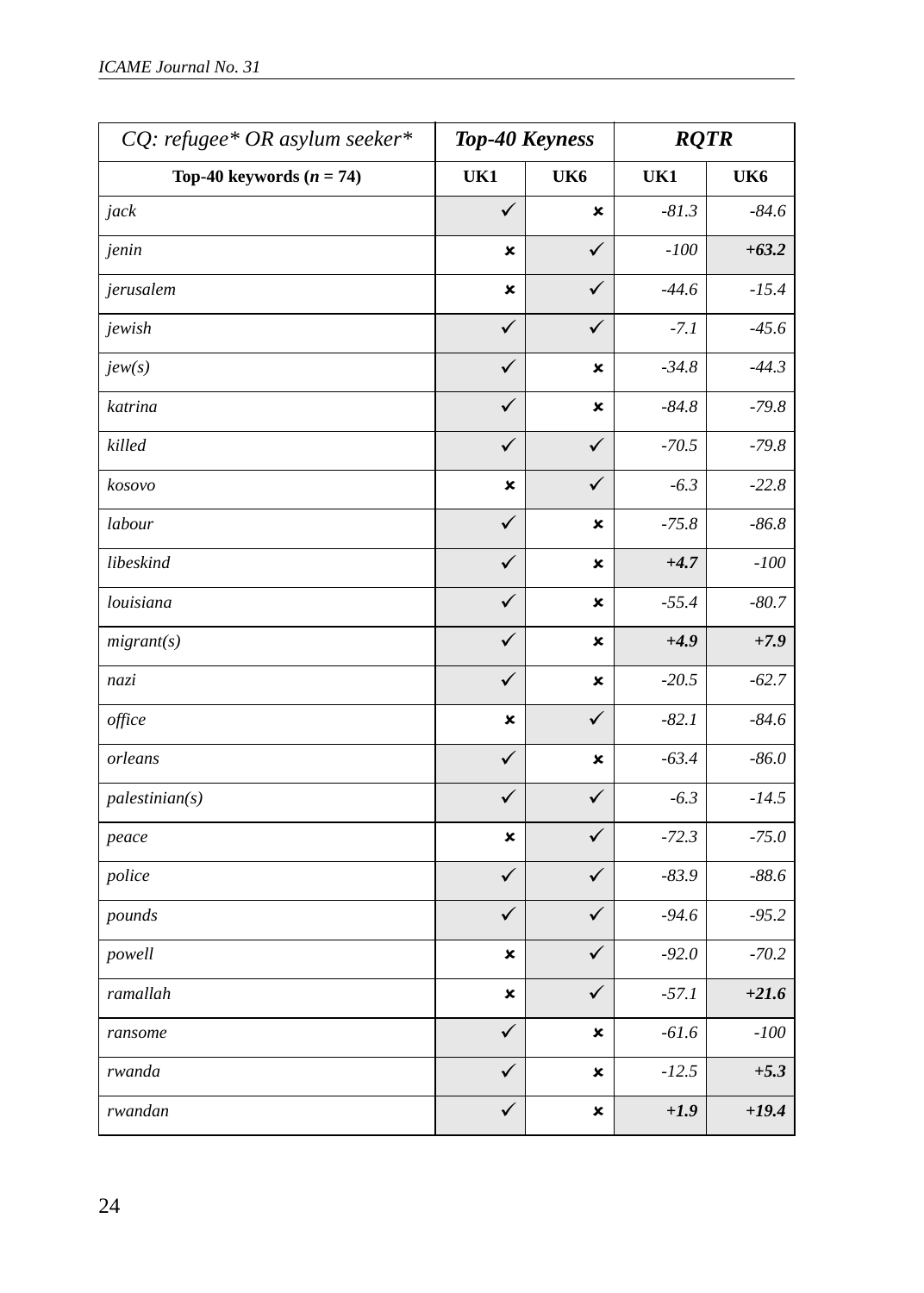| CQ: refugee* OR asylum seeker* | Top-40 Keyness |              | <b>RQTR</b> |         |
|--------------------------------|----------------|--------------|-------------|---------|
| Top-40 keywords $(n = 74)$     | UK1            | UK6          | UK1         | UK6     |
| jack                           | $\checkmark$   | ×            | $-81.3$     | $-84.6$ |
| jenin                          | ×              | ✓            | $-100$      | $+63.2$ |
| jerusalem                      | ×              | ✓            | $-44.6$     | $-15.4$ |
| jewish                         | ✓              | $\checkmark$ | $-7.1$      | $-45.6$ |
| jew(s)                         | ✓              | ×            | $-34.8$     | $-44.3$ |
| katrina                        | ✓              | ×            | $-84.8$     | $-79.8$ |
| killed                         | ✓              | ✓            | $-70.5$     | $-79.8$ |
| kosovo                         | ×              | $\checkmark$ | $-6.3$      | $-22.8$ |
| labour                         | $\checkmark$   | ×            | $-75.8$     | $-86.8$ |
| libeskind                      | ✓              | ×            | $+4.7$      | $-100$  |
| louisiana                      | ✓              | ×            | $-55.4$     | $-80.7$ |
| migrant(s)                     | ✓              | ×            | $+4.9$      | $+7.9$  |
| nazi                           | ✓              | ×            | $-20.5$     | $-62.7$ |
| office                         | ×              | ✓            | $-82.1$     | $-84.6$ |
| orleans                        | ✓              | ×            | $-63.4$     | $-86.0$ |
| palestinian(s)                 | $\checkmark$   | ✓            | $-6.3$      | $-14.5$ |
| peace                          | ×              | $\checkmark$ | $-72.3$     | $-75.0$ |
| police                         | ✓              | ✓            | $-83.9$     | $-88.6$ |
| pounds                         | ✓              | ✓            | $-94.6$     | $-95.2$ |
| powell                         | ×              | ✓            | $-92.0$     | $-70.2$ |
| ramallah                       | ×              | $\checkmark$ | $-57.1$     | $+21.6$ |
| ransome                        | ✓              | ×            | $-61.6$     | $-100$  |
| rwanda                         | ✓              | ×            | $-12.5$     | $+5.3$  |
| rwandan                        | ✓              | ×            | $+1.9$      | $+19.4$ |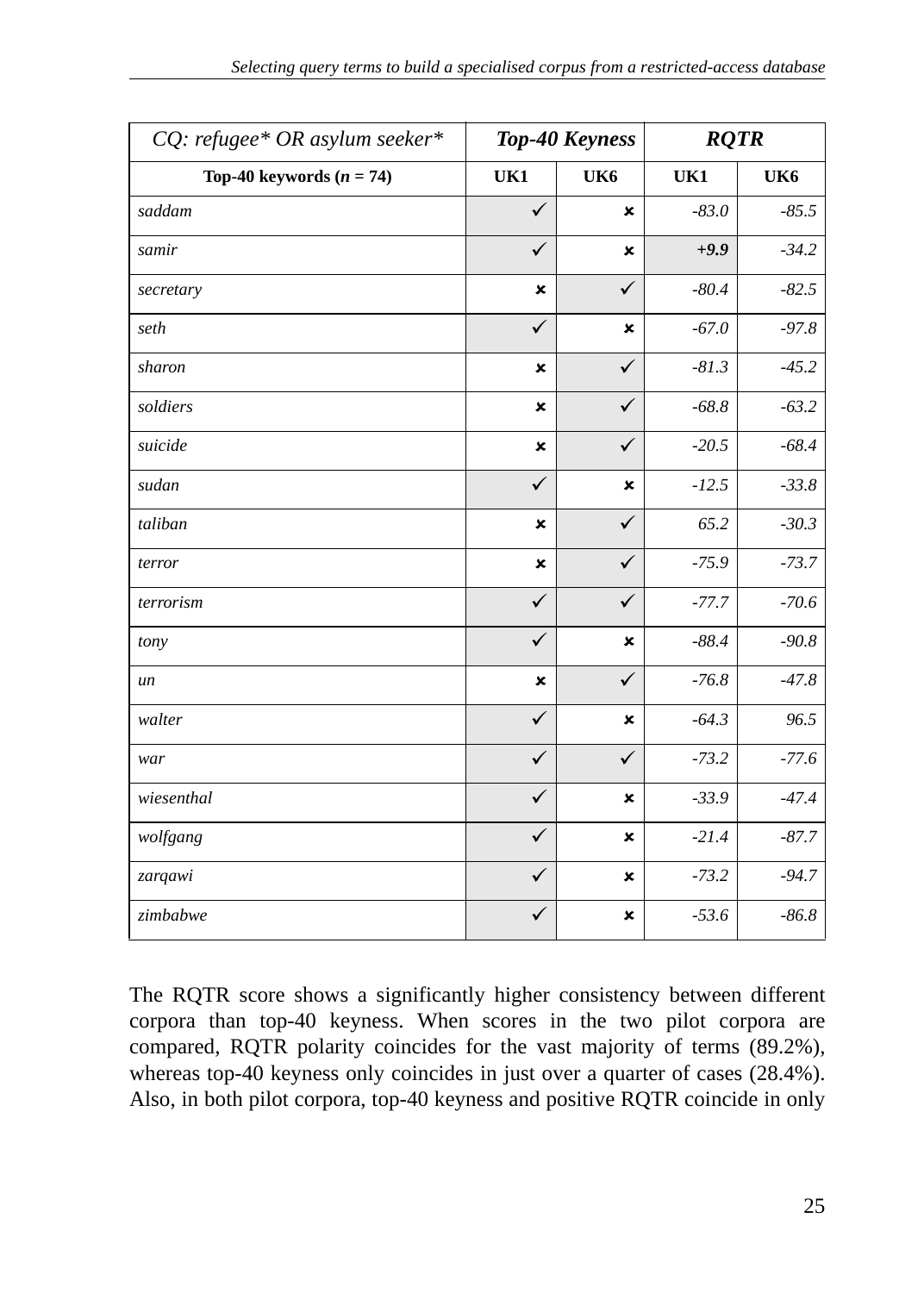| CQ: refugee* OR asylum seeker* |                           | Top-40 Keyness |         | <b>RQTR</b> |  |
|--------------------------------|---------------------------|----------------|---------|-------------|--|
| Top-40 keywords $(n = 74)$     | UK1                       | UK6            | UK1     | UK6         |  |
| saddam                         | $\checkmark$              | ×              | $-83.0$ | $-85.5$     |  |
| samir                          | $\checkmark$              | ×              | $+9.9$  | $-34.2$     |  |
| secretary                      | $\boldsymbol{\mathsf{x}}$ | $\checkmark$   | $-80.4$ | $-82.5$     |  |
| seth                           | $\checkmark$              | ×              | $-67.0$ | $-97.8$     |  |
| sharon                         | ×                         | $\checkmark$   | $-81.3$ | $-45.2$     |  |
| soldiers                       | ×                         | ✓              | $-68.8$ | $-63.2$     |  |
| suicide                        | ×                         | $\checkmark$   | $-20.5$ | $-68.4$     |  |
| sudan                          | $\checkmark$              | $\pmb{\times}$ | $-12.5$ | $-33.8$     |  |
| taliban                        | ×                         | $\checkmark$   | 65.2    | $-30.3$     |  |
| terror                         | ×                         | $\checkmark$   | $-75.9$ | $-73.7$     |  |
| terrorism                      | $\checkmark$              | ✓              | $-77.7$ | $-70.6$     |  |
| tony                           | $\checkmark$              | ×              | $-88.4$ | $-90.8$     |  |
| un                             | ×                         | $\checkmark$   | $-76.8$ | $-47.8$     |  |
| walter                         | $\checkmark$              | ×              | $-64.3$ | 96.5        |  |
| war                            | $\checkmark$              | ✓              | $-73.2$ | $-77.6$     |  |
| wiesenthal                     | $\checkmark$              | ×              | $-33.9$ | $-47.4$     |  |
| wolfgang                       | $\checkmark$              | ×              | $-21.4$ | $-87.7$     |  |
| zarqawi                        | ✓                         | ×              | $-73.2$ | $-94.7$     |  |
| zimbabwe                       | $\checkmark$              | ×              | $-53.6$ | $-86.8$     |  |

The RQTR score shows a significantly higher consistency between different corpora than top-40 keyness. When scores in the two pilot corpora are compared, RQTR polarity coincides for the vast majority of terms (89.2%), whereas top-40 keyness only coincides in just over a quarter of cases (28.4%). Also, in both pilot corpora, top-40 keyness and positive RQTR coincide in only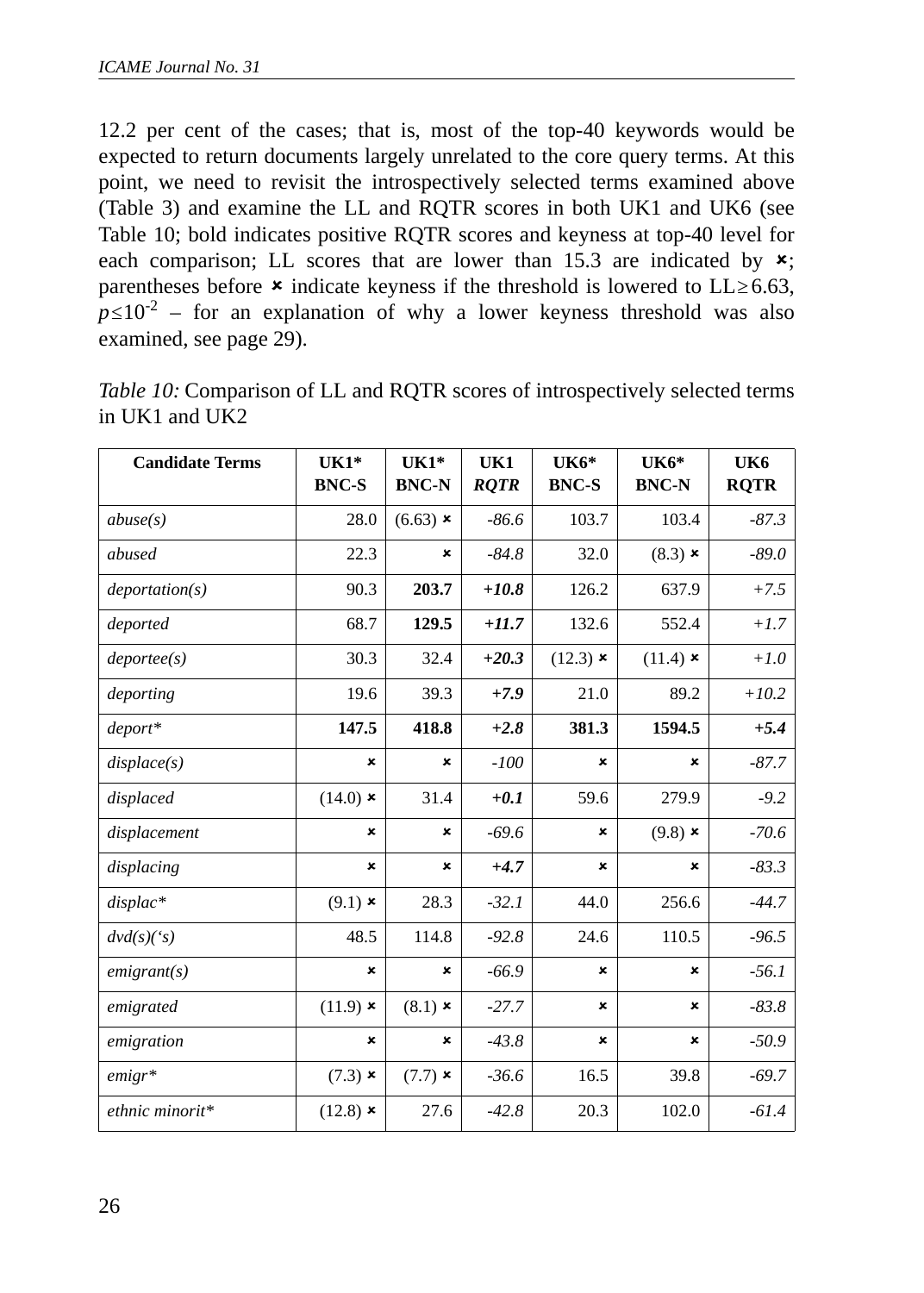12.2 per cent of the cases; that is, most of the top-40 keywords would be expected to return documents largely unrelated to the core query terms. At this point, we need to revisit the introspectively selected terms examined above (Table 3) and examine the LL and RQTR scores in both UK1 and UK6 (see Table 10; bold indicates positive RQTR scores and keyness at top-40 level for each comparison; LL scores that are lower than 15.3 are indicated by  $x$ ; parentheses before  $\star$  indicate keyness if the threshold is lowered to LL  $\geq 6.63$ ,  $p \le 10^{-2}$  – for an explanation of why a lower keyness threshold was also examined, see page 29).

| <b>Candidate Terms</b> | $UK1*$<br><b>BNC-S</b> | $UK1*$<br><b>BNC-N</b> | UK1<br><b>ROTR</b> | UK6*<br><b>BNC-S</b> | $UK6*$<br><b>BNC-N</b> | UK6<br><b>ROTR</b> |
|------------------------|------------------------|------------------------|--------------------|----------------------|------------------------|--------------------|
| abuse(s)               | 28.0                   | $(6.63)$ *             | $-86.6$            | 103.7                | 103.4                  | $-87.3$            |
| abused                 | 22.3                   | ×                      | $-84.8$            | 32.0                 | $(8.3)$ $\times$       | $-89.0$            |
| deportion(s)           | 90.3                   | 203.7                  | $+10.8$            | 126.2                | 637.9                  | $+7.5$             |
| deported               | 68.7                   | 129.5                  | $+11.7$            | 132.6                | 552.4                  | $+1.7$             |
| deporte(s)             | 30.3                   | 32.4                   | $+20.3$            | $(12.3)$ $\times$    | $(11.4)$ ×             | $+1.0$             |
| deporting              | 19.6                   | 39.3                   | $+7.9$             | 21.0                 | 89.2                   | $+10.2$            |
| $deport*$              | 147.5                  | 418.8                  | $+2.8$             | 381.3                | 1594.5                 | $+5.4$             |
| displace(s)            | ×                      | ×                      | $-100$             | ×                    | ×                      | $-87.7$            |
| displaced              | $(14.0)$ ×             | 31.4                   | $+0.1$             | 59.6                 | 279.9                  | $-9.2$             |
| displacement           | ×                      | ×                      | $-69.6$            | ×                    | $(9.8)$ ×              | $-70.6$            |
| displacing             | ×                      | ×                      | $+4.7$             | ×                    | ×                      | $-83.3$            |
| $displac*$             | $(9.1)$ *              | 28.3                   | $-32.1$            | 44.0                 | 256.6                  | $-44.7$            |
| dvd(s)(s)              | 48.5                   | 114.8                  | $-92.8$            | 24.6                 | 110.5                  | $-96.5$            |
| emigrant(s)            | ×                      | ×                      | $-66.9$            | ×                    | ×                      | $-56.1$            |
| emigrated              | $(11.9)$ *             | $(8.1)$ $\times$       | $-27.7$            | ×                    | ×                      | $-83.8$            |
| emigration             | ×                      | ×                      | $-43.8$            | ×                    | ×                      | $-50.9$            |
| $emigr*$               | $(7.3)$ $\times$       | $(7.7)$ $\times$       | $-36.6$            | 16.5                 | 39.8                   | $-69.7$            |
| ethnic minorit*        | $(12.8)$ *             | 27.6                   | $-42.8$            | 20.3                 | 102.0                  | $-61.4$            |

*Table 10:* Comparison of LL and RQTR scores of introspectively selected terms in UK1 and UK2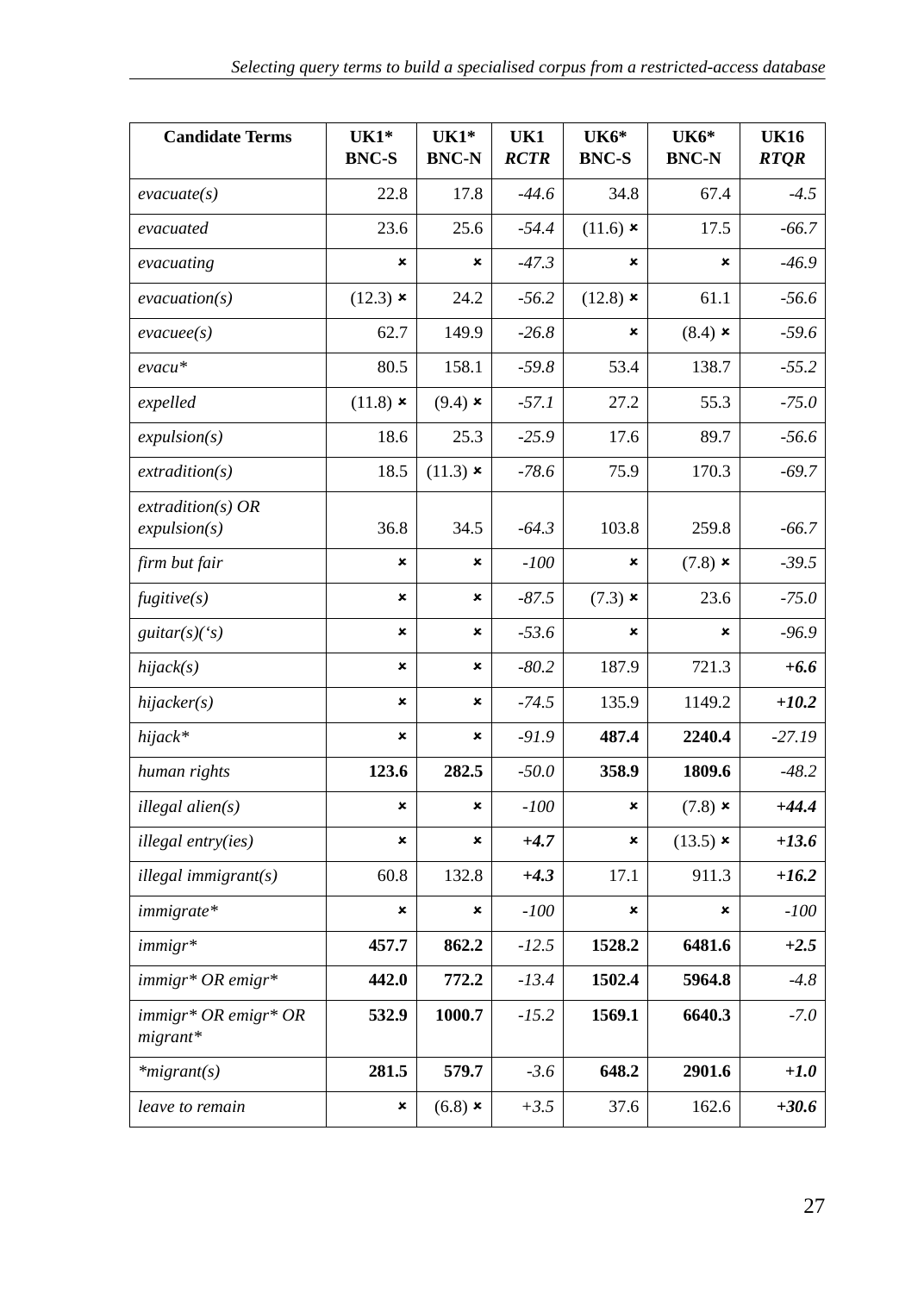| <b>Candidate Terms</b>             | $UK1*$<br><b>BNC-S</b> | $UK1*$<br><b>BNC-N</b> | UK1<br><b>RCTR</b> | <b>UK6*</b><br><b>BNC-S</b> | UK6*<br><b>BNC-N</b> | <b>UK16</b><br><b>RTOR</b> |
|------------------------------------|------------------------|------------------------|--------------------|-----------------------------|----------------------|----------------------------|
| $\mathit{evacuate}(s)$             | 22.8                   | 17.8                   | $-44.6$            | 34.8                        | 67.4                 | $-4.5$                     |
| evacuated                          | 23.6                   | 25.6                   | $-54.4$            | $(11.6)$ *                  | 17.5                 | $-66.7$                    |
| evacuating                         | ×                      | ×                      | $-47.3$            | ×                           | ×                    | $-46.9$                    |
| evacuation(s)                      | $(12.3)$ *             | 24.2                   | $-56.2$            | $(12.8)$ $\times$           | 61.1                 | $-56.6$                    |
| $\mathit{evacuee}(s)$              | 62.7                   | 149.9                  | $-26.8$            | ×                           | $(8.4)$ $\times$     | $-59.6$                    |
| evacu*                             | 80.5                   | 158.1                  | $-59.8$            | 53.4                        | 138.7                | $-55.2$                    |
| expelled                           | $(11.8)$ *             | $(9.4)$ $\times$       | $-57.1$            | 27.2                        | 55.3                 | $-75.0$                    |
| expulsion(s)                       | 18.6                   | 25.3                   | $-25.9$            | 17.6                        | 89.7                 | $-56.6$                    |
| extraction(s)                      | 18.5                   | $(11.3)$ ×             | -78.6              | 75.9                        | 170.3                | $-69.7$                    |
| $extraction(s)$ OR<br>expulsion(s) | 36.8                   | 34.5                   | $-64.3$            | 103.8                       | 259.8                | $-66.7$                    |
| firm but fair                      | ×                      | ×                      | $-100$             | ×                           | $(7.8)$ $\times$     | $-39.5$                    |
| figure(s)                          | ×                      | ×                      | $-87.5$            | $(7.3)$ $\times$            | 23.6                 | $-75.0$                    |
| guitar $(s)(s)$                    | ×                      | ×                      | $-53.6$            | ×                           | ×                    | $-96.9$                    |
| hijack(s)                          | ×                      | ×                      | $-80.2$            | 187.9                       | 721.3                | $+6.6$                     |
| hijacker(s)                        | ×                      | ×                      | $-74.5$            | 135.9                       | 1149.2               | $+10.2$                    |
| hijack*                            | ×                      | ×                      | $-91.9$            | 487.4                       | 2240.4               | $-27.19$                   |
| human rights                       | 123.6                  | 282.5                  | $-50.0$            | 358.9                       | 1809.6               | $-48.2$                    |
| illegal alien(s)                   | ×                      | ×                      | -100               | ×                           | $(7.8)$ ×            | $+44.4$                    |
| <i>illegal entry(ies)</i>          | ×                      | ×                      | $+4.7$             | ×                           | $(13.5)$ *           | $+13.6$                    |
| $i$ llegal immigrant $(s)$         | 60.8                   | 132.8                  | $+4.3$             | 17.1                        | 911.3                | $+16.2$                    |
| immigrate*                         | ×                      | ×                      | $-100$             | $\boldsymbol{\mathsf{x}}$   | ×                    | $-100$                     |
| $immigr*$                          | 457.7                  | 862.2                  | $-12.5$            | 1528.2                      | 6481.6               | $+2.5$                     |
| immigr* OR emigr*                  | 442.0                  | 772.2                  | $-13.4$            | 1502.4                      | 5964.8               | $-4.8$                     |
| immigr* OR emigr* OR<br>$migrant*$ | 532.9                  | 1000.7                 | $-15.2$            | 1569.1                      | 6640.3               | $-7.0$                     |
| $*$ migrant(s)                     | 281.5                  | 579.7                  | $-3.6$             | 648.2                       | 2901.6               | $+1.0$                     |
| leave to remain                    | ×                      | $(6.8)$ $\times$       | $+3.5$             | 37.6                        | 162.6                | $+30.6$                    |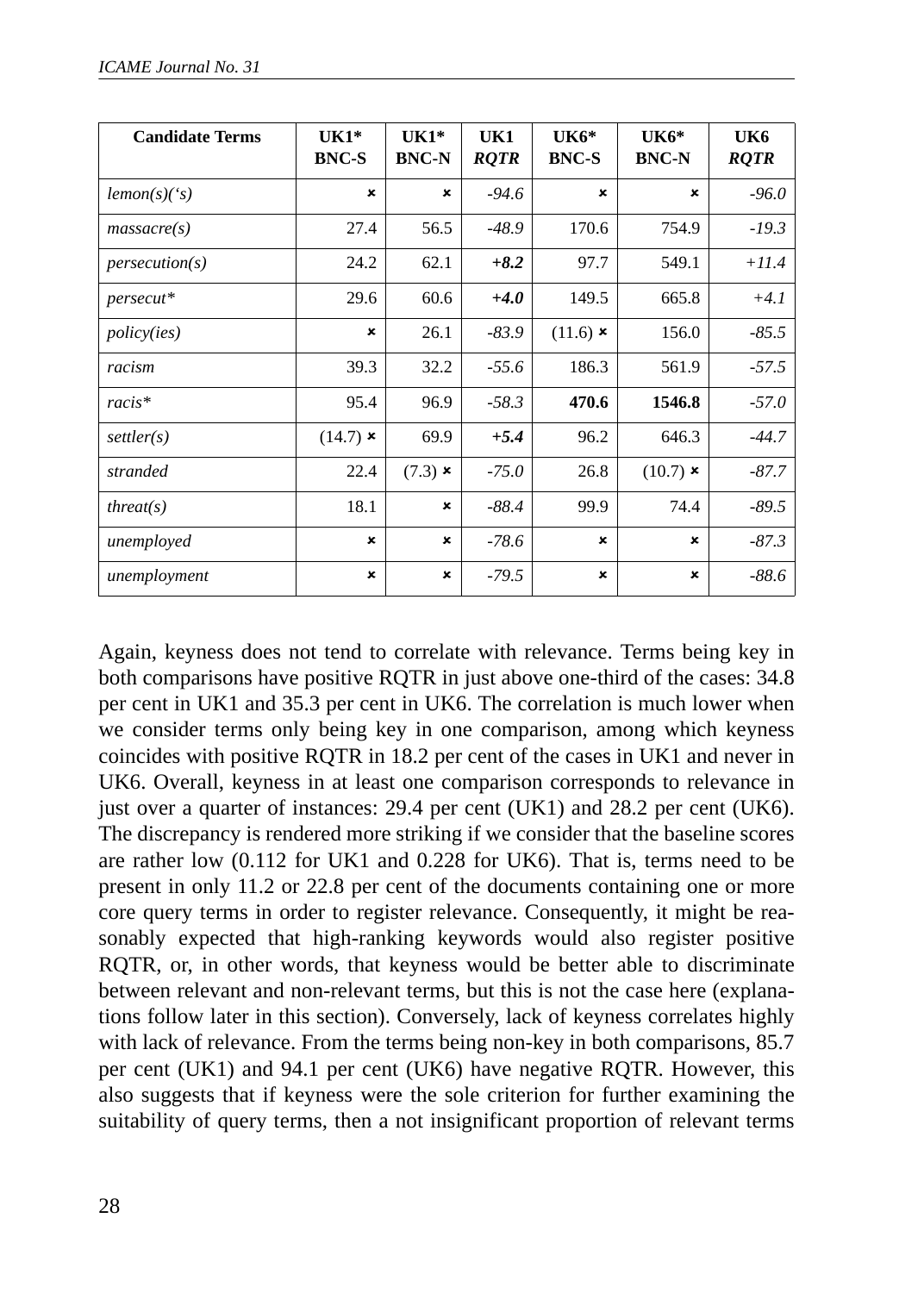| <b>Candidate Terms</b> | $UK1*$<br><b>BNC-S</b>    | $UK1*$<br><b>BNC-N</b> | UK1<br><b>ROTR</b> | UK6*<br><b>BNC-S</b> | $UK6*$<br><b>BNC-N</b> | UK6<br><b>RQTR</b> |
|------------------------|---------------------------|------------------------|--------------------|----------------------|------------------------|--------------------|
| lemon(s)(s)            | $\boldsymbol{\mathsf{x}}$ | ×                      | $-94.6$            | ×                    | ×                      | $-96.0$            |
| massacre(s)            | 27.4                      | 56.5                   | $-48.9$            | 170.6                | 754.9                  | $-19.3$            |
| person(s)              | 24.2                      | 62.1                   | $+8.2$             | 97.7                 | 549.1                  | $+11.4$            |
| persecut*              | 29.6                      | 60.6                   | $+4.0$             | 149.5                | 665.8                  | $+4.1$             |
| <i>policy(ies)</i>     | $\pmb{\times}$            | 26.1                   | $-83.9$            | $(11.6)$ ×           | 156.0                  | $-85.5$            |
| racism                 | 39.3                      | 32.2                   | $-55.6$            | 186.3                | 561.9                  | $-57.5$            |
| $racis*$               | 95.4                      | 96.9                   | $-58.3$            | 470.6                | 1546.8                 | $-57.0$            |
| setler(s)              | $(14.7)$ ×                | 69.9                   | $+5.4$             | 96.2                 | 646.3                  | $-44.7$            |
| stranded               | 22.4                      | $(7.3)$ ×              | $-75.0$            | 26.8                 | $(10.7)$ ×             | $-87.7$            |
| thread(s)              | 18.1                      | $\pmb{\times}$         | $-88.4$            | 99.9                 | 74.4                   | $-89.5$            |
| unemployed             | ×                         | ×                      | $-78.6$            | ×                    | ×                      | $-87.3$            |
| unemployment           | ×                         | ×                      | $-79.5$            | ×                    | ×                      | $-88.6$            |

Again, keyness does not tend to correlate with relevance. Terms being key in both comparisons have positive RQTR in just above one-third of the cases: 34.8 per cent in UK1 and 35.3 per cent in UK6. The correlation is much lower when we consider terms only being key in one comparison, among which keyness coincides with positive RQTR in 18.2 per cent of the cases in UK1 and never in UK6. Overall, keyness in at least one comparison corresponds to relevance in just over a quarter of instances: 29.4 per cent (UK1) and 28.2 per cent (UK6). The discrepancy is rendered more striking if we consider that the baseline scores are rather low (0.112 for UK1 and 0.228 for UK6). That is, terms need to be present in only 11.2 or 22.8 per cent of the documents containing one or more core query terms in order to register relevance. Consequently, it might be reasonably expected that high-ranking keywords would also register positive RQTR, or, in other words, that keyness would be better able to discriminate between relevant and non-relevant terms, but this is not the case here (explanations follow later in this section). Conversely, lack of keyness correlates highly with lack of relevance. From the terms being non-key in both comparisons, 85.7 per cent (UK1) and 94.1 per cent (UK6) have negative RQTR. However, this also suggests that if keyness were the sole criterion for further examining the suitability of query terms, then a not insignificant proportion of relevant terms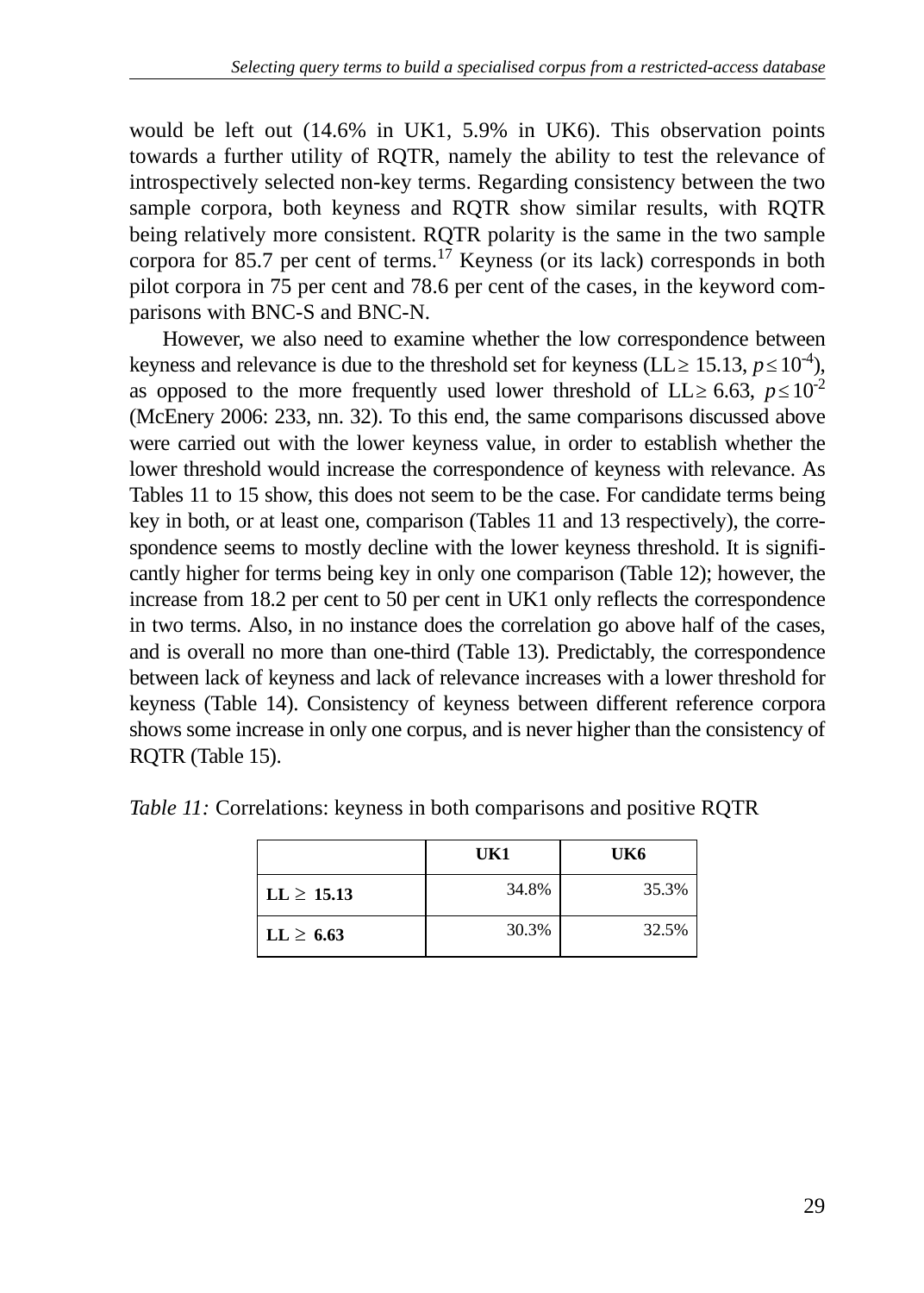would be left out (14.6% in UK1, 5.9% in UK6). This observation points towards a further utility of RQTR, namely the ability to test the relevance of introspectively selected non-key terms. Regarding consistency between the two sample corpora, both keyness and RQTR show similar results, with RQTR being relatively more consistent. RQTR polarity is the same in the two sample corpora for 85.7 per cent of terms.<sup>17</sup> Keyness (or its lack) corresponds in both pilot corpora in 75 per cent and 78.6 per cent of the cases, in the keyword comparisons with BNC-S and BNC-N.

However, we also need to examine whether the low correspondence between keyness and relevance is due to the threshold set for keyness (LL  $\geq$  15.13,  $p \leq 10^{-4}$ ), as opposed to the more frequently used lower threshold of  $LL \ge 6.63$ ,  $p \le 10^{-2}$ (McEnery 2006: 233, nn. 32). To this end, the same comparisons discussed above were carried out with the lower keyness value, in order to establish whether the lower threshold would increase the correspondence of keyness with relevance. As Tables 11 to 15 show, this does not seem to be the case. For candidate terms being key in both, or at least one, comparison (Tables 11 and 13 respectively), the correspondence seems to mostly decline with the lower keyness threshold. It is significantly higher for terms being key in only one comparison (Table 12); however, the increase from 18.2 per cent to 50 per cent in UK1 only reflects the correspondence in two terms. Also, in no instance does the correlation go above half of the cases, and is overall no more than one-third (Table 13). Predictably, the correspondence between lack of keyness and lack of relevance increases with a lower threshold for keyness (Table 14). Consistency of keyness between different reference corpora shows some increase in only one corpus, and is never higher than the consistency of RQTR (Table 15).

|                | UK1   | UK6   |
|----------------|-------|-------|
| $LL \ge 15.13$ | 34.8% | 35.3% |
| $LL \geq 6.63$ | 30.3% | 32.5% |

*Table 11:* Correlations: keyness in both comparisons and positive RQTR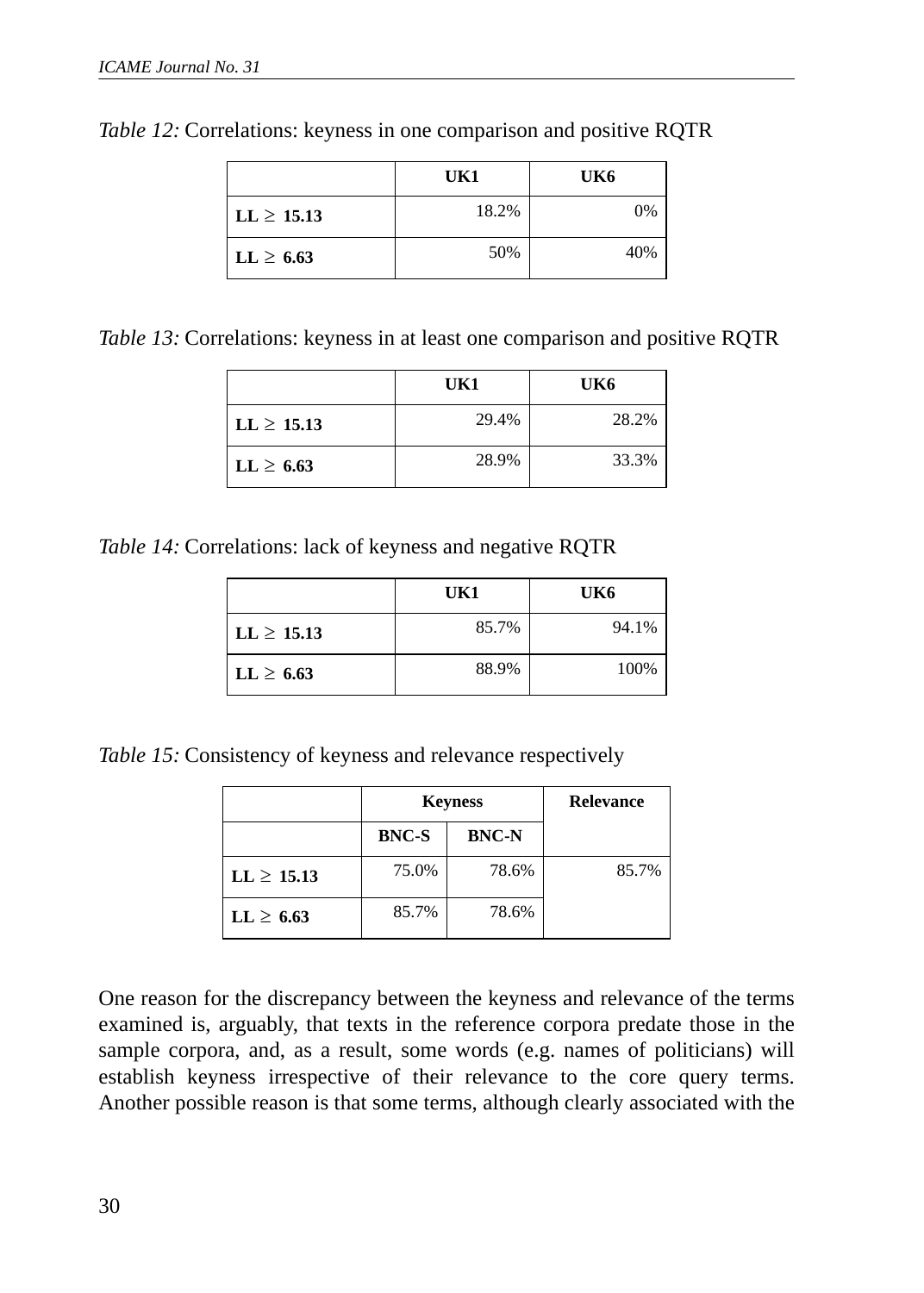|                 | UK1   | UK6 |
|-----------------|-------|-----|
| $LL \geq 15.13$ | 18.2% | 0%  |
| $LL \geq 6.63$  | 50%   | 40% |

*Table 12:* Correlations: keyness in one comparison and positive RQTR

*Table 13:* Correlations: keyness in at least one comparison and positive RQTR

|                | UK1   | UK6   |
|----------------|-------|-------|
| $LL \ge 15.13$ | 29.4% | 28.2% |
| $LL \geq 6.63$ | 28.9% | 33.3% |

*Table 14:* Correlations: lack of keyness and negative RQTR

|                        | UK1   | UK6   |
|------------------------|-------|-------|
| $\text{LL} \geq 15.13$ | 85.7% | 94.1% |
| $LL \geq 6.63$         | 88.9% | 100%  |

*Table 15:* Consistency of keyness and relevance respectively

|                |              | <b>Keyness</b> | <b>Relevance</b> |
|----------------|--------------|----------------|------------------|
|                | <b>BNC-S</b> | <b>BNC-N</b>   |                  |
| $LL \ge 15.13$ | 75.0%        | 78.6%          | 85.7%            |
| $LL \geq 6.63$ | 85.7%        | 78.6%          |                  |

One reason for the discrepancy between the keyness and relevance of the terms examined is, arguably, that texts in the reference corpora predate those in the sample corpora, and, as a result, some words (e.g. names of politicians) will establish keyness irrespective of their relevance to the core query terms. Another possible reason is that some terms, although clearly associated with the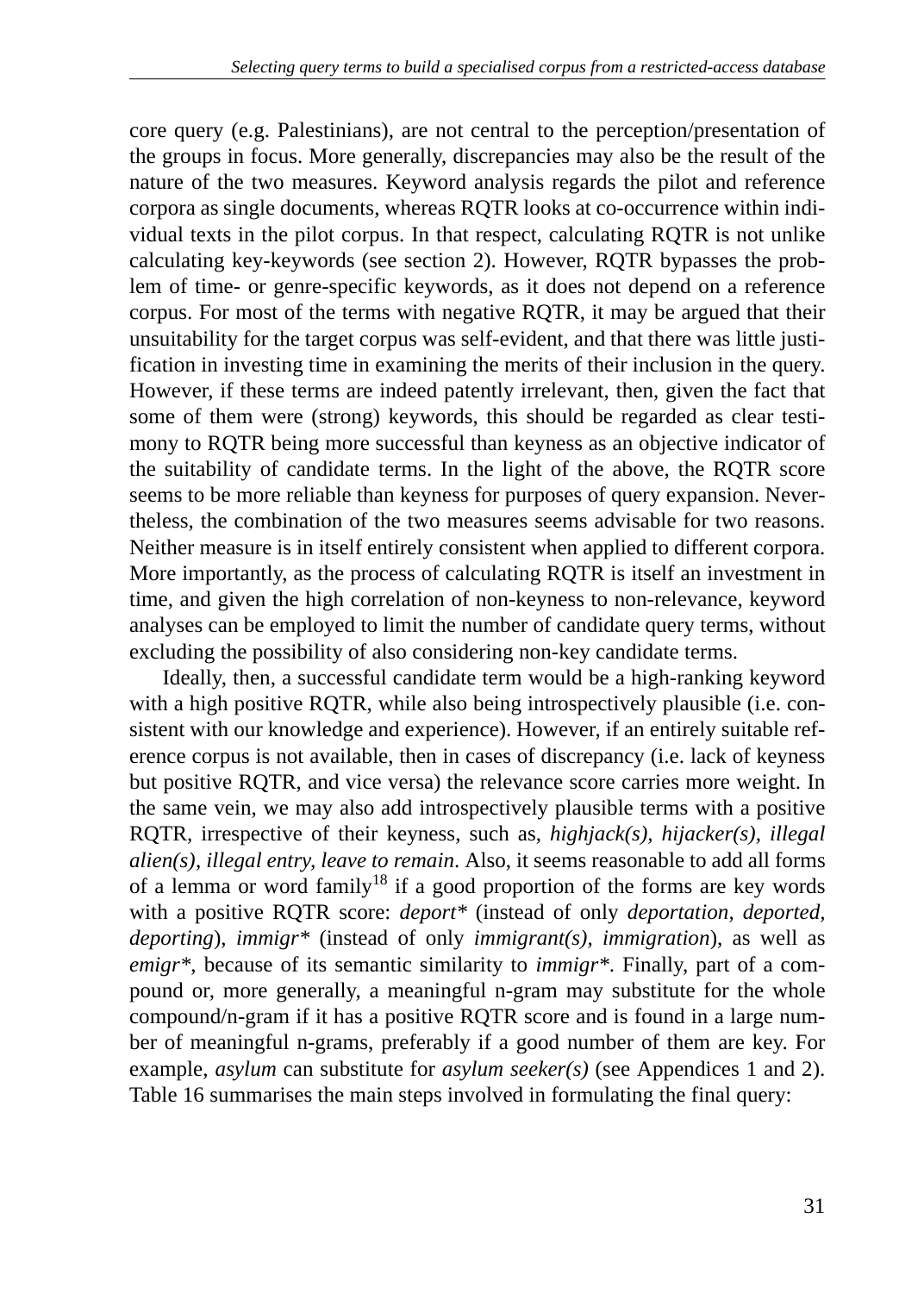core query (e.g. Palestinians), are not central to the perception/presentation of the groups in focus. More generally, discrepancies may also be the result of the nature of the two measures. Keyword analysis regards the pilot and reference corpora as single documents, whereas RQTR looks at co-occurrence within individual texts in the pilot corpus. In that respect, calculating RQTR is not unlike calculating key-keywords (see section 2). However, RQTR bypasses the problem of time- or genre-specific keywords, as it does not depend on a reference corpus. For most of the terms with negative RQTR, it may be argued that their unsuitability for the target corpus was self-evident, and that there was little justification in investing time in examining the merits of their inclusion in the query. However, if these terms are indeed patently irrelevant, then, given the fact that some of them were (strong) keywords, this should be regarded as clear testimony to RQTR being more successful than keyness as an objective indicator of the suitability of candidate terms. In the light of the above, the RQTR score seems to be more reliable than keyness for purposes of query expansion. Nevertheless, the combination of the two measures seems advisable for two reasons. Neither measure is in itself entirely consistent when applied to different corpora. More importantly, as the process of calculating RQTR is itself an investment in time, and given the high correlation of non-keyness to non-relevance, keyword analyses can be employed to limit the number of candidate query terms, without excluding the possibility of also considering non-key candidate terms.

Ideally, then, a successful candidate term would be a high-ranking keyword with a high positive RQTR, while also being introspectively plausible (i.e. consistent with our knowledge and experience). However, if an entirely suitable reference corpus is not available, then in cases of discrepancy (i.e. lack of keyness but positive RQTR, and vice versa) the relevance score carries more weight. In the same vein, we may also add introspectively plausible terms with a positive RQTR, irrespective of their keyness, such as, *highjack(s), hijacker(s), illegal alien(s)*, *illegal entry, leave to remain*. Also, it seems reasonable to add all forms of a lemma or word family<sup>18</sup> if a good proportion of the forms are key words with a positive RQTR score: *deport\** (instead of only *deportation, deported, deporting*), *immigr\** (instead of only *immigrant(s), immigration*), as well as *emigr\**, because of its semantic similarity to *immigr\**. Finally, part of a compound or, more generally, a meaningful n-gram may substitute for the whole compound/n-gram if it has a positive RQTR score and is found in a large number of meaningful n-grams, preferably if a good number of them are key. For example, *asylum* can substitute for *asylum seeker(s)* (see Appendices 1 and 2). Table 16 summarises the main steps involved in formulating the final query: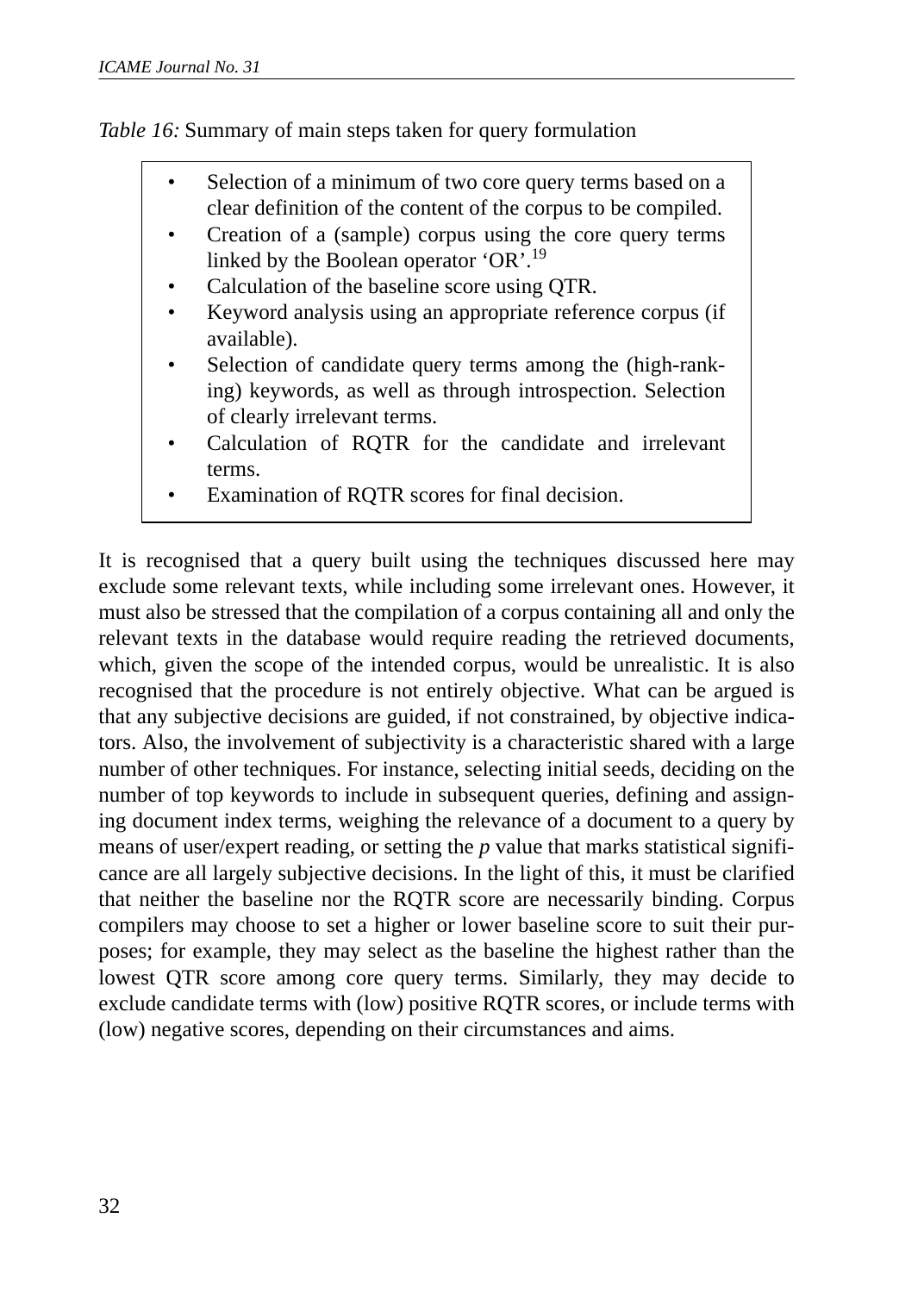*Table 16:* Summary of main steps taken for query formulation

- Selection of a minimum of two core query terms based on a clear definition of the content of the corpus to be compiled.
- Creation of a (sample) corpus using the core query terms linked by the Boolean operator 'OR'.<sup>19</sup>
- Calculation of the baseline score using QTR.
- Keyword analysis using an appropriate reference corpus (if available).
- Selection of candidate query terms among the (high-ranking) keywords, as well as through introspection. Selection of clearly irrelevant terms.
- Calculation of ROTR for the candidate and irrelevant terms.
- Examination of RQTR scores for final decision.

It is recognised that a query built using the techniques discussed here may exclude some relevant texts, while including some irrelevant ones. However, it must also be stressed that the compilation of a corpus containing all and only the relevant texts in the database would require reading the retrieved documents, which, given the scope of the intended corpus, would be unrealistic. It is also recognised that the procedure is not entirely objective. What can be argued is that any subjective decisions are guided, if not constrained, by objective indicators. Also, the involvement of subjectivity is a characteristic shared with a large number of other techniques. For instance, selecting initial seeds, deciding on the number of top keywords to include in subsequent queries, defining and assigning document index terms, weighing the relevance of a document to a query by means of user/expert reading, or setting the *p* value that marks statistical significance are all largely subjective decisions. In the light of this, it must be clarified that neither the baseline nor the RQTR score are necessarily binding. Corpus compilers may choose to set a higher or lower baseline score to suit their purposes; for example, they may select as the baseline the highest rather than the lowest QTR score among core query terms. Similarly, they may decide to exclude candidate terms with (low) positive RQTR scores, or include terms with (low) negative scores, depending on their circumstances and aims.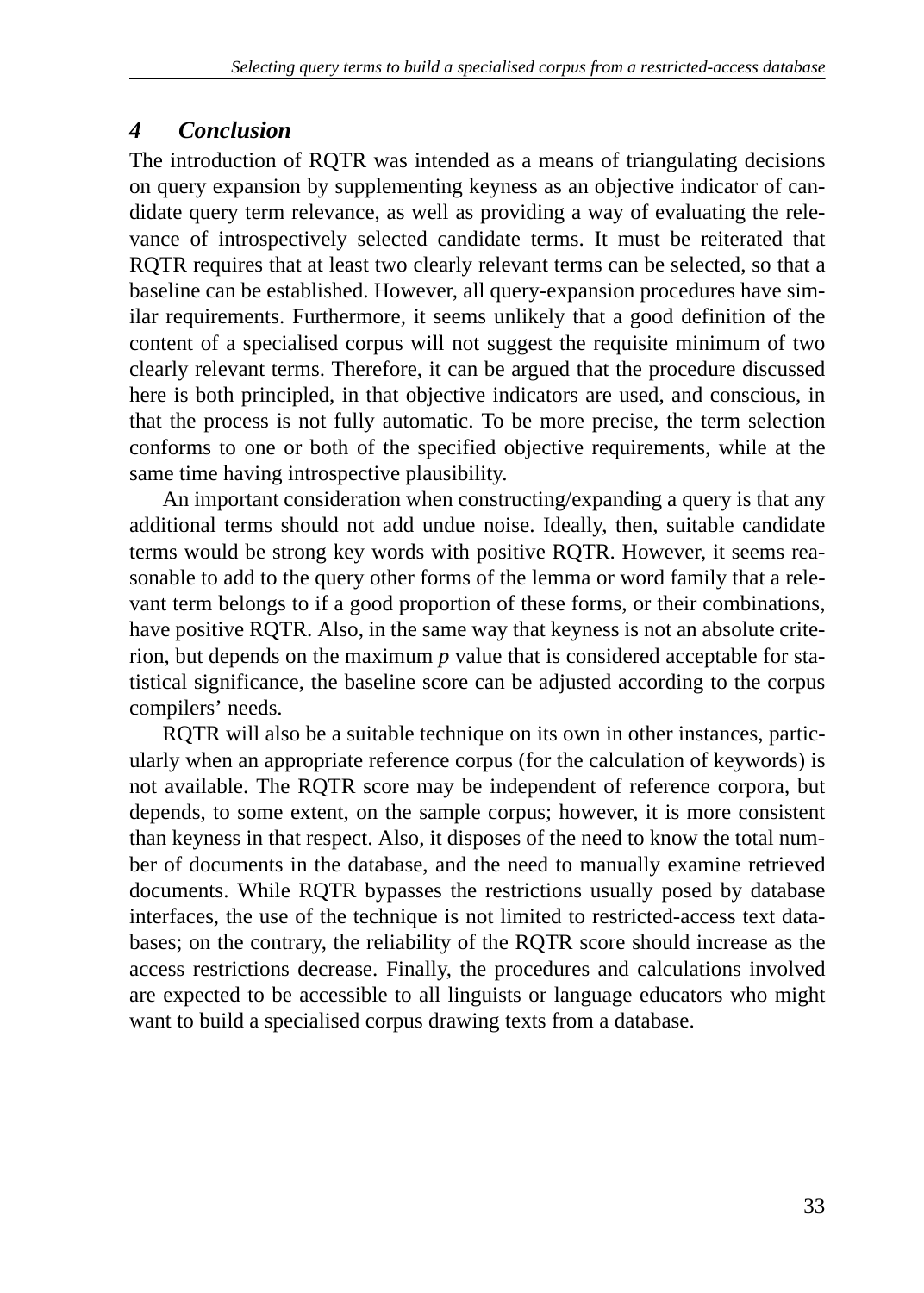# *4 Conclusion*

The introduction of RQTR was intended as a means of triangulating decisions on query expansion by supplementing keyness as an objective indicator of candidate query term relevance, as well as providing a way of evaluating the relevance of introspectively selected candidate terms. It must be reiterated that RQTR requires that at least two clearly relevant terms can be selected, so that a baseline can be established. However, all query-expansion procedures have similar requirements. Furthermore, it seems unlikely that a good definition of the content of a specialised corpus will not suggest the requisite minimum of two clearly relevant terms. Therefore, it can be argued that the procedure discussed here is both principled, in that objective indicators are used, and conscious, in that the process is not fully automatic. To be more precise, the term selection conforms to one or both of the specified objective requirements, while at the same time having introspective plausibility.

An important consideration when constructing/expanding a query is that any additional terms should not add undue noise. Ideally, then, suitable candidate terms would be strong key words with positive RQTR. However, it seems reasonable to add to the query other forms of the lemma or word family that a relevant term belongs to if a good proportion of these forms, or their combinations, have positive RQTR. Also, in the same way that keyness is not an absolute criterion, but depends on the maximum *p* value that is considered acceptable for statistical significance, the baseline score can be adjusted according to the corpus compilers' needs.

RQTR will also be a suitable technique on its own in other instances, particularly when an appropriate reference corpus (for the calculation of keywords) is not available. The RQTR score may be independent of reference corpora, but depends, to some extent, on the sample corpus; however, it is more consistent than keyness in that respect. Also, it disposes of the need to know the total number of documents in the database, and the need to manually examine retrieved documents. While RQTR bypasses the restrictions usually posed by database interfaces, the use of the technique is not limited to restricted-access text databases; on the contrary, the reliability of the RQTR score should increase as the access restrictions decrease. Finally, the procedures and calculations involved are expected to be accessible to all linguists or language educators who might want to build a specialised corpus drawing texts from a database.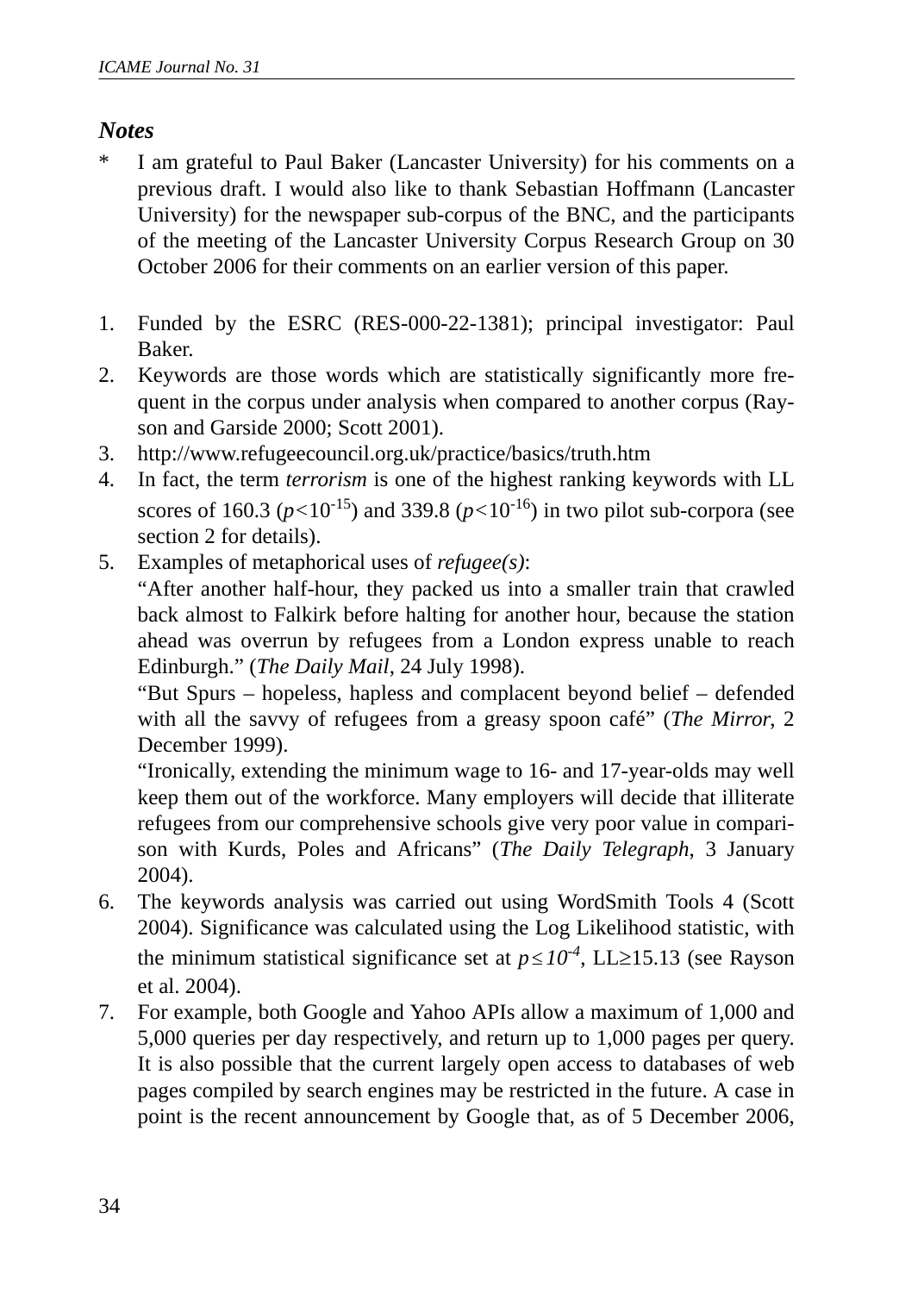#### *Notes*

- \* I am grateful to Paul Baker (Lancaster University) for his comments on a previous draft. I would also like to thank Sebastian Hoffmann (Lancaster University) for the newspaper sub-corpus of the BNC, and the participants of the meeting of the Lancaster University Corpus Research Group on 30 October 2006 for their comments on an earlier version of this paper.
- 1. Funded by the ESRC (RES-000-22-1381); principal investigator: Paul Baker.
- 2. Keywords are those words which are statistically significantly more frequent in the corpus under analysis when compared to another corpus (Rayson and Garside 2000; Scott 2001).
- 3. http://www.refugeecouncil.org.uk/practice/basics/truth.htm
- 4. In fact, the term *terrorism* is one of the highest ranking keywords with LL scores of 160.3 ( $p < 10^{-15}$ ) and 339.8 ( $p < 10^{-16}$ ) in two pilot sub-corpora (see section 2 for details).
- 5. Examples of metaphorical uses of *refugee(s)*:

"After another half-hour, they packed us into a smaller train that crawled back almost to Falkirk before halting for another hour, because the station ahead was overrun by refugees from a London express unable to reach Edinburgh." (*The Daily Mail*, 24 July 1998).

"But Spurs – hopeless, hapless and complacent beyond belief – defended with all the savvy of refugees from a greasy spoon café" (*The Mirror*, 2 December 1999).

"Ironically, extending the minimum wage to 16- and 17-year-olds may well keep them out of the workforce. Many employers will decide that illiterate refugees from our comprehensive schools give very poor value in comparison with Kurds, Poles and Africans" (*The Daily Telegraph*, 3 January 2004).

- 6. The keywords analysis was carried out using WordSmith Tools 4 (Scott 2004). Significance was calculated using the Log Likelihood statistic, with the minimum statistical significance set at  $p \leq 10^{-4}$ , LL≥15.13 (see Rayson et al. 2004).
- 7. For example, both Google and Yahoo APIs allow a maximum of 1,000 and 5,000 queries per day respectively, and return up to 1,000 pages per query. It is also possible that the current largely open access to databases of web pages compiled by search engines may be restricted in the future. A case in point is the recent announcement by Google that, as of 5 December 2006,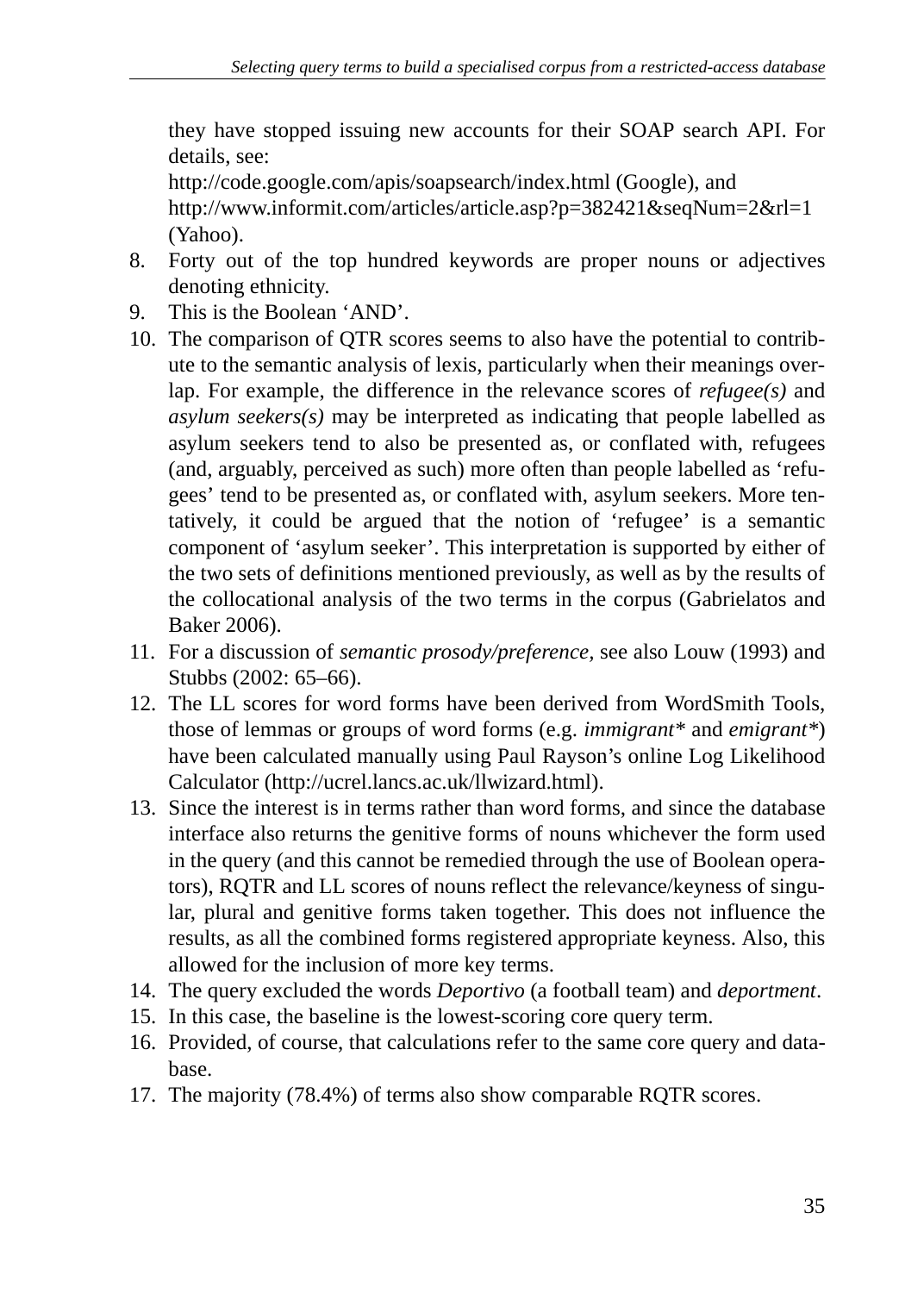they have stopped issuing new accounts for their SOAP search API. For details, see:

http://code.google.com/apis/soapsearch/index.html (Google), and http://www.informit.com/articles/article.asp?p=382421&seqNum=2&rl=1 (Yahoo).

- 8. Forty out of the top hundred keywords are proper nouns or adjectives denoting ethnicity.
- 9. This is the Boolean 'AND'.
- 10. The comparison of QTR scores seems to also have the potential to contribute to the semantic analysis of lexis, particularly when their meanings overlap. For example, the difference in the relevance scores of *refugee(s)* and *asylum seekers(s)* may be interpreted as indicating that people labelled as asylum seekers tend to also be presented as, or conflated with, refugees (and, arguably, perceived as such) more often than people labelled as 'refugees' tend to be presented as, or conflated with, asylum seekers. More tentatively, it could be argued that the notion of 'refugee' is a semantic component of 'asylum seeker'. This interpretation is supported by either of the two sets of definitions mentioned previously, as well as by the results of the collocational analysis of the two terms in the corpus (Gabrielatos and Baker 2006).
- 11. For a discussion of *semantic prosody/preference,* see also Louw (1993) and Stubbs (2002: 65–66).
- 12. The LL scores for word forms have been derived from WordSmith Tools, those of lemmas or groups of word forms (e.g. *immigrant\** and *emigrant\**) have been calculated manually using Paul Rayson's online Log Likelihood Calculator (http://ucrel.lancs.ac.uk/llwizard.html).
- 13. Since the interest is in terms rather than word forms, and since the database interface also returns the genitive forms of nouns whichever the form used in the query (and this cannot be remedied through the use of Boolean operators), RQTR and LL scores of nouns reflect the relevance/keyness of singular, plural and genitive forms taken together. This does not influence the results, as all the combined forms registered appropriate keyness. Also, this allowed for the inclusion of more key terms.
- 14. The query excluded the words *Deportivo* (a football team) and *deportment*.
- 15. In this case, the baseline is the lowest-scoring core query term.
- 16. Provided, of course, that calculations refer to the same core query and database.
- 17. The majority (78.4%) of terms also show comparable RQTR scores.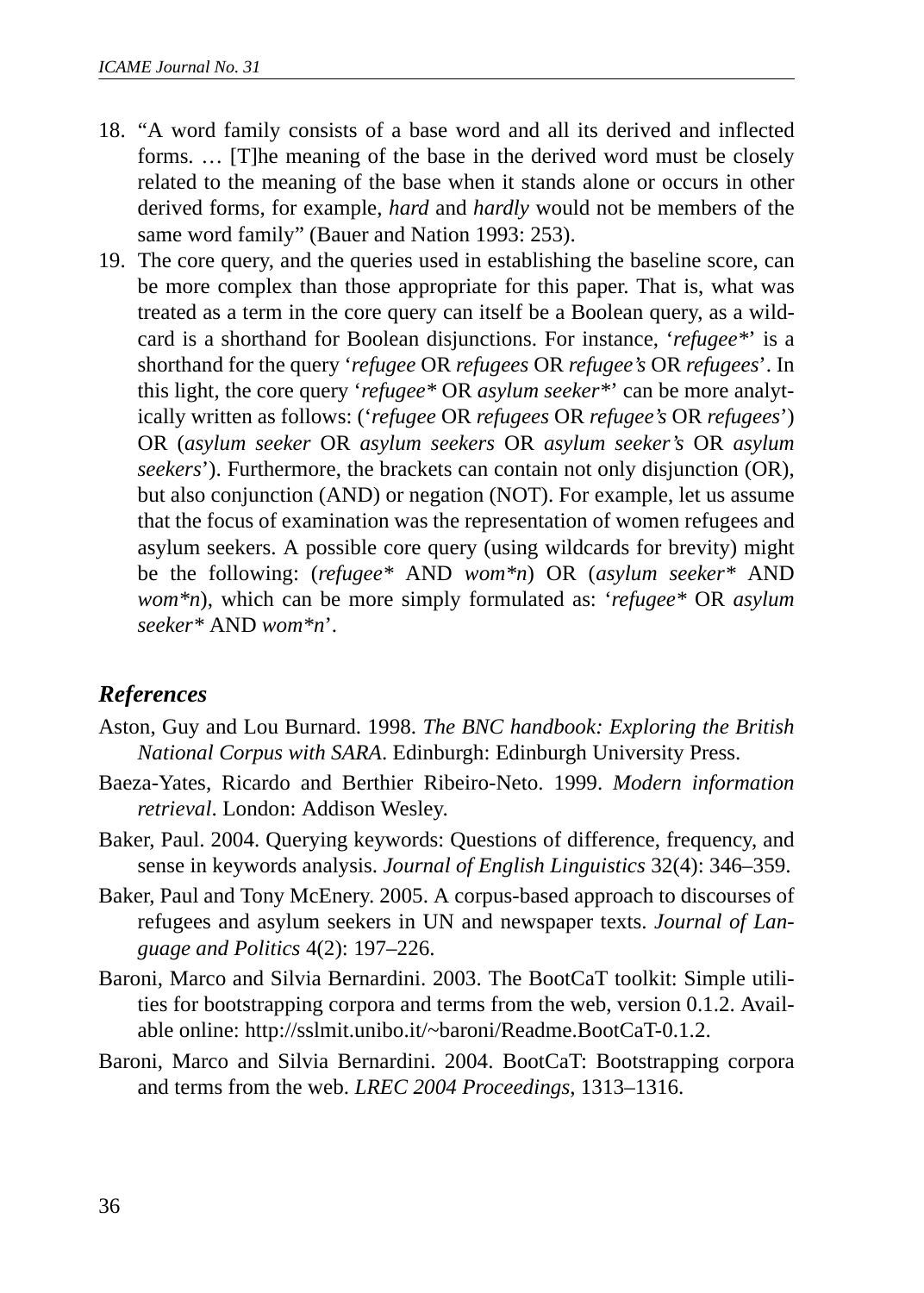- 18. "A word family consists of a base word and all its derived and inflected forms. … [T]he meaning of the base in the derived word must be closely related to the meaning of the base when it stands alone or occurs in other derived forms, for example, *hard* and *hardly* would not be members of the same word family" (Bauer and Nation 1993: 253).
- 19. The core query, and the queries used in establishing the baseline score, can be more complex than those appropriate for this paper. That is, what was treated as a term in the core query can itself be a Boolean query, as a wildcard is a shorthand for Boolean disjunctions. For instance, '*refugee\**' is a shorthand for the query '*refugee* OR *refugees* OR *refugee's* OR *refugees*'. In this light, the core query '*refugee\** OR *asylum seeker\**' can be more analytically written as follows: ('*refugee* OR *refugees* OR *refugee's* OR *refugees*') OR (*asylum seeker* OR *asylum seekers* OR *asylum seeker's* OR *asylum seekers*'). Furthermore, the brackets can contain not only disjunction (OR), but also conjunction (AND) or negation (NOT). For example, let us assume that the focus of examination was the representation of women refugees and asylum seekers. A possible core query (using wildcards for brevity) might be the following: (*refugee\** AND *wom\*n*) OR (*asylum seeker\** AND *wom\*n*), which can be more simply formulated as: '*refugee\** OR *asylum seeker\** AND *wom\*n*'.

### *References*

- Aston, Guy and Lou Burnard. 1998. *The BNC handbook: Exploring the British National Corpus with SARA*. Edinburgh: Edinburgh University Press.
- Baeza-Yates, Ricardo and Berthier Ribeiro-Neto. 1999. *Modern information retrieval*. London: Addison Wesley.
- Baker, Paul. 2004. Querying keywords: Questions of difference, frequency, and sense in keywords analysis. *Journal of English Linguistics* 32(4): 346–359.
- Baker, Paul and Tony McEnery. 2005. A corpus-based approach to discourses of refugees and asylum seekers in UN and newspaper texts. *Journal of Language and Politics* 4(2): 197–226.
- Baroni, Marco and Silvia Bernardini. 2003. The BootCaT toolkit: Simple utilities for bootstrapping corpora and terms from the web, version 0.1.2. Available online: http://sslmit.unibo.it/~baroni/Readme.BootCaT-0.1.2.
- Baroni, Marco and Silvia Bernardini. 2004. BootCaT: Bootstrapping corpora and terms from the web. *LREC 2004 Proceedings*, 1313–1316.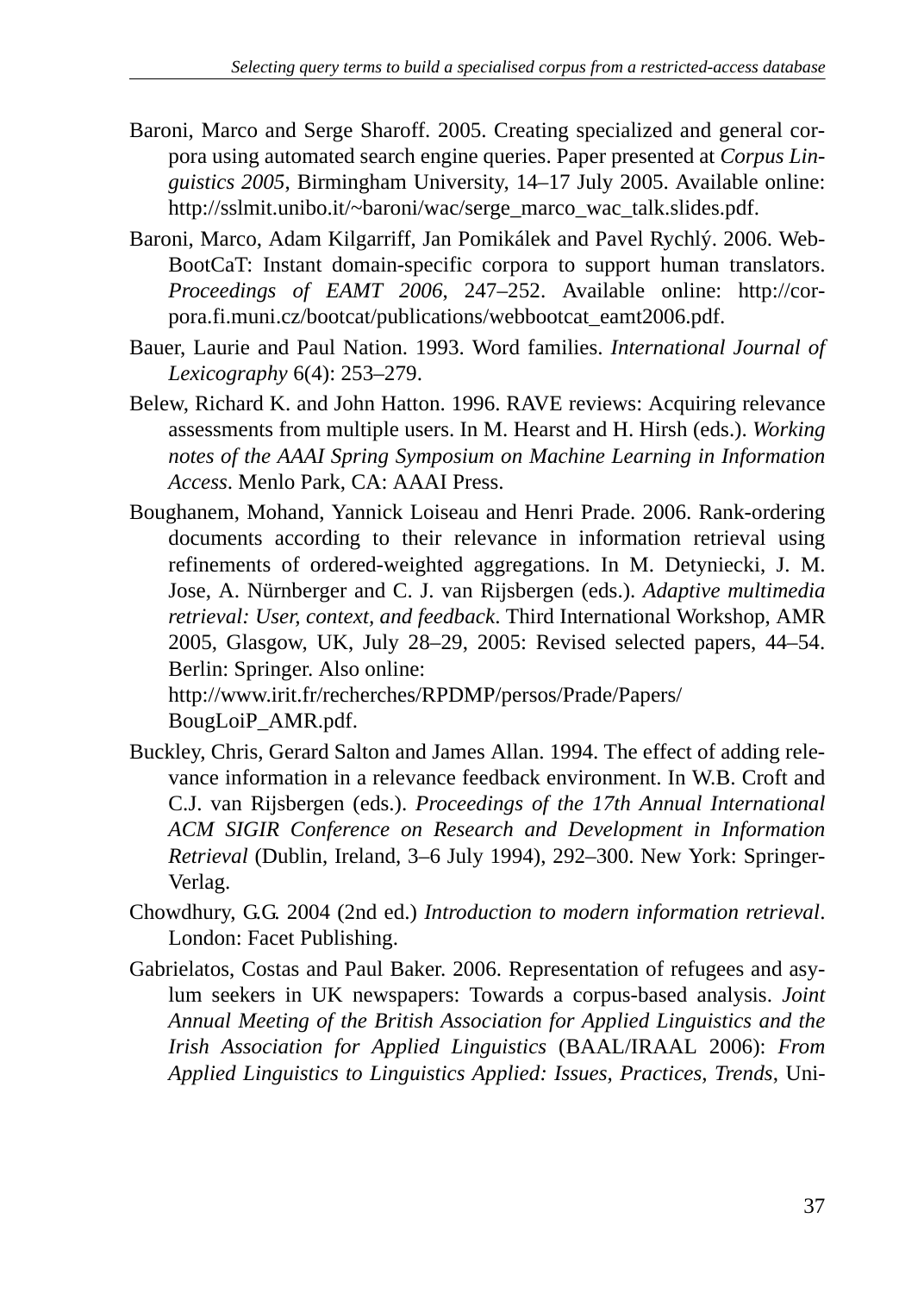- Baroni, Marco and Serge Sharoff. 2005. Creating specialized and general corpora using automated search engine queries. Paper presented at *Corpus Linguistics 2005*, Birmingham University, 14–17 July 2005. Available online: http://sslmit.unibo.it/~baroni/wac/serge\_marco\_wac\_talk.slides.pdf.
- Baroni, Marco, Adam Kilgarriff, Jan Pomikálek and Pavel Rychlý. 2006. Web-BootCaT: Instant domain-specific corpora to support human translators. *Proceedings of EAMT 2006*, 247–252. Available online: http://corpora.fi.muni.cz/bootcat/publications/webbootcat\_eamt2006.pdf.
- Bauer, Laurie and Paul Nation. 1993. Word families. *International Journal of Lexicography* 6(4): 253–279.
- Belew, Richard K. and John Hatton. 1996. RAVE reviews: Acquiring relevance assessments from multiple users. In M. Hearst and H. Hirsh (eds.). *Working notes of the AAAI Spring Symposium on Machine Learning in Information Access*. Menlo Park, CA: AAAI Press.
- Boughanem, Mohand, Yannick Loiseau and Henri Prade. 2006. Rank-ordering documents according to their relevance in information retrieval using refinements of ordered-weighted aggregations. In M. Detyniecki, J. M. Jose, A. Nürnberger and C. J. van Rijsbergen (eds.). *Adaptive multimedia retrieval: User, context, and feedback*. Third International Workshop, AMR 2005, Glasgow, UK, July 28–29, 2005: Revised selected papers, 44–54. Berlin: Springer. Also online:

http://www.irit.fr/recherches/RPDMP/persos/Prade/Papers/ BougLoiP\_AMR.pdf.

- Buckley, Chris, Gerard Salton and James Allan. 1994. The effect of adding relevance information in a relevance feedback environment. In W.B. Croft and C.J. van Rijsbergen (eds.). *Proceedings of the 17th Annual International ACM SIGIR Conference on Research and Development in Information Retrieval* (Dublin, Ireland, 3–6 July 1994), 292–300. New York: Springer-Verlag.
- Chowdhury, G.G. 2004 (2nd ed.) *Introduction to modern information retrieval*. London: Facet Publishing.
- Gabrielatos, Costas and Paul Baker. 2006. Representation of refugees and asylum seekers in UK newspapers: Towards a corpus-based analysis. *Joint Annual Meeting of the British Association for Applied Linguistics and the Irish Association for Applied Linguistics* (BAAL/IRAAL 2006): *From Applied Linguistics to Linguistics Applied: Issues, Practices, Trends*, Uni-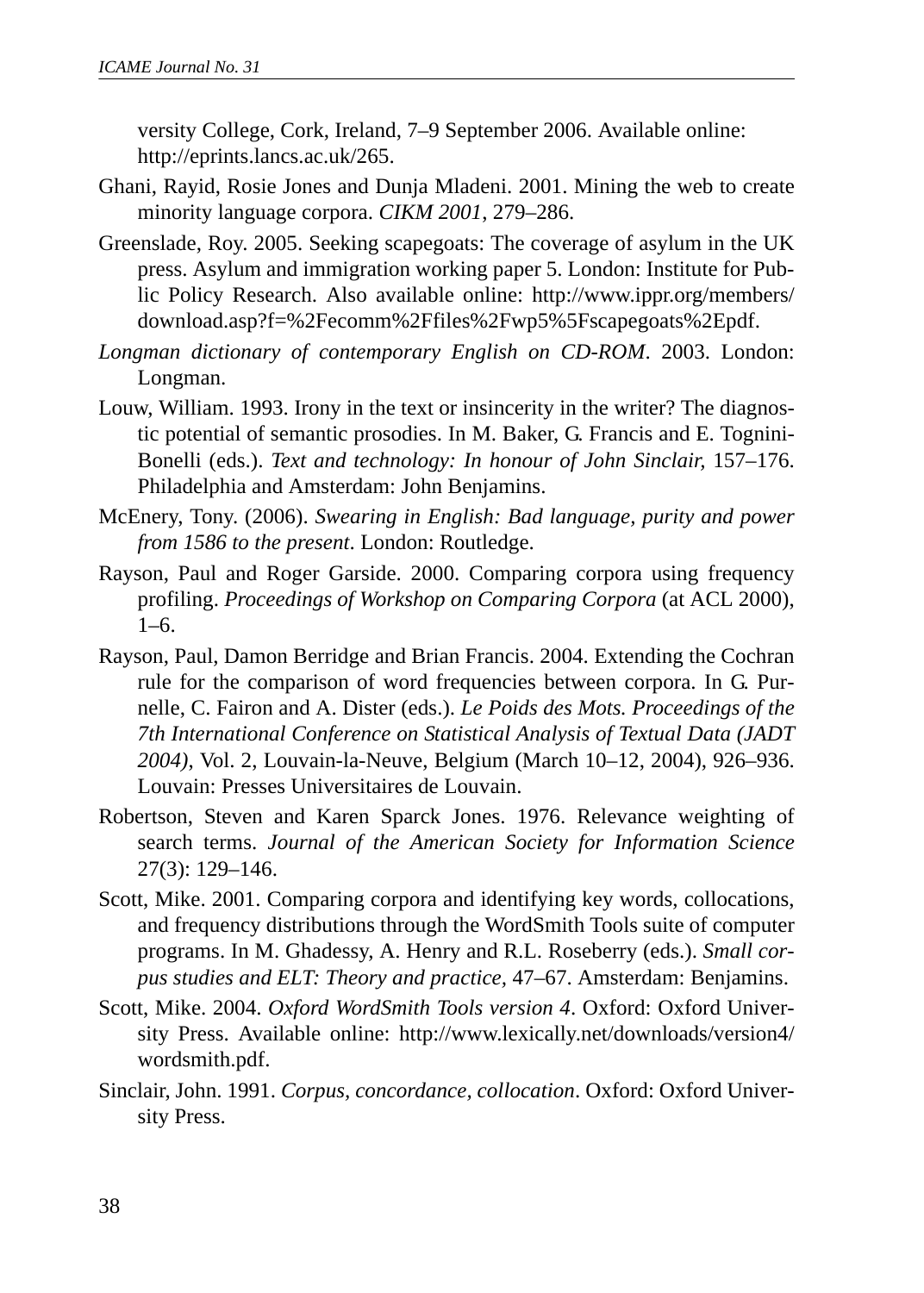versity College, Cork, Ireland, 7–9 September 2006. Available online: http://eprints.lancs.ac.uk/265.

- Ghani, Rayid, Rosie Jones and Dunja Mladeni. 2001. Mining the web to create minority language corpora. *CIKM 2001*, 279–286.
- Greenslade, Roy. 2005. Seeking scapegoats: The coverage of asylum in the UK press. Asylum and immigration working paper 5. London: Institute for Public Policy Research. Also available online: http://www.ippr.org/members/ download.asp?f=%2Fecomm%2Ffiles%2Fwp5%5Fscapegoats%2Epdf.
- *Longman dictionary of contemporary English on CD-ROM*. 2003. London: Longman.
- Louw, William. 1993. Irony in the text or insincerity in the writer? The diagnostic potential of semantic prosodies. In M. Baker, G. Francis and E. Tognini-Bonelli (eds.). *Text and technology: In honour of John Sinclair,* 157–176. Philadelphia and Amsterdam: John Benjamins.
- McEnery, Tony. (2006). *Swearing in English: Bad language, purity and power from 1586 to the present*. London: Routledge.
- Rayson, Paul and Roger Garside. 2000. Comparing corpora using frequency profiling. *Proceedings of Workshop on Comparing Corpora* (at ACL 2000),  $1-6$ .
- Rayson, Paul, Damon Berridge and Brian Francis. 2004. Extending the Cochran rule for the comparison of word frequencies between corpora. In G. Purnelle, C. Fairon and A. Dister (eds.). *Le Poids des Mots. Proceedings of the 7th International Conference on Statistical Analysis of Textual Data (JADT 2004)*, Vol. 2, Louvain-la-Neuve, Belgium (March 10–12, 2004), 926–936. Louvain: Presses Universitaires de Louvain.
- Robertson, Steven and Karen Sparck Jones. 1976. Relevance weighting of search terms. *Journal of the American Society for Information Science* 27(3): 129–146.
- Scott, Mike. 2001. Comparing corpora and identifying key words, collocations, and frequency distributions through the WordSmith Tools suite of computer programs. In M. Ghadessy, A. Henry and R.L. Roseberry (eds.). *Small corpus studies and ELT: Theory and practice,* 47–67. Amsterdam: Benjamins.
- Scott, Mike. 2004. *Oxford WordSmith Tools version 4*. Oxford: Oxford University Press. Available online: http://www.lexically.net/downloads/version4/ wordsmith.pdf.
- Sinclair, John. 1991. *Corpus, concordance, collocation*. Oxford: Oxford University Press.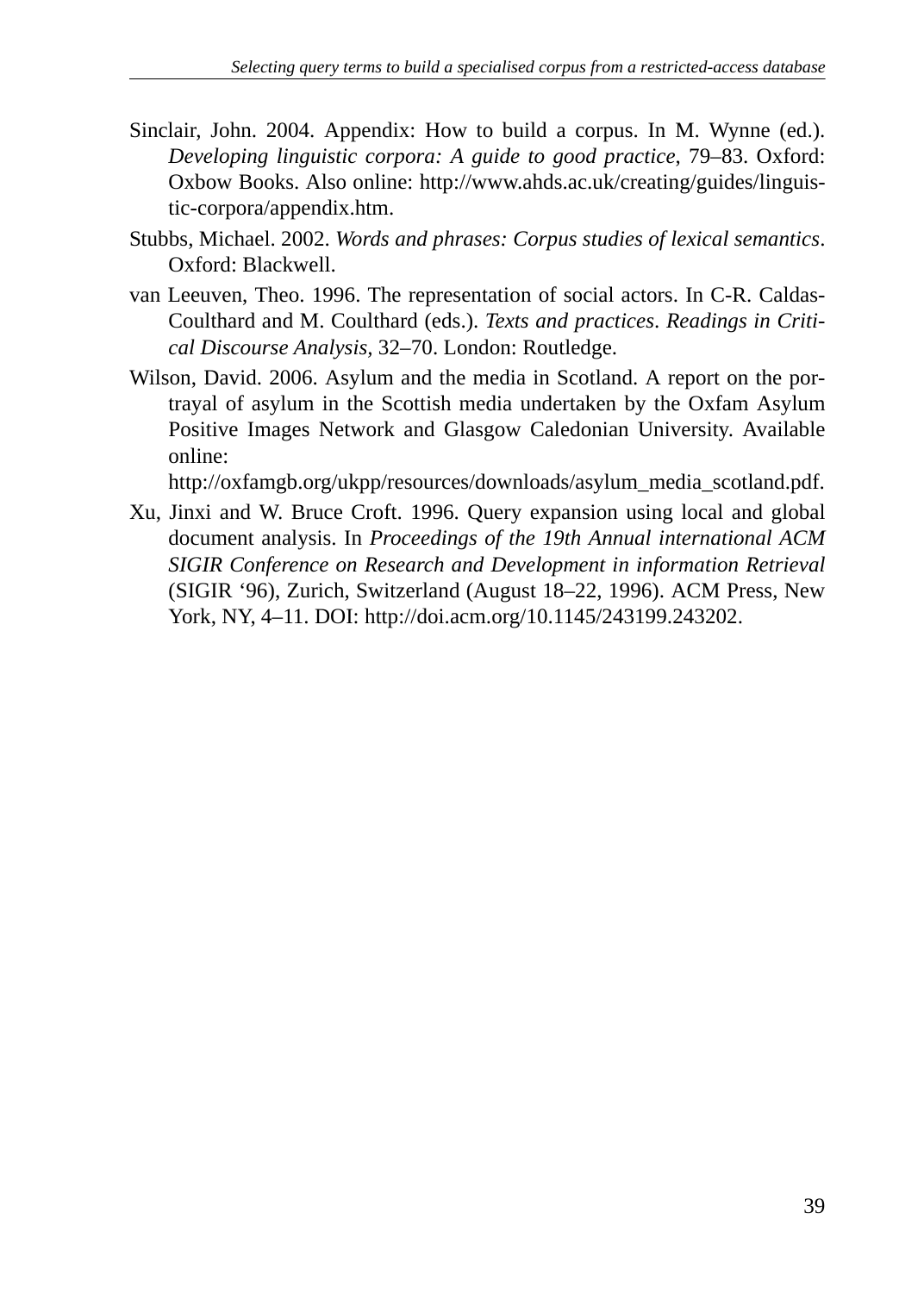- Sinclair, John. 2004. Appendix: How to build a corpus. In M. Wynne (ed.). *Developing linguistic corpora: A guide to good practice*, 79–83. Oxford: Oxbow Books. Also online: http://www.ahds.ac.uk/creating/guides/linguistic-corpora/appendix.htm.
- Stubbs, Michael. 2002. *Words and phrases: Corpus studies of lexical semantics*. Oxford: Blackwell.
- van Leeuven, Theo. 1996. The representation of social actors. In C-R. Caldas-Coulthard and M. Coulthard (eds.). *Texts and practices*. *Readings in Critical Discourse Analysis,* 32–70. London: Routledge.
- Wilson, David. 2006. Asylum and the media in Scotland. A report on the portrayal of asylum in the Scottish media undertaken by the Oxfam Asylum Positive Images Network and Glasgow Caledonian University. Available online:

http://oxfamgb.org/ukpp/resources/downloads/asylum\_media\_scotland.pdf.

Xu, Jinxi and W. Bruce Croft. 1996. Query expansion using local and global document analysis. In *Proceedings of the 19th Annual international ACM SIGIR Conference on Research and Development in information Retrieval* (SIGIR '96), Zurich, Switzerland (August 18–22, 1996). ACM Press, New York, NY, 4–11. DOI: http://doi.acm.org/10.1145/243199.243202.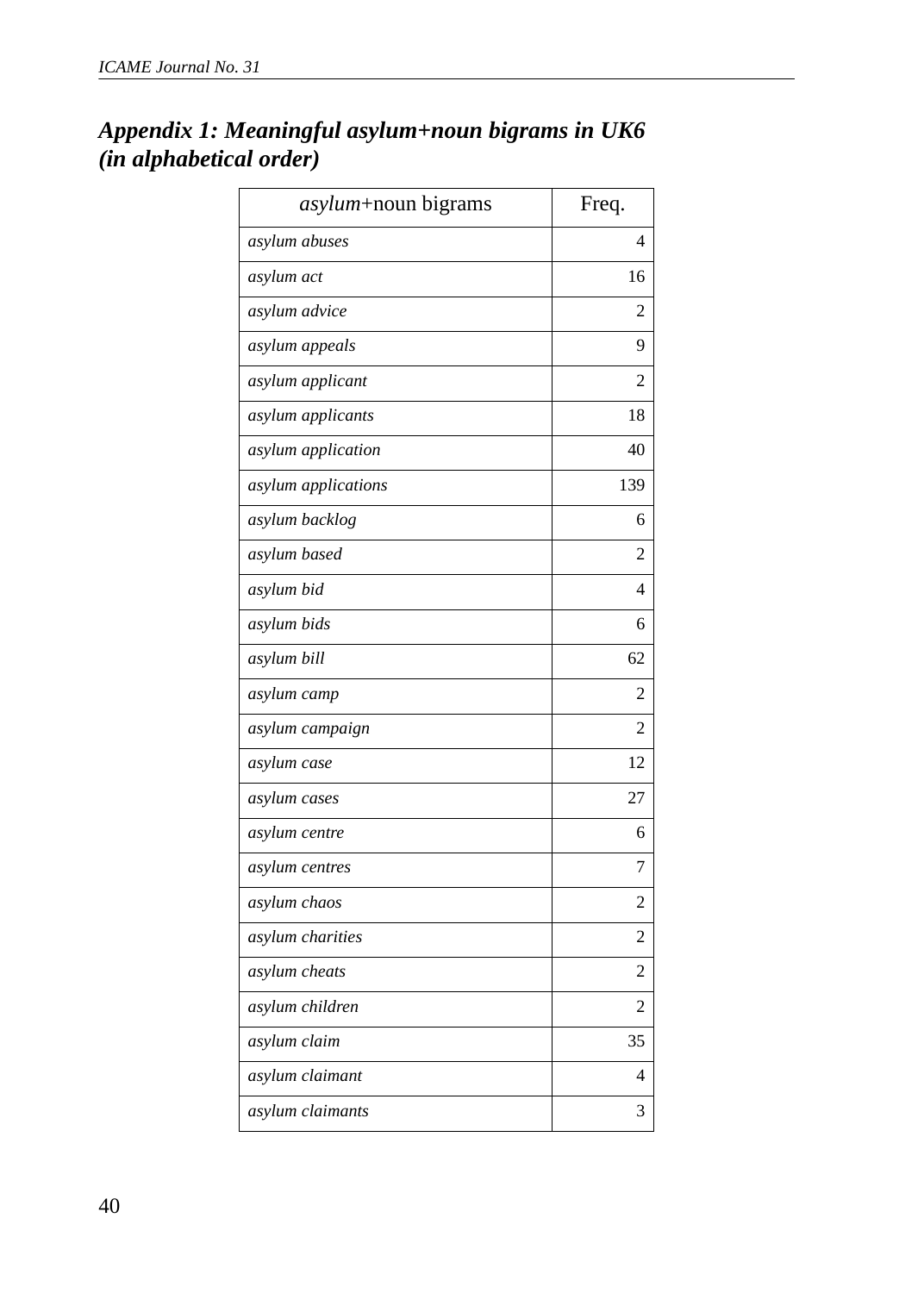| asylum+noun bigrams | Freq.          |
|---------------------|----------------|
| asylum abuses       | 4              |
| asylum act          | 16             |
| asylum advice       | 2              |
| asylum appeals      | 9              |
| asylum applicant    | 2              |
| asylum applicants   | 18             |
| asylum application  | 40             |
| asylum applications | 139            |
| asylum backlog      | 6              |
| asylum based        | 2              |
| asylum bid          | 4              |
| asylum bids         | 6              |
| asylum bill         | 62             |
| asylum camp         | $\overline{c}$ |
| asylum campaign     | 2              |
| asylum case         | 12             |
| asylum cases        | 27             |
| asylum centre       | 6              |
| asylum centres      | 7              |
| asylum chaos        | $\overline{c}$ |
| asylum charities    | 2              |
| asylum cheats       | $\overline{c}$ |
| asylum children     | $\mathfrak{D}$ |
| asylum claim        | 35             |
| asylum claimant     | 4              |
| asylum claimants    | 3              |

# *Appendix 1: Meaningful asylum+noun bigrams in UK6 (in alphabetical order)*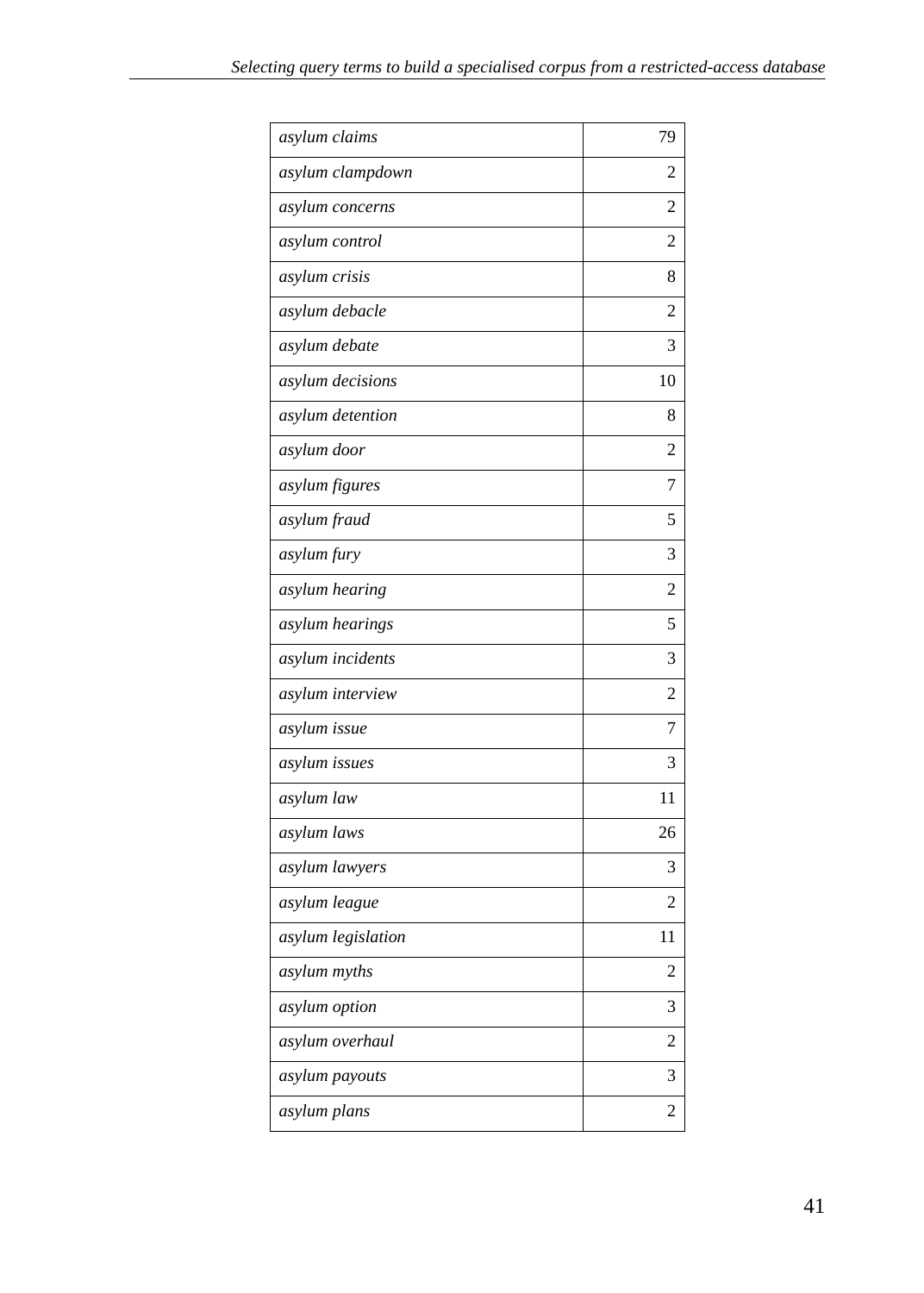| asylum claims      | 79 |
|--------------------|----|
| asylum clampdown   | 2  |
| asylum concerns    | 2  |
| asylum control     | 2  |
| asylum crisis      | 8  |
| asylum debacle     | 2  |
| asylum debate      | 3  |
| asylum decisions   | 10 |
| asylum detention   | 8  |
| asylum door        | 2  |
| asylum figures     | 7  |
| asylum fraud       | 5  |
| asylum fury        | 3  |
| asylum hearing     | 2  |
| asylum hearings    | 5  |
| asylum incidents   | 3  |
| asylum interview   | 2  |
| asylum issue       | 7  |
| asylum issues      | 3  |
| asylum law         | 11 |
| asylum laws        | 26 |
| asylum lawyers     | 3  |
| asylum league      | 2  |
| asylum legislation | 11 |
| asylum myths       | 2  |
| asylum option      | 3  |
| asylum overhaul    | 2  |
| asylum payouts     | 3  |
| asylum plans       | 2  |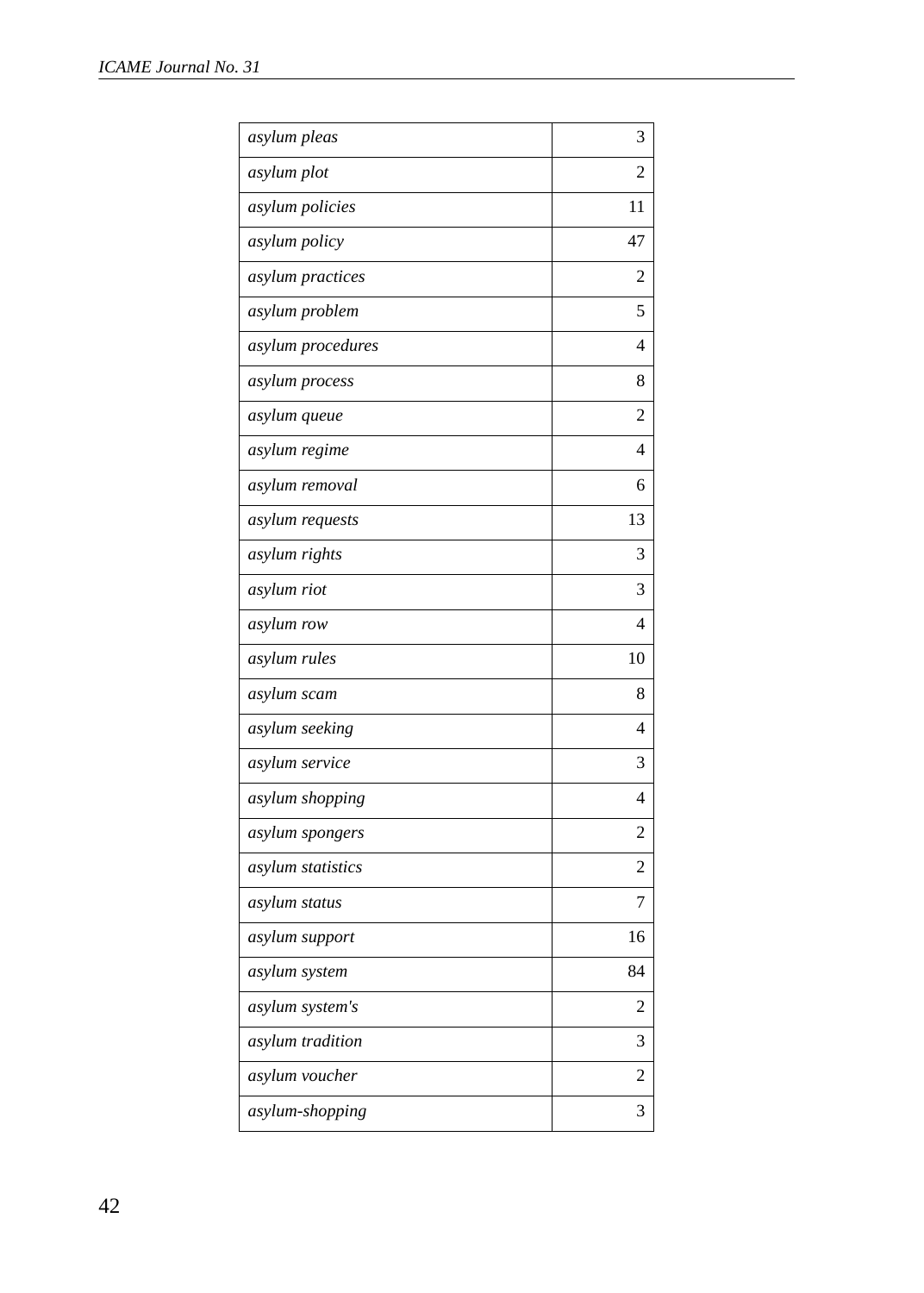| asylum pleas      | 3  |
|-------------------|----|
| asylum plot       | 2  |
| asylum policies   | 11 |
| asylum policy     | 47 |
| asylum practices  | 2  |
| asylum problem    | 5  |
| asylum procedures | 4  |
| asylum process    | 8  |
| asylum queue      | 2  |
| asylum regime     | 4  |
| asylum removal    | 6  |
| asylum requests   | 13 |
| asylum rights     | 3  |
| asylum riot       | 3  |
| asylum row        | 4  |
| asylum rules      | 10 |
| asylum scam       | 8  |
| asylum seeking    | 4  |
| asylum service    | 3  |
| asylum shopping   | 4  |
| asylum spongers   | 2  |
| asylum statistics | 2  |
| asylum status     | 7  |
| asylum support    | 16 |
| asylum system     | 84 |
| asylum system's   | 2  |
| asylum tradition  | 3  |
| asylum voucher    | 2  |
| asylum-shopping   | 3  |
|                   |    |